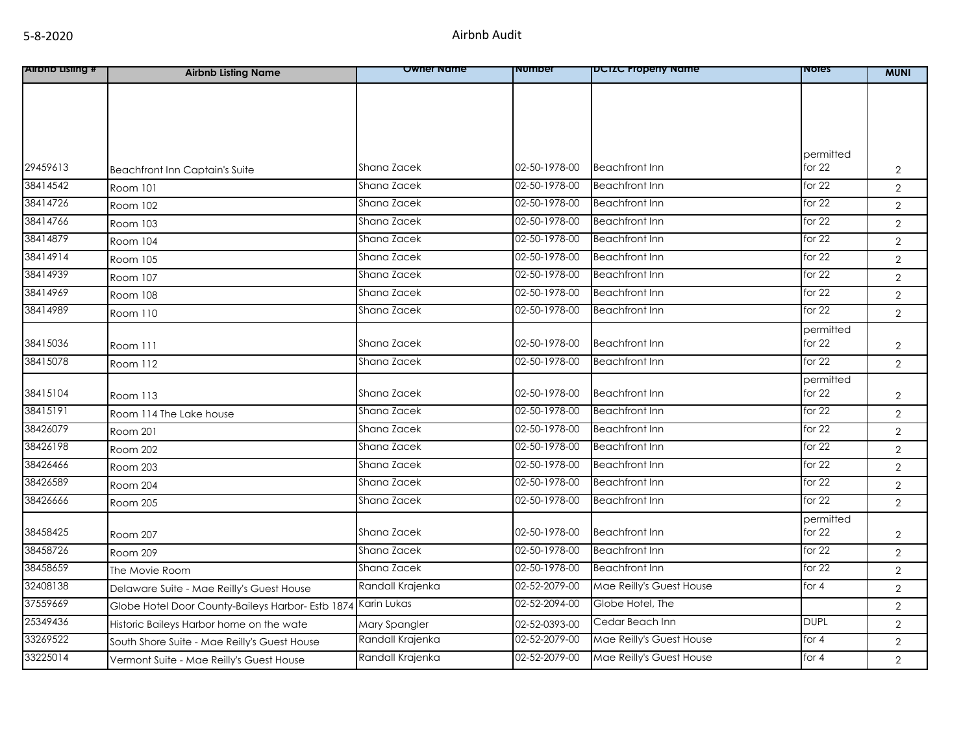| <b>Allond Listing #</b> | <b>Airbnb Listing Name</b>                        | <b>Owner Name</b> | <b>NUMDEL</b> | <b>IDCIZC Property Name</b> | <b>NOTES</b> | <b>MUNI</b>    |
|-------------------------|---------------------------------------------------|-------------------|---------------|-----------------------------|--------------|----------------|
|                         |                                                   |                   |               |                             |              |                |
|                         |                                                   |                   |               |                             |              |                |
|                         |                                                   |                   |               |                             |              |                |
|                         |                                                   |                   |               |                             |              |                |
|                         |                                                   |                   |               |                             | permitted    |                |
| 29459613                | <b>Beachfront Inn Captain's Suite</b>             | Shana Zacek       | 02-50-1978-00 | <b>Beachfront Inn</b>       | for $22$     | $\overline{2}$ |
| 38414542                | Room 101                                          | Shana Zacek       | 02-50-1978-00 | <b>Beachfront Inn</b>       | for $22$     | $\overline{2}$ |
| 38414726                | Room 102                                          | Shana Zacek       | 02-50-1978-00 | <b>Beachfront Inn</b>       | for 22       | $\overline{2}$ |
| 38414766                | Room 103                                          | Shana Zacek       | 02-50-1978-00 | <b>Beachfront Inn</b>       | for $22$     | 2              |
| 38414879                | Room 104                                          | Shana Zacek       | 02-50-1978-00 | <b>Beachfront Inn</b>       | for $22$     | $\overline{2}$ |
| 38414914                | Room 105                                          | Shana Zacek       | 02-50-1978-00 | <b>Beachfront Inn</b>       | for 22       | $\overline{2}$ |
| 38414939                | Room 107                                          | Shana Zacek       | 02-50-1978-00 | <b>Beachfront Inn</b>       | for 22       | $\overline{2}$ |
| 38414969                | Room 108                                          | Shana Zacek       | 02-50-1978-00 | <b>Beachfront Inn</b>       | for $22$     | 2              |
| 38414989                | Room 110                                          | Shana Zacek       | 02-50-1978-00 | <b>Beachfront Inn</b>       | for $22$     | $\overline{2}$ |
|                         |                                                   |                   |               |                             | permitted    |                |
| 38415036                | Room 111                                          | Shana Zacek       | 02-50-1978-00 | <b>Beachfront Inn</b>       | for $22$     | $\overline{2}$ |
| 38415078                | Room 112                                          | Shana Zacek       | 02-50-1978-00 | <b>Beachfront Inn</b>       | for 22       | 2              |
|                         |                                                   |                   |               |                             | permitted    |                |
| 38415104                | Room 113                                          | Shana Zacek       | 02-50-1978-00 | <b>Beachfront Inn</b>       | for $22$     | $\overline{2}$ |
| 38415191                | Room 114 The Lake house                           | Shana Zacek       | 02-50-1978-00 | <b>Beachfront Inn</b>       | for 22       | $\overline{2}$ |
| 38426079                | Room 201                                          | Shana Zacek       | 02-50-1978-00 | <b>Beachfront Inn</b>       | for $22$     | $\overline{2}$ |
| 38426198                | <b>Room 202</b>                                   | Shana Zacek       | 02-50-1978-00 | <b>Beachfront Inn</b>       | for $22$     | $\overline{2}$ |
| 38426466                | Room 203                                          | Shana Zacek       | 02-50-1978-00 | <b>Beachfront Inn</b>       | for $22$     | $\overline{2}$ |
| 38426589                | Room 204                                          | Shana Zacek       | 02-50-1978-00 | <b>Beachfront Inn</b>       | for $22$     | $\overline{2}$ |
| 38426666                | Room 205                                          | Shana Zacek       | 02-50-1978-00 | <b>Beachfront Inn</b>       | for 22       | $\overline{2}$ |
|                         |                                                   |                   |               |                             | permitted    |                |
| 38458425                | Room 207                                          | Shana Zacek       | 02-50-1978-00 | <b>Beachfront Inn</b>       | for $22$     | $\overline{2}$ |
| 38458726                | Room 209                                          | Shana Zacek       | 02-50-1978-00 | <b>Beachfront Inn</b>       | for 22       | $\sqrt{2}$     |
| 38458659                | The Movie Room                                    | Shana Zacek       | 02-50-1978-00 | <b>Beachfront Inn</b>       | for $22$     | $\overline{2}$ |
| 32408138                | Delaware Suite - Mae Reilly's Guest House         | Randall Krajenka  | 02-52-2079-00 | Mae Reilly's Guest House    | for 4        | $\overline{2}$ |
| 37559669                | Globe Hotel Door County-Baileys Harbor- Estb 1874 | Karin Lukas       | 02-52-2094-00 | Globe Hotel, The            |              | $\overline{2}$ |
| 25349436                | Historic Baileys Harbor home on the wate          | Mary Spangler     | 02-52-0393-00 | Cedar Beach Inn             | <b>DUPL</b>  | $\overline{2}$ |
| 33269522                | South Shore Suite - Mae Reilly's Guest House      | Randall Krajenka  | 02-52-2079-00 | Mae Reilly's Guest House    | for 4        | $\sqrt{2}$     |
| 33225014                | Vermont Suite - Mae Reilly's Guest House          | Randall Krajenka  | 02-52-2079-00 | Mae Reilly's Guest House    | for 4        | $\overline{2}$ |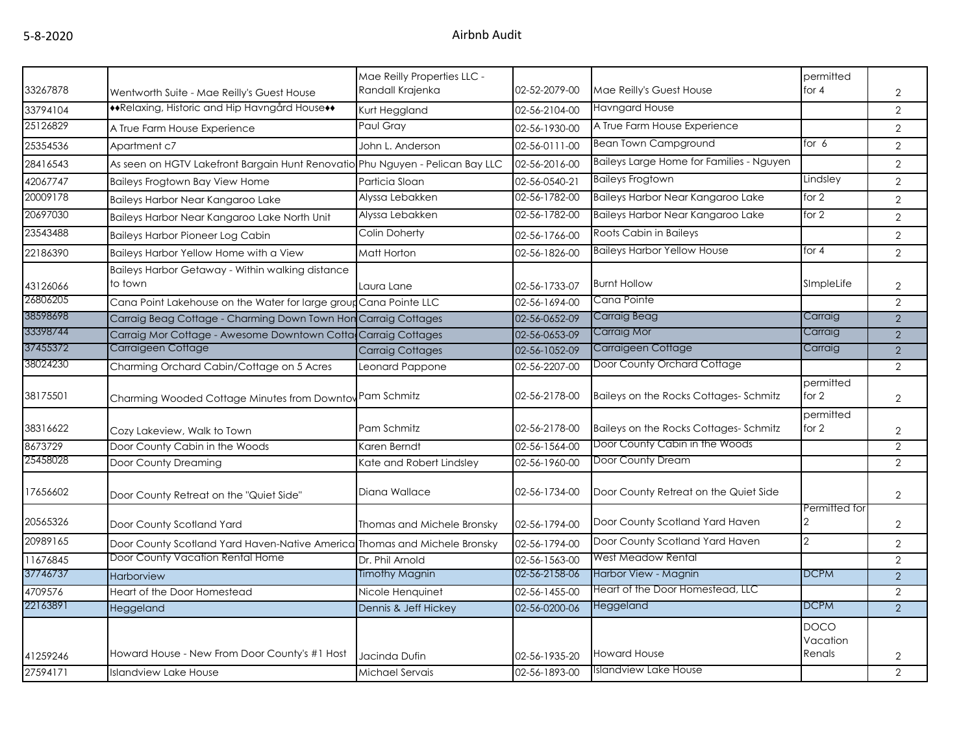|          |                                                                               | Mae Reilly Properties LLC - |               |                                          | permitted                         |                |
|----------|-------------------------------------------------------------------------------|-----------------------------|---------------|------------------------------------------|-----------------------------------|----------------|
| 33267878 | Wentworth Suite - Mae Reilly's Guest House                                    | Randall Krajenka            | 02-52-2079-00 | Mae Reilly's Guest House                 | for $4$                           | $\overline{2}$ |
| 33794104 | ◆◆Relaxing, Historic and Hip Havngård House◆◆                                 | Kurt Heggland               | 02-56-2104-00 | <b>Havngard House</b>                    |                                   | $\overline{2}$ |
| 25126829 | A True Farm House Experience                                                  | Paul Gray                   | 02-56-1930-00 | A True Farm House Experience             |                                   | 2              |
| 25354536 | Apartment c7                                                                  | John L. Anderson            | 02-56-0111-00 | <b>Bean Town Campground</b>              | for $6$                           | $\overline{2}$ |
| 28416543 | As seen on HGTV Lakefront Bargain Hunt Renovatio Phu Nguyen - Pelican Bay LLC |                             | 02-56-2016-00 | Baileys Large Home for Families - Nguyen |                                   | $\overline{2}$ |
| 42067747 | Baileys Frogtown Bay View Home                                                | Particia Sloan              | 02-56-0540-21 | <b>Baileys Frogtown</b>                  | Lindsley                          | $\overline{2}$ |
| 20009178 | Baileys Harbor Near Kangaroo Lake                                             | Alyssa Lebakken             | 02-56-1782-00 | Baileys Harbor Near Kangaroo Lake        | for $2$                           | $\overline{2}$ |
| 20697030 | Baileys Harbor Near Kangaroo Lake North Unit                                  | Alyssa Lebakken             | 02-56-1782-00 | Baileys Harbor Near Kangaroo Lake        | for 2                             | $\overline{2}$ |
| 23543488 | <b>Baileys Harbor Pioneer Log Cabin</b>                                       | Colin Doherty               | 02-56-1766-00 | Roots Cabin in Baileys                   |                                   | $\overline{2}$ |
| 22186390 | Baileys Harbor Yellow Home with a View                                        | Matt Horton                 | 02-56-1826-00 | <b>Baileys Harbor Yellow House</b>       | for $4$                           | 2              |
|          | Baileys Harbor Getaway - Within walking distance                              |                             |               |                                          |                                   |                |
| 43126066 | to town                                                                       | Laura Lane                  | 02-56-1733-07 | <b>Burnt Hollow</b>                      | SImpleLife                        | 2              |
| 26806205 | Cana Point Lakehouse on the Water for large group Cana Pointe LLC             |                             | 02-56-1694-00 | Cana Pointe                              |                                   | 2              |
| 38598698 | Carraig Beag Cottage - Charming Down Town Hon Carraig Cottages                |                             | 02-56-0652-09 | <b>Carraig Beag</b>                      | Carraig                           | 2              |
| 33398744 | Carraig Mor Cottage - Awesome Downtown Cotta Carraig Cottages                 |                             | 02-56-0653-09 | <b>Carraig Mor</b>                       | Carraig                           | 2              |
| 37455372 | Carraigeen Cottage                                                            | <b>Carraig Cottages</b>     | 02-56-1052-09 | Carraigeen Cottage                       | Carraig                           | $\overline{2}$ |
| 38024230 | Charming Orchard Cabin/Cottage on 5 Acres                                     | Leonard Pappone             | 02-56-2207-00 | Door County Orchard Cottage              |                                   | $\overline{2}$ |
| 38175501 | Charming Wooded Cottage Minutes from Downtov Pam Schmitz                      |                             | 02-56-2178-00 | Baileys on the Rocks Cottages-Schmitz    | permitted<br>for 2                | $\overline{2}$ |
| 38316622 | Cozy Lakeview, Walk to Town                                                   | Pam Schmitz                 | 02-56-2178-00 | Baileys on the Rocks Cottages-Schmitz    | permitted<br>for 2                | $\sqrt{2}$     |
| 8673729  | Door County Cabin in the Woods                                                | Karen Berndt                | 02-56-1564-00 | Door County Cabin in the Woods           |                                   | $\overline{2}$ |
| 25458028 | Door County Dreaming                                                          | Kate and Robert Lindsley    | 02-56-1960-00 | Door County Dream                        |                                   | 2              |
| 17656602 | Door County Retreat on the "Quiet Side"                                       | Diana Wallace               | 02-56-1734-00 | Door County Retreat on the Quiet Side    |                                   | $\overline{2}$ |
| 20565326 | Door County Scotland Yard                                                     | Thomas and Michele Bronsky  | 02-56-1794-00 | Door County Scotland Yard Haven          | Permitted for<br>2                | $\overline{2}$ |
| 20989165 | Door County Scotland Yard Haven-Native America Thomas and Michele Bronsky     |                             | 02-56-1794-00 | Door County Scotland Yard Haven          | $\overline{2}$                    | $\overline{2}$ |
| 11676845 | Door County Vacation Rental Home                                              | Dr. Phil Arnold             | 02-56-1563-00 | <b>West Meadow Rental</b>                |                                   | 2              |
| 37746737 | <b>Harborview</b>                                                             | Timothy Magnin              | 02-56-2158-06 | Harbor View - Magnin                     | <b>DCPM</b>                       | 2              |
| 4709576  | Heart of the Door Homestead                                                   | Nicole Henguinet            | 02-56-1455-00 | Heart of the Door Homestead, LLC         |                                   | $\overline{2}$ |
| 22163891 | Heggeland                                                                     | Dennis & Jeff Hickey        | 02-56-0200-06 | Heggeland                                | <b>DCPM</b>                       | $\overline{2}$ |
| 41259246 | Howard House - New From Door County's #1 Host                                 | Jacinda Dufin               | 02-56-1935-20 | <b>Howard House</b>                      | <b>DOCO</b><br>Vacation<br>Renals | $\overline{2}$ |
| 27594171 | <b>Islandview Lake House</b>                                                  | Michael Servais             | 02-56-1893-00 | Islandview Lake House                    |                                   | $\overline{2}$ |
|          |                                                                               |                             |               |                                          |                                   |                |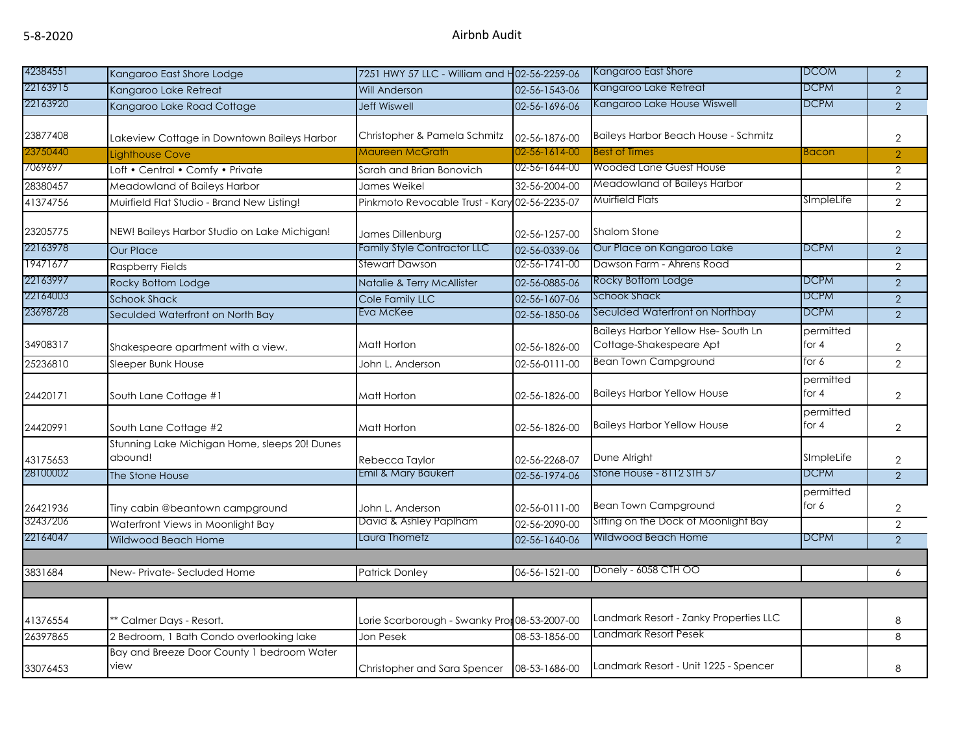| 42384551 | Kangaroo East Shore Lodge                                | 7251 HWY 57 LLC - William and H02-56-2259-06  |               | Kangaroo East Shore                                                  | <b>DCOM</b>          | $\overline{2}$ |
|----------|----------------------------------------------------------|-----------------------------------------------|---------------|----------------------------------------------------------------------|----------------------|----------------|
| 22163915 | Kangaroo Lake Retreat                                    | <b>Will Anderson</b>                          | 02-56-1543-06 | Kangaroo Lake Retreat                                                | <b>DCPM</b>          | $\overline{2}$ |
| 22163920 | Kangaroo Lake Road Cottage                               | <b>Jeff Wiswell</b>                           | 02-56-1696-06 | Kangaroo Lake House Wiswell                                          | <b>DCPM</b>          | $\overline{2}$ |
| 23877408 | Lakeview Cottage in Downtown Baileys Harbor              | Christopher & Pamela Schmitz                  | 02-56-1876-00 | <b>Baileys Harbor Beach House - Schmitz</b>                          |                      | $\overline{2}$ |
| 23750440 | Liahthouse Cove                                          | Maureen McGrath                               | 02-56-1614-00 | <b>Best of Times</b>                                                 | <b>Bacon</b>         | $\overline{2}$ |
| 7069697  | Loft • Central • Comfy • Private                         | Sarah and Brian Bonovich                      | 02-56-1644-00 | <b>Wooded Lane Guest House</b>                                       |                      | $\overline{2}$ |
| 28380457 | Meadowland of Baileys Harbor                             | James Weikel                                  | 32-56-2004-00 | <b>Meadowland of Baileys Harbor</b>                                  |                      | $\overline{2}$ |
| 41374756 | Muirfield Flat Studio - Brand New Listing!               | Pinkmoto Revocable Trust - Kary 02-56-2235-07 |               | <b>Muirfield Flats</b>                                               | SImpleLife           | $\overline{2}$ |
| 23205775 | NEW! Baileys Harbor Studio on Lake Michigan!             | James Dillenburg                              | 02-56-1257-00 | <b>Shalom Stone</b>                                                  |                      | $\overline{2}$ |
| 22163978 | <b>Our Place</b>                                         | Family Style Contractor LLC                   | 02-56-0339-06 | Our Place on Kangaroo Lake                                           | <b>DCPM</b>          | $\overline{2}$ |
| 19471677 | <b>Raspberry Fields</b>                                  | Stewart Dawson                                | 02-56-1741-00 | Dawson Farm - Ahrens Road                                            |                      | $\overline{2}$ |
| 22163997 | Rocky Bottom Lodge                                       | Natalie & Terry McAllister                    | 02-56-0885-06 | Rocky Bottom Lodge                                                   | <b>DCPM</b>          | $\overline{2}$ |
| 22164003 | <b>Schook Shack</b>                                      | Cole Family LLC                               | 02-56-1607-06 | Schook Shack                                                         | <b>DCPM</b>          | $\overline{2}$ |
| 23698728 | Seculded Waterfront on North Bay                         | Eva McKee                                     | 02-56-1850-06 | Seculded Waterfront on Northbay                                      | <b>DCPM</b>          | $\overline{2}$ |
| 34908317 | Shakespeare apartment with a view.                       | Matt Horton                                   | 02-56-1826-00 | <b>Baileys Harbor Yellow Hse-South Ln</b><br>Cottage-Shakespeare Apt | permitted<br>for $4$ | $\overline{2}$ |
| 25236810 | Sleeper Bunk House                                       | John L. Anderson                              | 02-56-0111-00 | <b>Bean Town Campground</b>                                          | for $6$              | $\overline{2}$ |
| 24420171 | South Lane Cottage #1                                    | Matt Horton                                   | 02-56-1826-00 | <b>Baileys Harbor Yellow House</b>                                   | permitted<br>for $4$ | $\overline{2}$ |
| 24420991 | South Lane Cottage #2                                    | Matt Horton                                   | 02-56-1826-00 | <b>Baileys Harbor Yellow House</b>                                   | permitted<br>for $4$ | $\overline{2}$ |
| 43175653 | Stunning Lake Michigan Home, sleeps 20! Dunes<br>abound! | Rebecca Taylor                                | 02-56-2268-07 | Dune Alright                                                         | SImpleLife           | $\overline{2}$ |
| 28100002 | The Stone House                                          | Emil & Mary Baukert                           | 02-56-1974-06 | Stone House - 8112 STH 57                                            | <b>DCPM</b>          | 2              |
| 26421936 | Tiny cabin @beantown campground                          | John L. Anderson                              | 02-56-0111-00 | <b>Bean Town Campground</b>                                          | permitted<br>for 6   | $\overline{2}$ |
| 32437206 | Waterfront Views in Moonlight Bay                        | David & Ashley Paplham                        | 02-56-2090-00 | Sitting on the Dock of Moonlight Bay                                 |                      | $\overline{2}$ |
| 22164047 | Wildwood Beach Home                                      | Laura Thometz                                 | 02-56-1640-06 | Wildwood Beach Home                                                  | <b>DCPM</b>          | $\overline{2}$ |
|          |                                                          |                                               |               | Donely - 6058 CTH OO                                                 |                      |                |
| 3831684  | New- Private- Secluded Home                              | <b>Patrick Donley</b>                         | 06-56-1521-00 |                                                                      |                      | 6              |
|          |                                                          |                                               |               |                                                                      |                      |                |
| 41376554 | * Calmer Days - Resort.                                  | Lorie Scarborough - Swanky Pror 08-53-2007-00 |               | Landmark Resort - Zanky Properties LLC                               |                      | 8              |
| 26397865 | 2 Bedroom, 1 Bath Condo overlooking lake                 | Jon Pesek                                     | 08-53-1856-00 | <b>Landmark Resort Pesek</b>                                         |                      | 8              |
| 33076453 | Bay and Breeze Door County 1 bedroom Water<br>view       | Christopher and Sara Spencer                  | 08-53-1686-00 | Landmark Resort - Unit 1225 - Spencer                                |                      | 8              |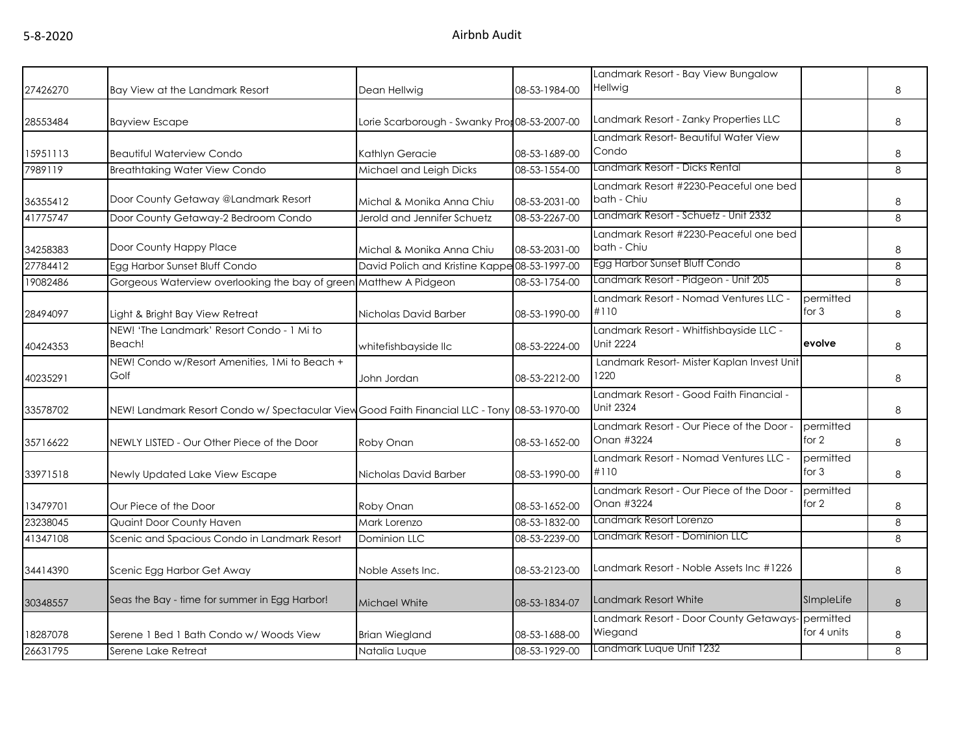|          |                                                                                              |                                               |               | Landmark Resort - Bay View Bungalow                          |                          |   |
|----------|----------------------------------------------------------------------------------------------|-----------------------------------------------|---------------|--------------------------------------------------------------|--------------------------|---|
| 27426270 | Bay View at the Landmark Resort                                                              | Dean Hellwig                                  | 08-53-1984-00 | Hellwig                                                      |                          | 8 |
| 28553484 | <b>Bayview Escape</b>                                                                        | Lorie Scarborough - Swanky Pror 08-53-2007-00 |               | Landmark Resort - Zanky Properties LLC                       |                          | 8 |
| 15951113 | <b>Beautiful Waterview Condo</b>                                                             | Kathlyn Geracie                               | 08-53-1689-00 | Landmark Resort- Beautiful Water View<br>Condo               |                          | 8 |
| 7989119  | <b>Breathtaking Water View Condo</b>                                                         | Michael and Leigh Dicks                       | 08-53-1554-00 | Landmark Resort - Dicks Rental                               |                          | 8 |
| 36355412 | Door County Getaway @Landmark Resort                                                         | Michal & Monika Anna Chiu                     | 08-53-2031-00 | Landmark Resort #2230-Peaceful one bed<br>bath - Chiu        |                          | 8 |
| 41775747 | Door County Getaway-2 Bedroom Condo                                                          | Jerold and Jennifer Schuetz                   | 08-53-2267-00 | Landmark Resort - Schuetz - Unit 2332                        |                          | 8 |
| 34258383 | Door County Happy Place                                                                      | Michal & Monika Anna Chiu                     | 08-53-2031-00 | Landmark Resort #2230-Peaceful one bed<br>bath - Chiu        |                          | 8 |
| 27784412 | Egg Harbor Sunset Bluff Condo                                                                | David Polich and Kristine Kappe 08-53-1997-00 |               | Egg Harbor Sunset Bluff Condo                                |                          | 8 |
| 19082486 | Gorgeous Waterview overlooking the bay of green Matthew A Pidgeon                            |                                               | 08-53-1754-00 | Landmark Resort - Pidgeon - Unit 205                         |                          | 8 |
| 28494097 | Light & Bright Bay View Retreat                                                              | Nicholas David Barber                         | 08-53-1990-00 | Landmark Resort - Nomad Ventures LLC -<br>#110               | permitted<br>for $3$     | 8 |
| 40424353 | NEW! 'The Landmark' Resort Condo - 1 Mi to<br>Beach!                                         | whitefishbayside llc                          | 08-53-2224-00 | Landmark Resort - Whitfishbayside LLC -<br><b>Unit 2224</b>  | evolve                   | 8 |
| 40235291 | NEW! Condo w/Resort Amenities, 1Mi to Beach +<br>Golf                                        | John Jordan                                   | 08-53-2212-00 | Landmark Resort- Mister Kaplan Invest Unit<br>1220           |                          | 8 |
| 33578702 | NEW! Landmark Resort Condo w/ Spectacular View Good Faith Financial LLC - Tony 08-53-1970-00 |                                               |               | Landmark Resort - Good Faith Financial -<br><b>Unit 2324</b> |                          | 8 |
| 35716622 | NEWLY LISTED - Our Other Piece of the Door                                                   | Roby Onan                                     | 08-53-1652-00 | Landmark Resort - Our Piece of the Door -<br>Onan #3224      | permitted<br>for 2       | 8 |
| 33971518 | Newly Updated Lake View Escape                                                               | Nicholas David Barber                         | 08-53-1990-00 | Landmark Resort - Nomad Ventures LLC -<br>#110               | permitted<br>for 3       | 8 |
| 13479701 | Our Piece of the Door                                                                        | Roby Onan                                     | 08-53-1652-00 | Landmark Resort - Our Piece of the Door -<br>Onan #3224      | permitted<br>for 2       | 8 |
| 23238045 | Quaint Door County Haven                                                                     | Mark Lorenzo                                  | 08-53-1832-00 | Landmark Resort Lorenzo                                      |                          | 8 |
| 41347108 | Scenic and Spacious Condo in Landmark Resort                                                 | Dominion LLC                                  | 08-53-2239-00 | Landmark Resort - Dominion LLC                               |                          | 8 |
| 34414390 | Scenic Egg Harbor Get Away                                                                   | Noble Assets Inc.                             | 08-53-2123-00 | Landmark Resort - Noble Assets Inc #1226                     |                          | 8 |
| 30348557 | Seas the Bay - time for summer in Egg Harbor!                                                | Michael White                                 | 08-53-1834-07 | Landmark Resort White                                        | SImpleLife               | 8 |
| 18287078 | Serene 1 Bed 1 Bath Condo w/ Woods View                                                      | <b>Brian Wiegland</b>                         | 08-53-1688-00 | Landmark Resort - Door County Getaways-<br>Wiegand           | permitted<br>for 4 units | 8 |
| 26631795 | Serene Lake Retreat                                                                          | Natalia Luque                                 | 08-53-1929-00 | Landmark Luque Unit 1232                                     |                          | 8 |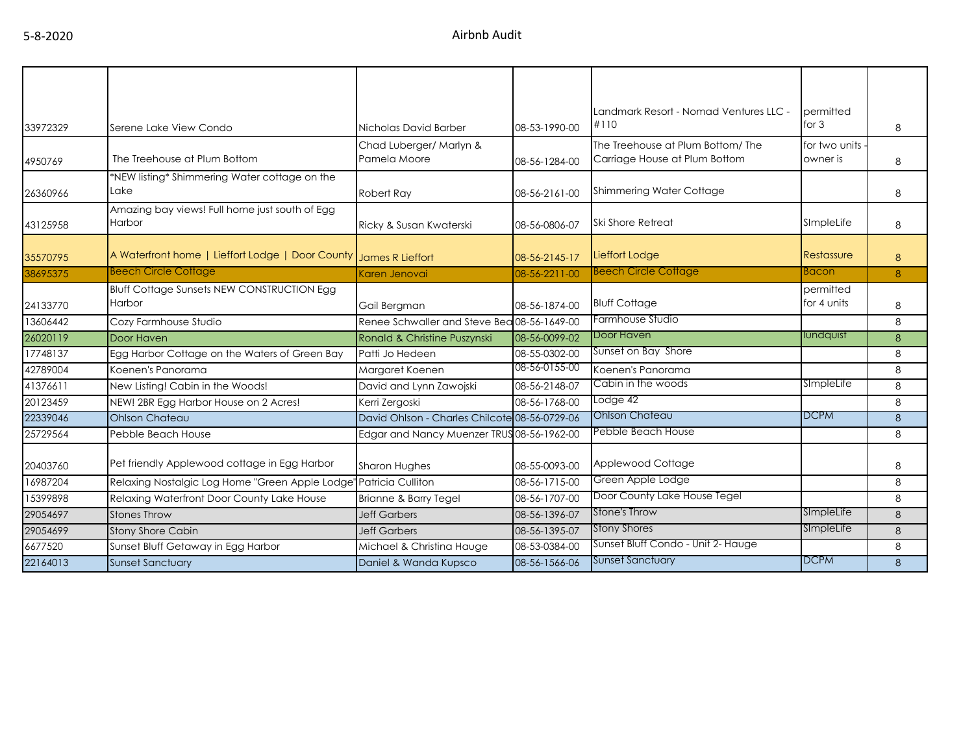|          |                                                                     |                                               |               | Landmark Resort - Nomad Ventures LLC - | permitted     |          |
|----------|---------------------------------------------------------------------|-----------------------------------------------|---------------|----------------------------------------|---------------|----------|
| 33972329 | Serene Lake View Condo                                              | Nicholas David Barber                         | 08-53-1990-00 | #110                                   | for $3$       | 8        |
|          |                                                                     | Chad Luberger/ Marlyn &                       |               | The Treehouse at Plum Bottom/The       | for two units |          |
| 4950769  | The Treehouse at Plum Bottom                                        | Pamela Moore                                  | 08-56-1284-00 | Carriage House at Plum Bottom          | owner is      | 8        |
|          | *NEW listing* Shimmering Water cottage on the                       |                                               |               |                                        |               |          |
| 26360966 | Lake                                                                | Robert Ray                                    | 08-56-2161-00 | Shimmering Water Cottage               |               | 8        |
|          | Amazing bay views! Full home just south of Egg                      |                                               |               |                                        |               |          |
| 43125958 | <b>Harbor</b>                                                       | Ricky & Susan Kwaterski                       | 08-56-0806-07 | <b>Ski Shore Retreat</b>               | SImpleLife    | 8        |
|          |                                                                     |                                               |               |                                        |               |          |
| 35570795 | A Waterfront home   Lieffort Lodge   Door County   James R Lieffort |                                               | 08-56-2145-17 | Lieffort Lodge                         | Restassure    | 8        |
| 38695375 | <b>Beech Circle Cottage</b>                                         | Karen Jenovai                                 | 08-56-2211-00 | <b>Beech Circle Cottage</b>            | <b>Bacon</b>  | 8        |
|          | <b>Bluff Cottage Sunsets NEW CONSTRUCTION Egg</b>                   |                                               |               |                                        | permitted     |          |
| 24133770 | Harbor                                                              | Gail Bergman                                  | 08-56-1874-00 | <b>Bluff Cottage</b>                   | for 4 units   | 8        |
| 13606442 | Cozy Farmhouse Studio                                               | Renee Schwaller and Steve Bea 08-56-1649-00   |               | Farmhouse Studio                       |               | 8        |
| 26020119 | Door Haven                                                          | Ronald & Christine Puszynski                  | 08-56-0099-02 | Door Haven                             | lundquist     | 8        |
| 17748137 | Egg Harbor Cottage on the Waters of Green Bay                       | Patti Jo Hedeen                               | 08-55-0302-00 | Sunset on Bay Shore                    |               | 8        |
| 42789004 | Koenen's Panorama                                                   | Margaret Koenen                               | 08-56-0155-00 | Koenen's Panorama                      |               | 8        |
| 41376611 | New Listing! Cabin in the Woods!                                    | David and Lynn Zawojski                       | 08-56-2148-07 | Cabin in the woods                     | SimpleLife    | 8        |
| 20123459 | NEW! 2BR Egg Harbor House on 2 Acres!                               | Kerri Zergoski                                | 08-56-1768-00 | Lodge 42                               |               | 8        |
| 22339046 | <b>Ohlson Chateau</b>                                               | David Ohlson - Charles Chilcote 08-56-0729-06 |               | <b>Ohlson Chateau</b>                  | <b>DCPM</b>   | 8        |
| 25729564 | Pebble Beach House                                                  | Edgar and Nancy Muenzer TRUS 08-56-1962-00    |               | Pebble Beach House                     |               | 8        |
|          |                                                                     |                                               |               |                                        |               |          |
| 20403760 | Pet friendly Applewood cottage in Egg Harbor                        | Sharon Hughes                                 | 08-55-0093-00 | Applewood Cottage                      |               | 8        |
| 16987204 | Relaxing Nostalgic Log Home "Green Apple Lodge"                     | Patricia Culliton                             | 08-56-1715-00 | Green Apple Lodge                      |               | 8        |
| 15399898 | Relaxing Waterfront Door County Lake House                          | <b>Brianne &amp; Barry Tegel</b>              | 08-56-1707-00 | Door County Lake House Tegel           |               | 8        |
| 29054697 | <b>Stones Throw</b>                                                 | <b>Jeff Garbers</b>                           | 08-56-1396-07 | Stone's Throw                          | SImpleLife    | 8        |
| 29054699 | <b>Stony Shore Cabin</b>                                            | <b>Jeff Garbers</b>                           | 08-56-1395-07 | <b>Stony Shores</b>                    | SImpleLife    | 8        |
| 6677520  | Sunset Bluff Getaway in Egg Harbor                                  | Michael & Christina Hauge                     | 08-53-0384-00 | Sunset Bluff Condo - Unit 2- Hauge     |               | 8        |
| 22164013 | <b>Sunset Sanctuary</b>                                             | Daniel & Wanda Kupsco                         | 08-56-1566-06 | Sunset Sanctuary                       | <b>DCPM</b>   | $\delta$ |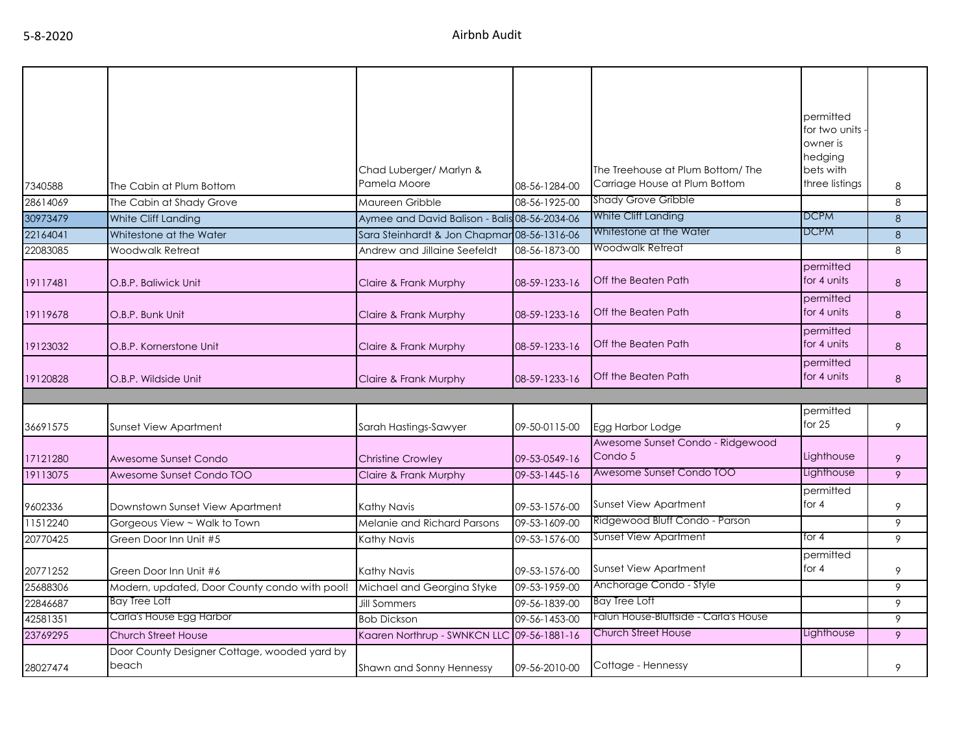| 7340588  | The Cabin at Plum Bottom                              | Chad Luberger/ Marlyn &<br>Pamela Moore       | 08-56-1284-00 | The Treehouse at Plum Bottom/ The<br>Carriage House at Plum Bottom | permitted<br>for two units<br>owner is<br>hedging<br>bets with<br>three listings | 8 |
|----------|-------------------------------------------------------|-----------------------------------------------|---------------|--------------------------------------------------------------------|----------------------------------------------------------------------------------|---|
| 28614069 | The Cabin at Shady Grove                              | Maureen Gribble                               | 08-56-1925-00 | Shady Grove Gribble                                                |                                                                                  | 8 |
| 30973479 | White Cliff Landing                                   | Aymee and David Balison - Balis 08-56-2034-06 |               | White Cliff Landing                                                | <b>DCPM</b>                                                                      | 8 |
| 22164041 | Whitestone at the Water                               | Sara Steinhardt & Jon Chapmar 08-56-1316-06   |               | Whitestone at the Water                                            | <b>DCPM</b>                                                                      | 8 |
| 22083085 | <b>Woodwalk Retreat</b>                               | Andrew and Jillaine Seefeldt                  | 08-56-1873-00 | Woodwalk Retreat                                                   |                                                                                  | 8 |
| 19117481 | O.B.P. Baliwick Unit                                  | Claire & Frank Murphy                         | 08-59-1233-16 | Off the Beaten Path                                                | permitted<br>for 4 units                                                         | 8 |
| 19119678 | O.B.P. Bunk Unit                                      | Claire & Frank Murphy                         | 08-59-1233-16 | Off the Beaten Path                                                | permitted<br>for 4 units                                                         | 8 |
| 19123032 | O.B.P. Kornerstone Unit                               | Claire & Frank Murphy                         | 08-59-1233-16 | Off the Beaten Path                                                | permitted<br>for 4 units                                                         | 8 |
| 19120828 | O.B.P. Wildside Unit                                  | Claire & Frank Murphy                         | 08-59-1233-16 | Off the Beaten Path                                                | permitted<br>for 4 units                                                         | 8 |
|          |                                                       |                                               |               |                                                                    |                                                                                  |   |
| 36691575 | Sunset View Apartment                                 | Sarah Hastings-Sawyer                         | 09-50-0115-00 | Egg Harbor Lodge                                                   | permitted<br>for $25$                                                            | 9 |
| 17121280 | Awesome Sunset Condo                                  | <b>Christine Crowley</b>                      | 09-53-0549-16 | Awesome Sunset Condo - Ridgewood<br>Condo 5                        | Lighthouse                                                                       | 9 |
| 19113075 | Awesome Sunset Condo TOO                              | Claire & Frank Murphy                         | 09-53-1445-16 | Awesome Sunset Condo TOO                                           | Lighthouse                                                                       | 9 |
| 9602336  | Downstown Sunset View Apartment                       | Kathy Navis                                   | 09-53-1576-00 | <b>Sunset View Apartment</b>                                       | permitted<br>for $4$                                                             | 9 |
| 11512240 | Gorgeous View ~ Walk to Town                          | Melanie and Richard Parsons                   | 09-53-1609-00 | Ridgewood Bluff Condo - Parson                                     |                                                                                  | 9 |
| 20770425 | Green Door Inn Unit #5                                | Kathy Navis                                   | 09-53-1576-00 | Sunset View Apartment                                              | for 4                                                                            | 9 |
| 20771252 | Green Door Inn Unit #6                                | Kathy Navis                                   | 09-53-1576-00 | <b>Sunset View Apartment</b>                                       | permitted<br>for 4                                                               | 9 |
| 25688306 | Modern, updated, Door County condo with pool!         | Michael and Georgina Styke                    | 09-53-1959-00 | Anchorage Condo - Style                                            |                                                                                  | 9 |
| 22846687 | <b>Bay Tree Loft</b>                                  | <b>Jill Sommers</b>                           | 09-56-1839-00 | Bay Tree Loft                                                      |                                                                                  | 9 |
| 42581351 | Carla's House Egg Harbor                              | <b>Bob Dickson</b>                            | 09-56-1453-00 | Falun House-Bluffside - Carla's House                              |                                                                                  | 9 |
| 23769295 | Church Street House                                   | Kaaren Northrup - SWNKCN LLC 09-56-1881-16    |               | Church Street House                                                | Lighthouse                                                                       | 9 |
| 28027474 | Door County Designer Cottage, wooded yard by<br>beach | Shawn and Sonny Hennessy                      | 09-56-2010-00 | Cottage - Hennessy                                                 |                                                                                  | 9 |
|          |                                                       |                                               |               |                                                                    |                                                                                  |   |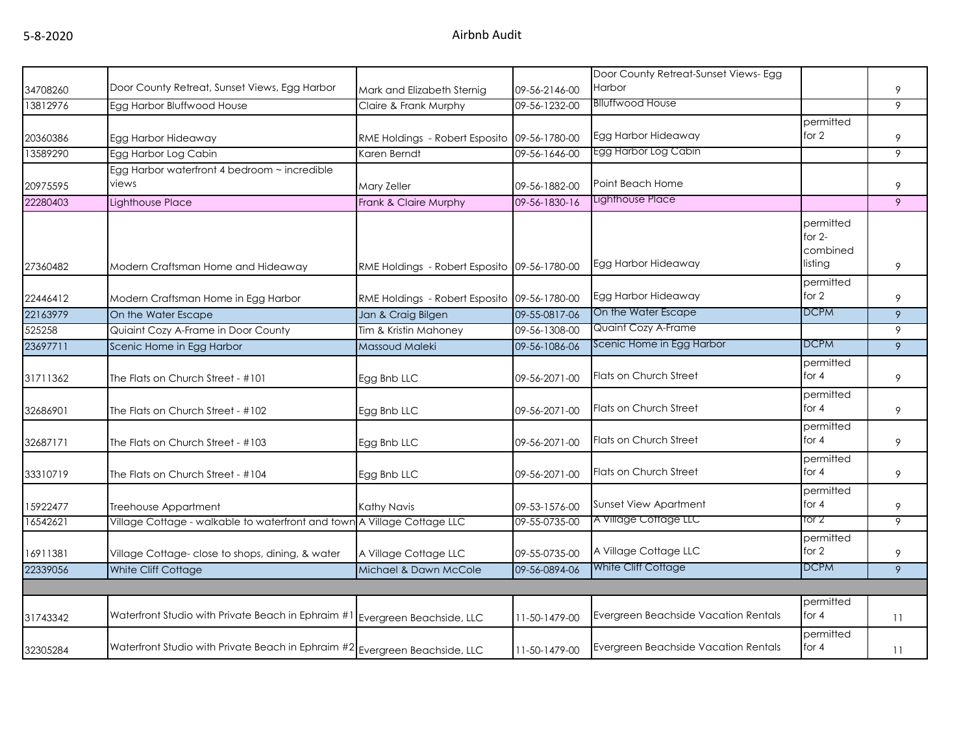|          |                                                                             |                                              |               | Door County Retreat-Sunset Views- Egg |                                              |                |
|----------|-----------------------------------------------------------------------------|----------------------------------------------|---------------|---------------------------------------|----------------------------------------------|----------------|
| 34708260 | Door County Retreat, Sunset Views, Egg Harbor                               | Mark and Elizabeth Sternig                   | 09-56-2146-00 | Harbor                                |                                              | 9              |
| 13812976 | Egg Harbor Bluffwood House                                                  | Claire & Frank Murphy                        | 09-56-1232-00 | <b>Blluffwood House</b>               |                                              | 9              |
| 20360386 | Egg Harbor Hideaway                                                         | RME Holdings - Robert Esposito 09-56-1780-00 |               | Egg Harbor Hideaway                   | permitted<br>for 2                           | 9              |
| 13589290 | Egg Harbor Log Cabin                                                        | Karen Berndt                                 | 09-56-1646-00 | Egg Harbor Log Cabin                  |                                              | 9              |
| 20975595 | Egg Harbor waterfront 4 bedroom ~ incredible<br>views                       | Mary Zeller                                  | 09-56-1882-00 | Point Beach Home                      |                                              | 9              |
| 22280403 | Lighthouse Place                                                            | Frank & Claire Murphy                        | 09-56-1830-16 | Lighthouse Place                      |                                              | 9              |
| 27360482 | Modern Craftsman Home and Hideaway                                          |                                              |               | Egg Harbor Hideaway                   | permitted<br>for $2-$<br>combined<br>listing | 9              |
|          |                                                                             | RME Holdings - Robert Esposito 09-56-1780-00 |               |                                       | permitted                                    |                |
| 22446412 | Modern Craftsman Home in Egg Harbor                                         | RME Holdings - Robert Esposito 09-56-1780-00 |               | Egg Harbor Hideaway                   | for 2                                        | 9              |
| 22163979 | On the Water Escape                                                         | Jan & Craig Bilgen                           | 09-55-0817-06 | On the Water Escape                   | DCPM                                         | 9              |
| 525258   | Quiaint Cozy A-Frame in Door County                                         | Tim & Kristin Mahoney                        | 09-56-1308-00 | Quaint Cozy A-Frame                   |                                              | 9              |
| 23697711 | Scenic Home in Egg Harbor                                                   | Massoud Maleki                               | 09-56-1086-06 | Scenic Home in Egg Harbor             | <b>DCPM</b>                                  | 9              |
| 31711362 | The Flats on Church Street - #101                                           | Egg Bnb LLC                                  | 09-56-2071-00 | Flats on Church Street                | permitted<br>for 4                           | 9              |
| 32686901 | The Flats on Church Street - #102                                           | Egg Bnb LLC                                  | 09-56-2071-00 | Flats on Church Street                | permitted<br>for $4$                         | 9              |
| 32687171 | The Flats on Church Street - #103                                           | Egg Bnb LLC                                  | 09-56-2071-00 | Flats on Church Street                | permitted<br>for $4$                         | 9              |
| 33310719 | The Flats on Church Street - #104                                           | Egg Bnb LLC                                  | 09-56-2071-00 | Flats on Church Street                | permitted<br>for $4$                         | 9              |
| 15922477 | Treehouse Appartment                                                        | Kathy Navis                                  | 09-53-1576-00 | Sunset View Apartment                 | permitted<br>for $4$                         | 9              |
| 16542621 | Village Cottage - walkable to waterfront and town A Village Cottage LLC     |                                              | 09-55-0735-00 | A Village Cottage LLC                 | tor 2                                        | 9              |
| 16911381 | Village Cottage- close to shops, dining, & water                            | A Village Cottage LLC                        | 09-55-0735-00 | A Village Cottage LLC                 | permitted<br>for 2                           | 9              |
| 22339056 | White Cliff Cottage                                                         | Michael & Dawn McCole                        | 09-56-0894-06 | White Cliff Cottage                   | DCPM                                         | $\overline{9}$ |
|          |                                                                             |                                              |               |                                       |                                              |                |
| 31743342 | Waterfront Studio with Private Beach in Ephraim #1 Evergreen Beachside, LLC |                                              | 11-50-1479-00 | Evergreen Beachside Vacation Rentals  | permitted<br>for 4                           | 11             |
| 32305284 | Waterfront Studio with Private Beach in Ephraim #2 Evergreen Beachside, LLC |                                              | 11-50-1479-00 | Evergreen Beachside Vacation Rentals  | permitted<br>for 4                           | 11             |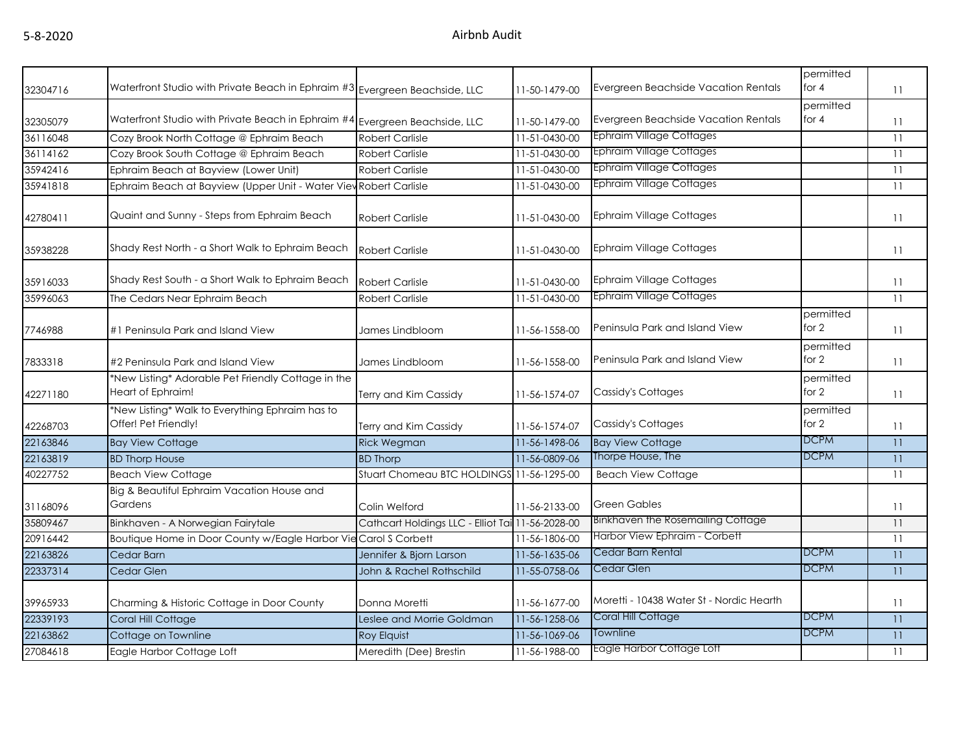| 32304716 | Waterfront Studio with Private Beach in Ephraim #3 Evergreen Beachside, LLC |                                                  | 11-50-1479-00 | Evergreen Beachside Vacation Rentals     | permitted<br>for $4$ | 11 |
|----------|-----------------------------------------------------------------------------|--------------------------------------------------|---------------|------------------------------------------|----------------------|----|
| 32305079 | Waterfront Studio with Private Beach in Ephraim #4 Evergreen Beachside, LLC |                                                  | 11-50-1479-00 | Evergreen Beachside Vacation Rentals     | permitted<br>for $4$ | 11 |
| 36116048 | Cozy Brook North Cottage @ Ephraim Beach                                    | <b>Robert Carlisle</b>                           | 11-51-0430-00 | Ephraim Village Cottages                 |                      | 11 |
| 36114162 | Cozy Brook South Cottage @ Ephraim Beach                                    | <b>Robert Carlisle</b>                           | 11-51-0430-00 | <b>Ephraim Village Cottages</b>          |                      | 11 |
| 35942416 | Ephraim Beach at Bayview (Lower Unit)                                       | <b>Robert Carlisle</b>                           | 11-51-0430-00 | <b>Ephraim Village Cottages</b>          |                      | 11 |
| 35941818 | Ephraim Beach at Bayview (Upper Unit - Water View Robert Carlisle           |                                                  | 11-51-0430-00 | <b>Ephraim Village Cottages</b>          |                      | 11 |
| 42780411 | Quaint and Sunny - Steps from Ephraim Beach                                 | <b>Robert Carlisle</b>                           | 11-51-0430-00 | <b>Ephraim Village Cottages</b>          |                      | 11 |
| 35938228 | Shady Rest North - a Short Walk to Ephraim Beach                            | <b>Robert Carlisle</b>                           | 11-51-0430-00 | Ephraim Village Cottages                 |                      | 11 |
| 35916033 | Shady Rest South - a Short Walk to Ephraim Beach                            | <b>Robert Carlisle</b>                           | 11-51-0430-00 | <b>Ephraim Village Cottages</b>          |                      | 11 |
| 35996063 | The Cedars Near Ephraim Beach                                               | <b>Robert Carlisle</b>                           | 11-51-0430-00 | <b>Ephraim Village Cottages</b>          |                      | 11 |
| 7746988  | #1 Peninsula Park and Island View                                           | James Lindbloom                                  | 11-56-1558-00 | Peninsula Park and Island View           | permitted<br>for $2$ | 11 |
| 7833318  | #2 Peninsula Park and Island View                                           | James Lindbloom                                  | 11-56-1558-00 | Peninsula Park and Island View           | permitted<br>for $2$ | 11 |
| 42271180 | *New Listing* Adorable Pet Friendly Cottage in the<br>Heart of Ephraim!     | Terry and Kim Cassidy                            | 11-56-1574-07 | Cassidy's Cottages                       | permitted<br>for 2   | 11 |
| 42268703 | *New Listing* Walk to Everything Ephraim has to<br>Offer! Pet Friendly!     | Terry and Kim Cassidy                            | 11-56-1574-07 | <b>Cassidy's Cottages</b>                | permitted<br>for $2$ | 11 |
| 22163846 | <b>Bay View Cottage</b>                                                     | <b>Rick Wegman</b>                               | 11-56-1498-06 | <b>Bay View Cottage</b>                  | <b>DCPM</b>          | 11 |
| 22163819 | <b>BD Thorp House</b>                                                       | <b>BD Thorp</b>                                  | 11-56-0809-06 | Thorpe House, The                        | <b>DCPM</b>          | 11 |
| 40227752 | <b>Beach View Cottage</b>                                                   | Stuart Chomeau BTC HOLDINGS 11-56-1295-00        |               | <b>Beach View Cottage</b>                |                      | 11 |
| 31168096 | Big & Beautiful Ephraim Vacation House and<br>Gardens                       | Colin Welford                                    | 11-56-2133-00 | <b>Green Gables</b>                      |                      | 11 |
| 35809467 | Binkhaven - A Norwegian Fairytale                                           | Cathcart Holdings LLC - Elliot Tai 11-56-2028-00 |               | Binkhaven the Rosemailing Cottage        |                      | 11 |
| 20916442 | Boutique Home in Door County w/Eagle Harbor Vie Carol S Corbett             |                                                  | 11-56-1806-00 | Harbor View Ephraim - Corbett            |                      | 11 |
| 22163826 | Cedar Barn                                                                  | Jennifer & Bjorn Larson                          | 11-56-1635-06 | Cedar Barn Rental                        | <b>DCPM</b>          | 11 |
| 22337314 | Cedar Glen                                                                  | John & Rachel Rothschild                         | 11-55-0758-06 | Cedar Glen                               | <b>DCPM</b>          | 11 |
| 39965933 | Charming & Historic Cottage in Door County                                  | Donna Moretti                                    | 11-56-1677-00 | Moretti - 10438 Water St - Nordic Hearth |                      | 11 |
| 22339193 | Coral Hill Cottage                                                          | Leslee and Morrie Goldman                        | 11-56-1258-06 | Coral Hill Cottage                       | <b>DCPM</b>          | 11 |
| 22163862 | Cottage on Townline                                                         | Roy Elquist                                      | 11-56-1069-06 | <b>Townline</b>                          | <b>DCPM</b>          | 11 |
| 27084618 | Eagle Harbor Cottage Loft                                                   | Meredith (Dee) Brestin                           | 11-56-1988-00 | Eagle Harbor Cottage Loft                |                      | 11 |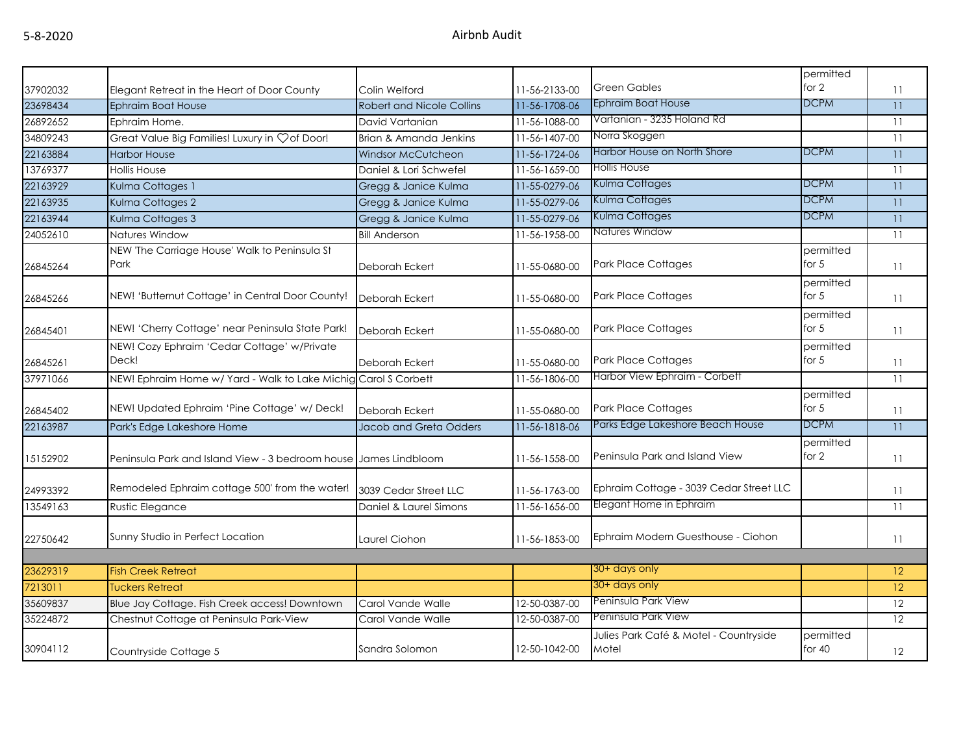|          |                                                                  |                                  |               |                                         | permitted             |                 |
|----------|------------------------------------------------------------------|----------------------------------|---------------|-----------------------------------------|-----------------------|-----------------|
| 37902032 | Elegant Retreat in the Heart of Door County                      | Colin Welford                    | 11-56-2133-00 | <b>Green Gables</b>                     | for 2                 | 11              |
| 23698434 | <b>Ephraim Boat House</b>                                        | <b>Robert and Nicole Collins</b> | 11-56-1708-06 | <b>Ephraim Boat House</b>               | <b>DCPM</b>           | 11              |
| 26892652 | Ephraim Home.                                                    | David Vartanian                  | 11-56-1088-00 | Vartanian - 3235 Holand Rd              |                       | 11              |
| 34809243 | Great Value Big Families! Luxury in $\heartsuit$ of Door!        | Brian & Amanda Jenkins           | 11-56-1407-00 | Norra Skoggen                           |                       | 11              |
| 22163884 | <b>Harbor House</b>                                              | <b>Windsor McCutcheon</b>        | 11-56-1724-06 | Harbor House on North Shore             | <b>DCPM</b>           | 11              |
| 13769377 | <b>Hollis House</b>                                              | Daniel & Lori Schwefel           | 11-56-1659-00 | Hollis House                            |                       | 11              |
| 22163929 | Kulma Cottages 1                                                 | Gregg & Janice Kulma             | 11-55-0279-06 | Kulma Cottages                          | <b>DCPM</b>           | 11              |
| 22163935 | Kulma Cottages 2                                                 | Gregg & Janice Kulma             | 11-55-0279-06 | Kulma Cottages                          | DCPM                  | 11              |
| 22163944 | Kulma Cottages 3                                                 | Gregg & Janice Kulma             | 11-55-0279-06 | Kulma Cottages                          | <b>DCPM</b>           | 11              |
| 24052610 | Natures Window                                                   | <b>Bill Anderson</b>             | 11-56-1958-00 | Natures Window                          |                       | 11              |
| 26845264 | NEW 'The Carriage House' Walk to Peninsula St<br>Park            | Deborah Eckert                   | 11-55-0680-00 | <b>Park Place Cottages</b>              | permitted<br>for $5$  | 11              |
| 26845266 | NEW! 'Butternut Cottage' in Central Door County!                 | Deborah Eckert                   | 11-55-0680-00 | <b>Park Place Cottages</b>              | permitted<br>for 5    | 11              |
| 26845401 | NEW! 'Cherry Cottage' near Peninsula State Park!                 | Deborah Eckert                   | 11-55-0680-00 | <b>Park Place Cottages</b>              | permitted<br>for 5    | 11              |
| 26845261 | NEW! Cozy Ephraim 'Cedar Cottage' w/Private<br>Deck!             | Deborah Eckert                   | 11-55-0680-00 | <b>Park Place Cottages</b>              | permitted<br>for 5    | 11              |
| 37971066 | NEW! Ephraim Home w/ Yard - Walk to Lake Michig Carol S Corbett  |                                  | 11-56-1806-00 | Harbor View Ephraim - Corbett           |                       | 11              |
| 26845402 | NEW! Updated Ephraim 'Pine Cottage' w/ Deck!                     | <b>Deborah Eckert</b>            | 11-55-0680-00 | <b>Park Place Cottages</b>              | permitted<br>for 5    | 11              |
| 22163987 | Park's Edge Lakeshore Home                                       | Jacob and Greta Odders           | 11-56-1818-06 | Parks Edge Lakeshore Beach House        | <b>DCPM</b>           | 11              |
| 15152902 | Peninsula Park and Island View - 3 bedroom house James Lindbloom |                                  | 11-56-1558-00 | Peninsula Park and Island View          | permitted<br>for 2    | 11              |
| 24993392 | Remodeled Ephraim cottage 500' from the water!                   | 3039 Cedar Street LLC            | 11-56-1763-00 | Ephraim Cottage - 3039 Cedar Street LLC |                       | 11              |
| 13549163 | <b>Rustic Elegance</b>                                           | Daniel & Laurel Simons           | 11-56-1656-00 | Elegant Home in Ephraim                 |                       | 11              |
| 22750642 | Sunny Studio in Perfect Location                                 | Laurel Ciohon                    | 11-56-1853-00 | Ephraim Modern Guesthouse - Ciohon      |                       | 11              |
|          |                                                                  |                                  |               | 30+ days only                           |                       |                 |
| 23629319 | <b>Fish Creek Retreat</b>                                        |                                  |               | 30+ days only                           |                       | 12              |
| 7213011  | <b>Tuckers Retreat</b>                                           |                                  |               | Peninsula Park View                     |                       | 12 <sup>°</sup> |
| 35609837 | Blue Jay Cottage. Fish Creek access! Downtown                    | Carol Vande Walle                | 12-50-0387-00 | Peninsula Park View                     |                       | 12<br>12        |
| 35224872 | Chestnut Cottage at Peninsula Park-View                          | Carol Vande Walle                | 12-50-0387-00 | Julies Park Café & Motel - Countryside  |                       |                 |
| 30904112 | Countryside Cottage 5                                            | Sandra Solomon                   | 12-50-1042-00 | Motel                                   | permitted<br>for $40$ | 12              |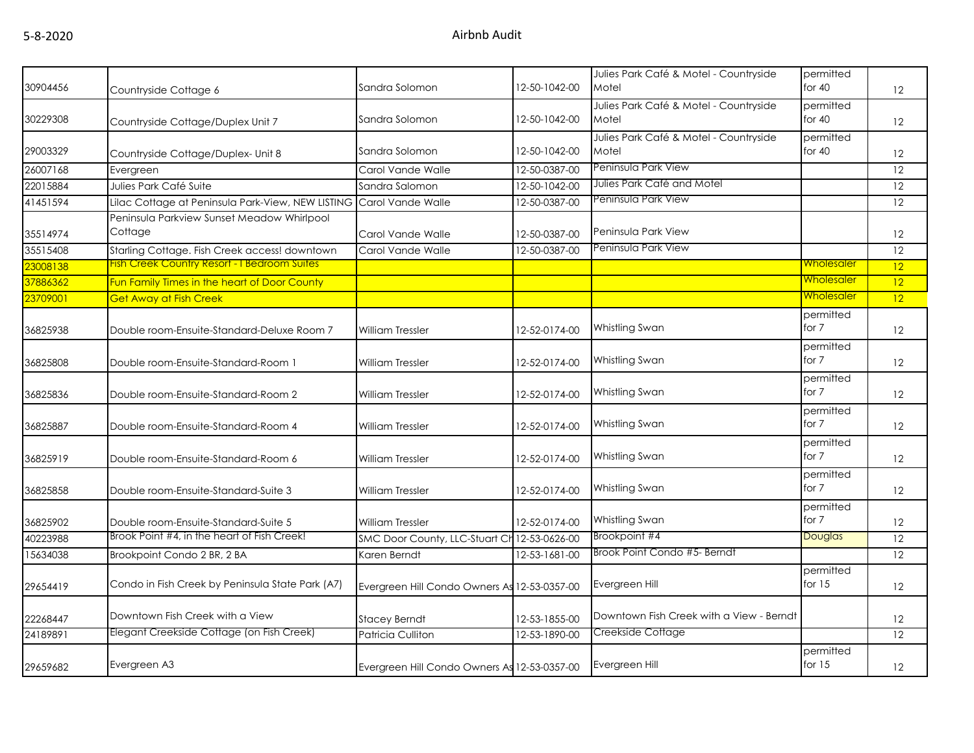| 30904456 | Countryside Cottage 6                                 | Sandra Solomon                               | 12-50-1042-00 | Julies Park Café & Motel - Countryside<br>Motel | permitted<br>for $40$ | 12                |
|----------|-------------------------------------------------------|----------------------------------------------|---------------|-------------------------------------------------|-----------------------|-------------------|
| 30229308 | Countryside Cottage/Duplex Unit 7                     | Sandra Solomon                               | 12-50-1042-00 | Julies Park Café & Motel - Countryside<br>Motel | permitted<br>for $40$ | 12                |
| 29003329 | Countryside Cottage/Duplex- Unit 8                    | Sandra Solomon                               | 12-50-1042-00 | Julies Park Café & Motel - Countryside<br>Motel | permitted<br>for $40$ | 12                |
| 26007168 | Evergreen                                             | Carol Vande Walle                            | 12-50-0387-00 | Peninsula Park View                             |                       | 12                |
| 22015884 | Julies Park Café Suite                                | Sandra Salomon                               | 12-50-1042-00 | Julies Park Café and Motel                      |                       | 12                |
| 41451594 | Lilac Cottage at Peninsula Park-View, NEW LISTING     | Carol Vande Walle                            | 12-50-0387-00 | Peninsula Park View                             |                       | 12                |
| 35514974 | Peninsula Parkview Sunset Meadow Whirlpool<br>Cottage | Carol Vande Walle                            | 12-50-0387-00 | Peninsula Park View                             |                       | 12                |
| 35515408 | Starling Cottage. Fish Creek access! downtown         | Carol Vande Walle                            | 12-50-0387-00 | Peninsula Park View                             |                       | 12                |
| 23008138 | <b>Fish Creek Country Resort - I Bedroom Suites</b>   |                                              |               |                                                 | <b>Wholesaler</b>     | 12                |
| 37886362 | Fun Family Times in the heart of Door County          |                                              |               |                                                 | <b>Wholesaler</b>     | $\overline{12}$   |
| 23709001 | <b>Get Away at Fish Creek</b>                         |                                              |               |                                                 | <b>Wholesaler</b>     | $ 12\rangle$      |
| 36825938 | Double room-Ensuite-Standard-Deluxe Room 7            | <b>William Tressler</b>                      | 12-52-0174-00 | Whistling Swan                                  | permitted<br>for 7    | 12                |
| 36825808 | Double room-Ensuite-Standard-Room 1                   | <b>William Tressler</b>                      | 12-52-0174-00 | Whistling Swan                                  | permitted<br>for 7    | 12                |
| 36825836 | Double room-Ensuite-Standard-Room 2                   | <b>William Tressler</b>                      | 12-52-0174-00 | Whistling Swan                                  | permitted<br>for 7    | 12                |
| 36825887 | Double room-Ensuite-Standard-Room 4                   | <b>William Tressler</b>                      | 12-52-0174-00 | Whistling Swan                                  | permitted<br>for 7    | 12                |
| 36825919 | Double room-Ensuite-Standard-Room 6                   | William Tressler                             | 12-52-0174-00 | Whistling Swan                                  | permitted<br>for 7    | 12                |
| 36825858 | Double room-Ensuite-Standard-Suite 3                  | <b>William Tressler</b>                      | 12-52-0174-00 | Whistling Swan                                  | permitted<br>for 7    | 12                |
| 36825902 | Double room-Ensuite-Standard-Suite 5                  | <b>William Tressler</b>                      | 12-52-0174-00 | Whistling Swan                                  | permitted<br>for 7    | 12                |
| 40223988 | Brook Point #4, in the heart of Fish Creek!           | SMC Door County, LLC-Stuart Ch 12-53-0626-00 |               | Brookpoint #4                                   | Douglas               | 12                |
| 15634038 | Brookpoint Condo 2 BR, 2 BA                           | Karen Berndt                                 | 12-53-1681-00 | Brook Point Condo #5- Berndt                    |                       | 12                |
| 29654419 | Condo in Fish Creek by Peninsula State Park (A7)      | Evergreen Hill Condo Owners As 12-53-0357-00 |               | Evergreen Hill                                  | permitted<br>for $15$ | 12                |
| 22268447 | Downtown Fish Creek with a View                       | <b>Stacey Berndt</b>                         | 12-53-1855-00 | Downtown Fish Creek with a View - Berndt        |                       | $12 \overline{ }$ |
| 24189891 | Elegant Creekside Cottage (on Fish Creek)             | Patricia Culliton                            | 12-53-1890-00 | Creekside Cottage                               |                       | 12                |
| 29659682 | Evergreen A3                                          | Evergreen Hill Condo Owners As 12-53-0357-00 |               | Evergreen Hill                                  | permitted<br>for $15$ | 12                |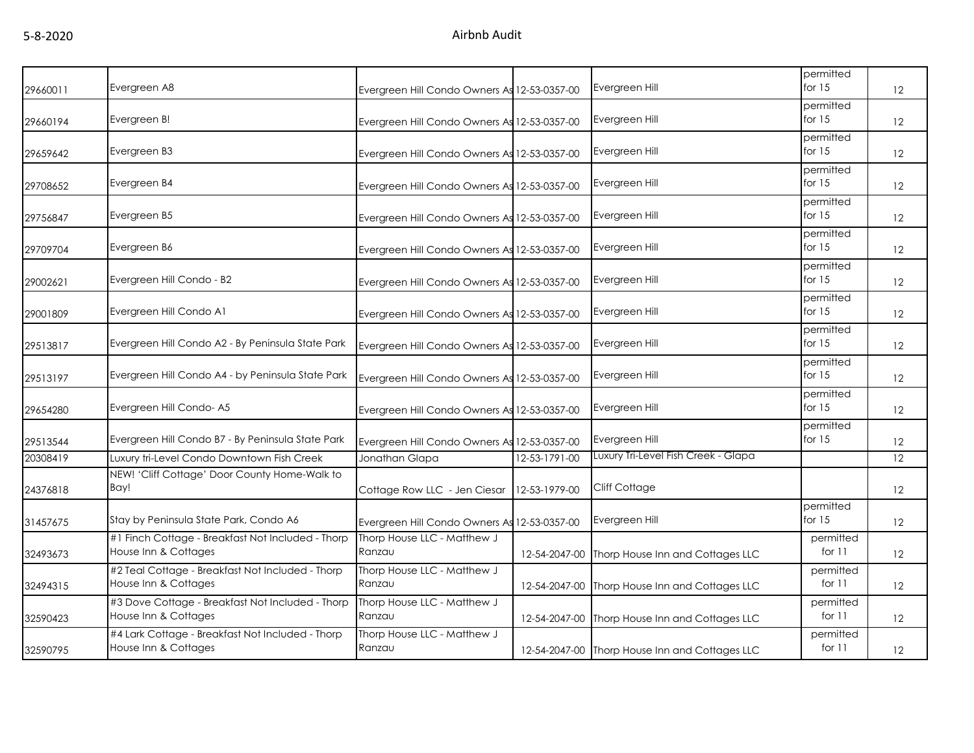| 29660011 | Evergreen A8                                                              | Evergreen Hill Condo Owners As 12-53-0357-00 |               | Evergreen Hill                                 | permitted<br>for $15$ | 12                |
|----------|---------------------------------------------------------------------------|----------------------------------------------|---------------|------------------------------------------------|-----------------------|-------------------|
| 29660194 | Evergreen B!                                                              | Evergreen Hill Condo Owners As 12-53-0357-00 |               | Evergreen Hill                                 | permitted<br>for $15$ | 12                |
| 29659642 | Evergreen B3                                                              | Evergreen Hill Condo Owners As 12-53-0357-00 |               | Evergreen Hill                                 | permitted<br>for $15$ | 12                |
| 29708652 | Evergreen B4                                                              | Evergreen Hill Condo Owners As 12-53-0357-00 |               | Evergreen Hill                                 | permitted<br>for $15$ | 12                |
| 29756847 | Evergreen B5                                                              | Evergreen Hill Condo Owners As 12-53-0357-00 |               | Evergreen Hill                                 | permitted<br>for $15$ | 12                |
| 29709704 | Evergreen B6                                                              | Evergreen Hill Condo Owners As 12-53-0357-00 |               | Evergreen Hill                                 | permitted<br>for $15$ | 12                |
| 29002621 | Evergreen Hill Condo - B2                                                 | Evergreen Hill Condo Owners As 12-53-0357-00 |               | Evergreen Hill                                 | permitted<br>for $15$ | $12 \overline{ }$ |
| 29001809 | Evergreen Hill Condo A1                                                   | Evergreen Hill Condo Owners As 12-53-0357-00 |               | Evergreen Hill                                 | permitted<br>for $15$ | 12                |
| 29513817 | Evergreen Hill Condo A2 - By Peninsula State Park                         | Evergreen Hill Condo Owners As 12-53-0357-00 |               | Evergreen Hill                                 | permitted<br>for $15$ | 12                |
| 29513197 | Evergreen Hill Condo A4 - by Peninsula State Park                         | Evergreen Hill Condo Owners As 12-53-0357-00 |               | Evergreen Hill                                 | permitted<br>for $15$ | 12                |
| 29654280 | Evergreen Hill Condo- A5                                                  | Evergreen Hill Condo Owners As 12-53-0357-00 |               | Evergreen Hill                                 | permitted<br>for $15$ | $12 \overline{ }$ |
| 29513544 | Evergreen Hill Condo B7 - By Peninsula State Park                         | Evergreen Hill Condo Owners As 12-53-0357-00 |               | Evergreen Hill                                 | permitted<br>for $15$ | $12 \overline{ }$ |
| 20308419 | Luxury tri-Level Condo Downtown Fish Creek                                | Jonathan Glapa                               | 12-53-1791-00 | Luxury Tri-Level Fish Creek - Glapa            |                       | 12                |
| 24376818 | NEW! 'Cliff Cottage' Door County Home-Walk to<br>Bay!                     | Cottage Row LLC - Jen Ciesar                 | 12-53-1979-00 | Cliff Cottage                                  |                       | $12 \overline{ }$ |
| 31457675 | Stay by Peninsula State Park, Condo A6                                    | Evergreen Hill Condo Owners As 12-53-0357-00 |               | Evergreen Hill                                 | permitted<br>for $15$ | $12 \overline{ }$ |
| 32493673 | #1 Finch Cottage - Breakfast Not Included - Thorp<br>House Inn & Cottages | Thorp House LLC - Matthew J<br>Ranzau        |               | 12-54-2047-00 Thorp House Inn and Cottages LLC | permitted<br>for $11$ | 12                |
| 32494315 | #2 Teal Cottage - Breakfast Not Included - Thorp<br>House Inn & Cottages  | Thorp House LLC - Matthew J<br>Ranzau        |               | 12-54-2047-00 Thorp House Inn and Cottages LLC | permitted<br>for $11$ | $12 \overline{ }$ |
| 32590423 | #3 Dove Cottage - Breakfast Not Included - Thorp<br>House Inn & Cottages  | Thorp House LLC - Matthew J<br>Ranzau        |               | 12-54-2047-00 Thorp House Inn and Cottages LLC | permitted<br>for $11$ | $12 \overline{ }$ |
| 32590795 | #4 Lark Cottage - Breakfast Not Included - Thorp<br>House Inn & Cottages  | Thorp House LLC - Matthew J<br>Ranzau        |               | 12-54-2047-00 Thorp House Inn and Cottages LLC | permitted<br>for $11$ | 12                |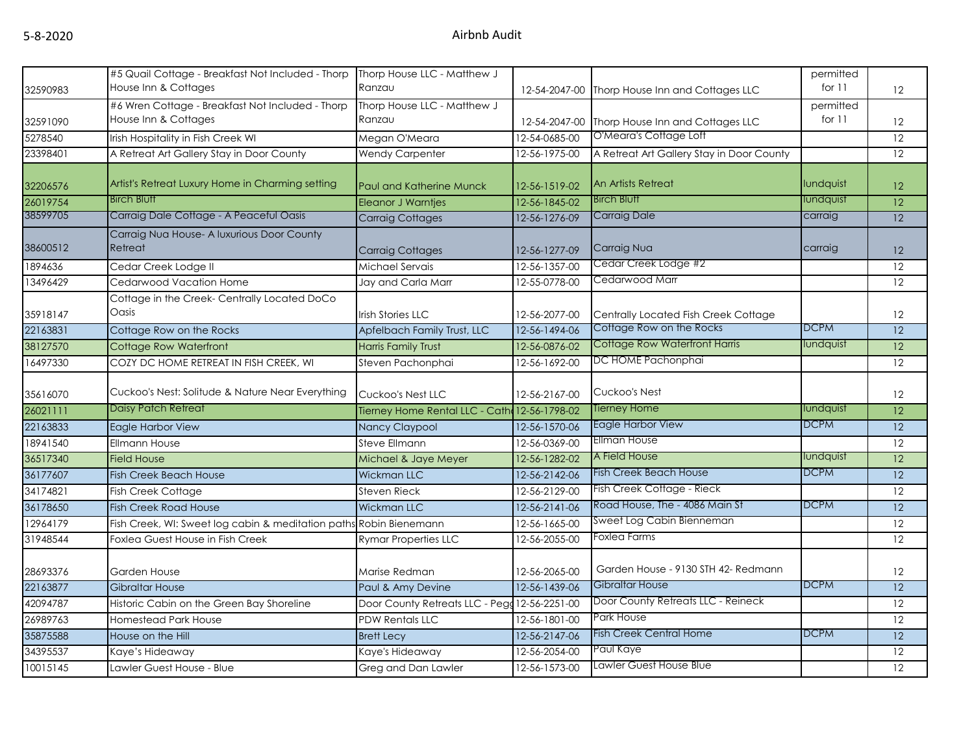| 32590983 | #5 Quail Cottage - Breakfast Not Included - Thorp<br>House Inn & Cottages | Thorp House LLC - Matthew J<br>Ranzau         |               | 12-54-2047-00 Thorp House Inn and Cottages LLC | permitted<br>for $11$ | 12              |
|----------|---------------------------------------------------------------------------|-----------------------------------------------|---------------|------------------------------------------------|-----------------------|-----------------|
| 32591090 | #6 Wren Cottage - Breakfast Not Included - Thorp<br>House Inn & Cottages  | Thorp House LLC - Matthew J<br>Ranzau         | 12-54-2047-00 | Thorp House Inn and Cottages LLC               | permitted<br>for $11$ | 12              |
| 5278540  | Irish Hospitality in Fish Creek WI                                        | Megan O'Meara                                 | 12-54-0685-00 | O'Meara's Cottage Loft                         |                       | 12              |
| 23398401 | A Retreat Art Gallery Stay in Door County                                 | <b>Wendy Carpenter</b>                        | 12-56-1975-00 | A Retreat Art Gallery Stay in Door County      |                       | 12              |
| 32206576 | Artist's Retreat Luxury Home in Charming setting                          | <b>Paul and Katherine Munck</b>               | 12-56-1519-02 | An Artists Retreat                             | lundquist             | 12              |
| 26019754 | <b>Birch Bluff</b>                                                        | <b>Eleanor J Warntjes</b>                     | 12-56-1845-02 | <b>Birch Bluff</b>                             | lundquist             | 12              |
| 38599705 | Carraig Dale Cottage - A Peaceful Oasis                                   | <b>Carraig Cottages</b>                       | 12-56-1276-09 | <b>Carraig Dale</b>                            | carraig               | 12              |
| 38600512 | Carraig Nua House- A luxurious Door County<br>Retreat                     | Carraig Cottages                              | 12-56-1277-09 | Carraig Nua                                    | carraig               | 12              |
| 1894636  | Cedar Creek Lodge II                                                      | Michael Servais                               | 12-56-1357-00 | Cedar Creek Lodge #2                           |                       | 12              |
| 13496429 | Cedarwood Vacation Home                                                   | Jay and Carla Marr                            | 12-55-0778-00 | Cedarwood Marr                                 |                       | 12              |
| 35918147 | Cottage in the Creek-Centrally Located DoCo<br>Oasis                      | <b>Irish Stories LLC</b>                      | 12-56-2077-00 | Centrally Located Fish Creek Cottage           |                       | 12              |
| 22163831 | Cottage Row on the Rocks                                                  | Apfelbach Family Trust, LLC                   | 12-56-1494-06 | Cottage Row on the Rocks                       | <b>DCPM</b>           | $\overline{12}$ |
| 38127570 | Cottage Row Waterfront                                                    | <b>Harris Family Trust</b>                    | 12-56-0876-02 | <b>Cottage Row Waterfront Harris</b>           | lundquist             | 12              |
| 16497330 | COZY DC HOME RETREAT IN FISH CREEK, WI                                    | Steven Pachonphai                             | 12-56-1692-00 | DC HOME Pachonphai                             |                       | 12              |
| 35616070 | Cuckoo's Nest: Solitude & Nature Near Everything                          | Cuckoo's Nest LLC                             | 12-56-2167-00 | Cuckoo's Nest                                  |                       | 12              |
| 26021111 | Daisy Patch Retreat                                                       | Tierney Home Rental LLC - Cath 12-56-1798-02  |               | Tierney Home                                   | lundquist             | 12              |
| 22163833 | Eagle Harbor View                                                         | Nancy Claypool                                | 12-56-1570-06 | Eagle Harbor View                              | <b>DCPM</b>           | 12              |
| 18941540 | Ellmann House                                                             | <b>Steve Ellmann</b>                          | 12-56-0369-00 | <b>Ellman House</b>                            |                       | 12              |
| 36517340 | <b>Field House</b>                                                        | Michael & Jaye Meyer                          | 12-56-1282-02 | A Field House                                  | lundquist             | $\overline{12}$ |
| 36177607 | <b>Fish Creek Beach House</b>                                             | <b>Wickman LLC</b>                            | 12-56-2142-06 | <b>Fish Creek Beach House</b>                  | <b>DCPM</b>           | 12              |
| 34174821 | Fish Creek Cottage                                                        | <b>Steven Rieck</b>                           | 12-56-2129-00 | Fish Creek Cottage - Rieck                     |                       | 12              |
| 36178650 | <b>Fish Creek Road House</b>                                              | <b>Wickman LLC</b>                            | 12-56-2141-06 | Road House, The - 4086 Main St                 | <b>DCPM</b>           | 12              |
| 12964179 | Fish Creek, WI: Sweet log cabin & meditation paths Robin Bienemann        |                                               | 12-56-1665-00 | Sweet Log Cabin Bienneman                      |                       | 12              |
| 31948544 | Foxlea Guest House in Fish Creek                                          | <b>Rymar Properties LLC</b>                   | 12-56-2055-00 | Foxlea Farms                                   |                       | 12              |
| 28693376 | <b>Garden House</b>                                                       | Marise Redman                                 | 12-56-2065-00 | Garden House - 9130 STH 42- Redmann            |                       | 12              |
| 22163877 | <b>Gibraltar House</b>                                                    | Paul & Amy Devine                             | 12-56-1439-06 | Gibraltar House                                | <b>DCPM</b>           | $\overline{12}$ |
| 42094787 | Historic Cabin on the Green Bay Shoreline                                 | Door County Retreats LLC - Pegg 12-56-2251-00 |               | Door County Retreats LLC - Reineck             |                       | 12              |
| 26989763 | <b>Homestead Park House</b>                                               | <b>PDW Rentals LLC</b>                        | 12-56-1801-00 | Park House                                     |                       | $\overline{12}$ |
| 35875588 | House on the Hill                                                         | <b>Brett Lecy</b>                             | 12-56-2147-06 | <b>Fish Creek Central Home</b>                 | <b>DCPM</b>           | 12              |
| 34395537 | Kaye's Hideaway                                                           | Kaye's Hideaway                               | 12-56-2054-00 | Paul Kaye                                      |                       | 12              |
| 10015145 | Lawler Guest House - Blue                                                 | Greg and Dan Lawler                           | 12-56-1573-00 | Lawler Guest House Blue                        |                       | 12              |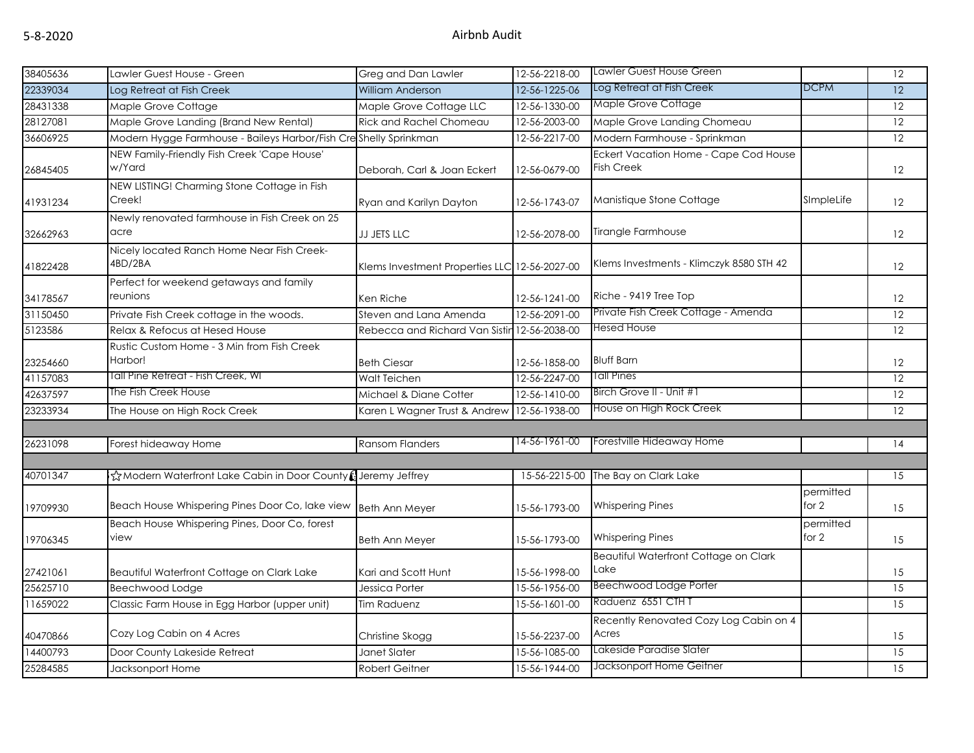| 38405636 | Lawler Guest House - Green                                       | Greg and Dan Lawler                           | 12-56-2218-00 | Lawler Guest House Green                                   |                    | 12              |
|----------|------------------------------------------------------------------|-----------------------------------------------|---------------|------------------------------------------------------------|--------------------|-----------------|
| 22339034 | Log Retreat at Fish Creek                                        | <b>William Anderson</b>                       | 12-56-1225-06 | Log Retreat at Fish Creek                                  | <b>DCPM</b>        | 12              |
| 28431338 | Maple Grove Cottage                                              | Maple Grove Cottage LLC                       | 12-56-1330-00 | Maple Grove Cottage                                        |                    | 12              |
| 28127081 | Maple Grove Landing (Brand New Rental)                           | <b>Rick and Rachel Chomeau</b>                | 12-56-2003-00 | Maple Grove Landing Chomeau                                |                    | 12              |
| 36606925 | Modern Hygge Farmhouse - Baileys Harbor/Fish Creshelly Sprinkman |                                               | 12-56-2217-00 | Modern Farmhouse - Sprinkman                               |                    | 12              |
| 26845405 | NEW Family-Friendly Fish Creek 'Cape House'<br>w/Yard            | Deborah, Carl & Joan Eckert                   | 12-56-0679-00 | Eckert Vacation Home - Cape Cod House<br><b>Fish Creek</b> |                    | 12              |
| 41931234 | NEW LISTING! Charming Stone Cottage in Fish<br>Creek!            | Ryan and Karilyn Dayton                       | 12-56-1743-07 | Manistique Stone Cottage                                   | SImpleLife         | 12              |
| 32662963 | Newly renovated farmhouse in Fish Creek on 25<br>acre            | <b>JJ JETS LLC</b>                            | 12-56-2078-00 | Tirangle Farmhouse                                         |                    | 12              |
| 41822428 | Nicely located Ranch Home Near Fish Creek-<br>4BD/2BA            | Klems Investment Properties LLC 12-56-2027-00 |               | Klems Investments - Klimczyk 8580 STH 42                   |                    | 12              |
| 34178567 | Perfect for weekend getaways and family<br>reunions              | Ken Riche                                     | 12-56-1241-00 | Riche - 9419 Tree Top                                      |                    | 12              |
| 31150450 | Private Fish Creek cottage in the woods.                         | Steven and Lana Amenda                        | 12-56-2091-00 | Private Fish Creek Cottage - Amenda                        |                    | 12              |
| 5123586  | Relax & Refocus at Hesed House                                   | Rebecca and Richard Van Sistir                | 12-56-2038-00 | Hesed House                                                |                    | 12              |
| 23254660 | Rustic Custom Home - 3 Min from Fish Creek<br>Harbor!            | <b>Beth Ciesar</b>                            | 12-56-1858-00 | <b>Bluff Barn</b>                                          |                    | 12              |
| 41157083 | Tall Pine Retreat - Fish Creek, WI                               | Walt Teichen                                  | 12-56-2247-00 | <b>Tall Pines</b>                                          |                    | 12              |
| 42637597 | The Fish Creek House                                             | Michael & Diane Cotter                        | 12-56-1410-00 | Birch Grove II - Unit #1                                   |                    | 12              |
| 23233934 | The House on High Rock Creek                                     | Karen L Wagner Trust & Andrew                 | 12-56-1938-00 | House on High Rock Creek                                   |                    | 12              |
| 26231098 | Forest hideaway Home                                             | <b>Ransom Flanders</b>                        | 14-56-1961-00 | Forestville Hideaway Home                                  |                    | 14              |
|          |                                                                  |                                               |               |                                                            |                    |                 |
| 40701347 | ☆Modern Waterfront Lake Cabin in Door County (Jeremy Jeffrey     |                                               | 15-56-2215-00 | The Bay on Clark Lake                                      |                    | 15              |
| 19709930 | Beach House Whispering Pines Door Co, lake view                  | <b>Beth Ann Meyer</b>                         | 15-56-1793-00 | <b>Whispering Pines</b>                                    | permitted<br>for 2 | 15              |
| 19706345 | Beach House Whispering Pines, Door Co, forest<br>view            | Beth Ann Meyer                                | 15-56-1793-00 | <b>Whispering Pines</b>                                    | permitted<br>for 2 | 15              |
| 27421061 | Beautiful Waterfront Cottage on Clark Lake                       | Kari and Scott Hunt                           | 15-56-1998-00 | Beautiful Waterfront Cottage on Clark<br>Lake              |                    | 15              |
| 25625710 | Beechwood Lodge                                                  | Jessica Porter                                | 15-56-1956-00 | <b>Beechwood Lodge Porter</b>                              |                    | $\overline{15}$ |
| 11659022 | Classic Farm House in Egg Harbor (upper unit)                    | <b>Tim Raduenz</b>                            | 15-56-1601-00 | Raduenz 6551 CTH T                                         |                    | $\overline{15}$ |
| 40470866 | Cozy Log Cabin on 4 Acres                                        | Christine Skogg                               | 15-56-2237-00 | Recently Renovated Cozy Log Cabin on 4<br>Acres            |                    | 15              |
| 14400793 | Door County Lakeside Retreat                                     | Janet Slater                                  | 15-56-1085-00 | Lakeside Paradise Slater                                   |                    | 15              |
| 25284585 | Jacksonport Home                                                 | <b>Robert Geitner</b>                         | 15-56-1944-00 | Jacksonport Home Geitner                                   |                    | $\overline{15}$ |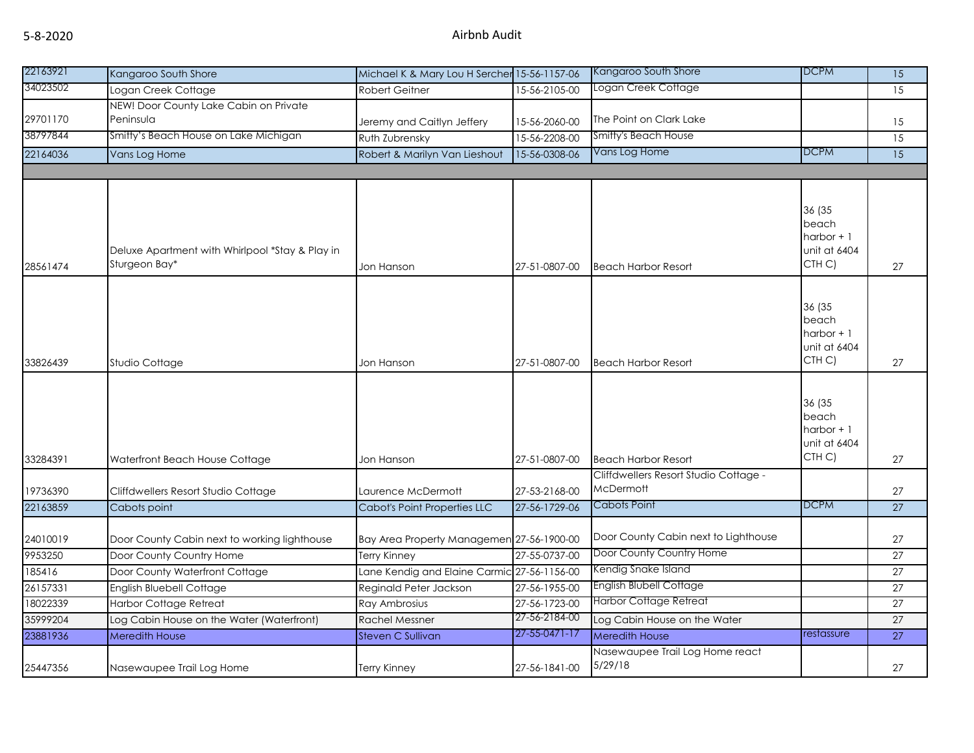| 22163921 | Kangaroo South Shore                                             | Michael K & Mary Lou H Sercher 15-56-1157-06 |                       | Kangaroo South Shore                       | <b>DCPM</b>                                                           | $\overline{15}$ |
|----------|------------------------------------------------------------------|----------------------------------------------|-----------------------|--------------------------------------------|-----------------------------------------------------------------------|-----------------|
| 34023502 | Logan Creek Cottage                                              | <b>Robert Geitner</b>                        | 15-56-2105-00         | Logan Creek Coffage                        |                                                                       | 15              |
|          | NEW! Door County Lake Cabin on Private                           |                                              |                       |                                            |                                                                       |                 |
| 29701170 | Peninsula                                                        | Jeremy and Caitlyn Jeffery                   | 15-56-2060-00         | The Point on Clark Lake                    |                                                                       | 15              |
| 38797844 | Smitty's Beach House on Lake Michigan                            | Ruth Zubrensky                               | $15 - 56 - 2208 - 00$ | <b>Smitty's Beach House</b>                |                                                                       | 15              |
| 22164036 | Vans Log Home                                                    | Robert & Marilyn Van Lieshout                | 15-56-0308-06         | Vans Log Home                              | <b>DCPM</b>                                                           | $\overline{15}$ |
|          |                                                                  |                                              |                       |                                            |                                                                       |                 |
|          |                                                                  |                                              |                       |                                            |                                                                       |                 |
| 28561474 | Deluxe Apartment with Whirlpool *Stay & Play in<br>Sturgeon Bay* | Jon Hanson                                   | 27-51-0807-00         | <b>Beach Harbor Resort</b>                 | 36 (35<br>beach<br>$harbor + 1$<br>unit at 6404<br>CTH C)             | 27              |
|          |                                                                  |                                              |                       |                                            |                                                                       |                 |
| 33826439 | Studio Cottage                                                   | Jon Hanson                                   | 27-51-0807-00         | <b>Beach Harbor Resort</b>                 | 36 (35<br>beach<br>harbor + 1<br>unit at 6404<br>CTH <sub>C</sub> )   | 27              |
|          |                                                                  |                                              |                       |                                            |                                                                       |                 |
| 33284391 | Waterfront Beach House Cottage                                   | Jon Hanson                                   | 27-51-0807-00         | <b>Beach Harbor Resort</b>                 | 36 (35<br>beach<br>$harbor + 1$<br>unit at 6404<br>CTH <sub>C</sub> ) | 27              |
|          |                                                                  |                                              |                       | Cliffdwellers Resort Studio Cottage -      |                                                                       |                 |
| 19736390 | Cliffdwellers Resort Studio Cottage                              | Laurence McDermott                           | 27-53-2168-00         | <b>McDermott</b>                           |                                                                       | 27              |
| 22163859 | Cabots point                                                     | <b>Cabot's Point Properties LLC</b>          | 27-56-1729-06         | <b>Cabots Point</b>                        | <b>DCPM</b>                                                           | $\overline{27}$ |
| 24010019 | Door County Cabin next to working lighthouse                     | Bay Area Property Managemen 27-56-1900-00    |                       | Door County Cabin next to Lighthouse       |                                                                       | 27              |
| 9953250  | Door County Country Home                                         | Terry Kinney                                 | 27-55-0737-00         | Door County Country Home                   |                                                                       | 27              |
| 185416   | Door County Waterfront Cottage                                   | Lane Kendig and Elaine Carmic 27-56-1156-00  |                       | Kendig Snake Island                        |                                                                       | 27              |
| 26157331 | English Bluebell Cottage                                         | Reginald Peter Jackson                       | 27-56-1955-00         | English Blubell Cottage                    |                                                                       | $\overline{27}$ |
| 18022339 | <b>Harbor Cottage Retreat</b>                                    | Ray Ambrosius                                | 27-56-1723-00         | Harbor Cottage Retreat                     |                                                                       | 27              |
| 35999204 | Log Cabin House on the Water (Waterfront)                        | <b>Rachel Messner</b>                        | 27-56-2184-00         | Log Cabin House on the Water               |                                                                       | $\overline{27}$ |
| 23881936 | <b>Meredith House</b>                                            | <b>Steven C Sullivan</b>                     | 27-55-0471-17         | <b>Meredith House</b>                      | restassure                                                            | 27              |
| 25447356 | Nasewaupee Trail Log Home                                        | Terry Kinney                                 | 27-56-1841-00         | Nasewaupee Trail Log Home react<br>5/29/18 |                                                                       | 27              |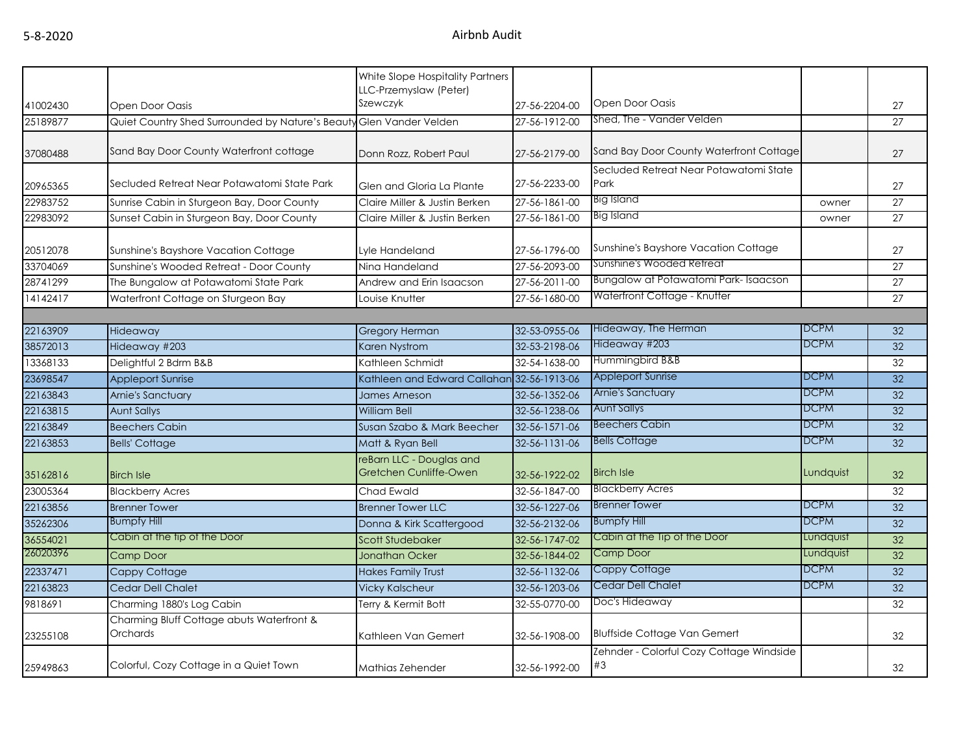|          |                                                                     | White Slope Hospitality Partners                   |                       |                                                |             |                 |
|----------|---------------------------------------------------------------------|----------------------------------------------------|-----------------------|------------------------------------------------|-------------|-----------------|
|          |                                                                     | LLC-Przemyslaw (Peter)                             |                       |                                                |             |                 |
| 41002430 | Open Door Oasis                                                     | Szewczyk                                           | 27-56-2204-00         | Open Door Oasis                                |             | 27              |
| 25189877 | Quiet Country Shed Surrounded by Nature's Beauty Glen Vander Velden |                                                    | 27-56-1912-00         | Shed, The - Vander Velden                      |             | 27              |
| 37080488 | Sand Bay Door County Waterfront cottage                             | Donn Rozz, Robert Paul                             | 27-56-2179-00         | Sand Bay Door County Waterfront Cottage        |             | 27              |
| 20965365 | Secluded Retreat Near Potawatomi State Park                         | Glen and Gloria La Plante                          | 27-56-2233-00         | Secluded Retreat Near Potawatomi State<br>Park |             | 27              |
| 22983752 | Sunrise Cabin in Sturgeon Bay, Door County                          | Claire Miller & Justin Berken                      | $27 - 56 - 1861 - 00$ | <b>Big Island</b>                              | owner       | 27              |
| 22983092 | Sunset Cabin in Sturgeon Bay, Door County                           | Claire Miller & Justin Berken                      | 27-56-1861-00         | <b>Big Island</b>                              | owner       | 27              |
| 20512078 | Sunshine's Bayshore Vacation Cottage                                | Lyle Handeland                                     | 27-56-1796-00         | Sunshine's Bayshore Vacation Cottage           |             | 27              |
| 33704069 | Sunshine's Wooded Retreat - Door County                             | Nina Handeland                                     | 27-56-2093-00         | Sunshine's Wooded Retreat                      |             | 27              |
| 28741299 | The Bungalow at Potawatomi State Park                               | Andrew and Erin Isaacson                           | 27-56-2011-00         | Bungalow at Potawatomi Park-Isaacson           |             | 27              |
| 14142417 | Waterfront Cottage on Sturgeon Bay                                  | Louise Knutter                                     | 27-56-1680-00         | Waterfront Cottage - Knutter                   |             | 27              |
|          |                                                                     |                                                    |                       |                                                |             |                 |
| 22163909 | Hideaway                                                            | <b>Gregory Herman</b>                              | 32-53-0955-06         | Hideaway, The Herman                           | DCPM        | 32              |
| 38572013 | Hideaway #203                                                       | Karen Nystrom                                      | 32-53-2198-06         | Hideaway #203                                  | DCPM        | 32              |
| 13368133 | Delightful 2 Bdrm B&B                                               | Kathleen Schmidt                                   | 32-54-1638-00         | Hummingbird B&B                                |             | 32              |
| 23698547 | <b>Appleport Sunrise</b>                                            | Kathleen and Edward Callahan 32-56-1913-06         |                       | <b>Appleport Sunrise</b>                       | <b>DCPM</b> | $\overline{32}$ |
| 22163843 | Arnie's Sanctuary                                                   | James Arneson                                      | 32-56-1352-06         | Arnie's Sanctuary                              | <b>DCPM</b> | $\overline{32}$ |
| 22163815 | <b>Aunt Sallys</b>                                                  | <b>William Bell</b>                                | 32-56-1238-06         | <b>Aunt Sallys</b>                             | <b>DCPM</b> | 32              |
| 22163849 | <b>Beechers Cabin</b>                                               | Susan Szabo & Mark Beecher                         | 32-56-1571-06         | <b>Beechers Cabin</b>                          | <b>DCPM</b> | 32              |
| 22163853 | <b>Bells' Cottage</b>                                               | Matt & Ryan Bell                                   | 32-56-1131-06         | <b>Bells Cottage</b>                           | <b>DCPM</b> | 32              |
| 35162816 | <b>Birch Isle</b>                                                   | reBarn LLC - Douglas and<br>Gretchen Cunliffe-Owen | 32-56-1922-02         | <b>Birch Isle</b>                              | Lundquist   | 32              |
| 23005364 | <b>Blackberry Acres</b>                                             | Chad Ewald                                         | 32-56-1847-00         | <b>Blackberry Acres</b>                        |             | 32              |
| 22163856 | <b>Brenner Tower</b>                                                | <b>Brenner Tower LLC</b>                           | 32-56-1227-06         | <b>Brenner Tower</b>                           | <b>DCPM</b> | 32              |
| 35262306 | <b>Bumpfy Hill</b>                                                  | Donna & Kirk Scattergood                           | 32-56-2132-06         | <b>Bumpfy Hill</b>                             | <b>DCPM</b> | 32              |
| 36554021 | Cabin at the tip of the Door                                        | <b>Scott Studebaker</b>                            | 32-56-1747-02         | Cabin at the Tip of the Door                   | Lundquist   | 32              |
| 26020396 | Camp Door                                                           | <b>Jonathan Ocker</b>                              | 32-56-1844-02         | <b>Camp Door</b>                               | Lundquist   | 32              |
| 22337471 | Cappy Cottage                                                       | <b>Hakes Family Trust</b>                          | 32-56-1132-06         | Cappy Cottage                                  | <b>DCPM</b> | 32              |
| 22163823 | <b>Cedar Dell Chalet</b>                                            | <b>Vicky Kalscheur</b>                             | 32-56-1203-06         | <b>Cedar Dell Chalet</b>                       | <b>DCPM</b> | 32              |
| 9818691  | Charming 1880's Log Cabin                                           | Terry & Kermit Bott                                | 32-55-0770-00         | Doc's Hideaway                                 |             | 32              |
| 23255108 | Charming Bluff Cottage abuts Waterfront &<br>Orchards               | Kathleen Van Gemert                                | 32-56-1908-00         | <b>Bluffside Cottage Van Gemert</b>            |             | 32              |
| 25949863 | Colorful, Cozy Cottage in a Quiet Town                              | Mathias Zehender                                   | 32-56-1992-00         | Zehnder - Colorful Cozy Cottage Windside<br>#3 |             | 32              |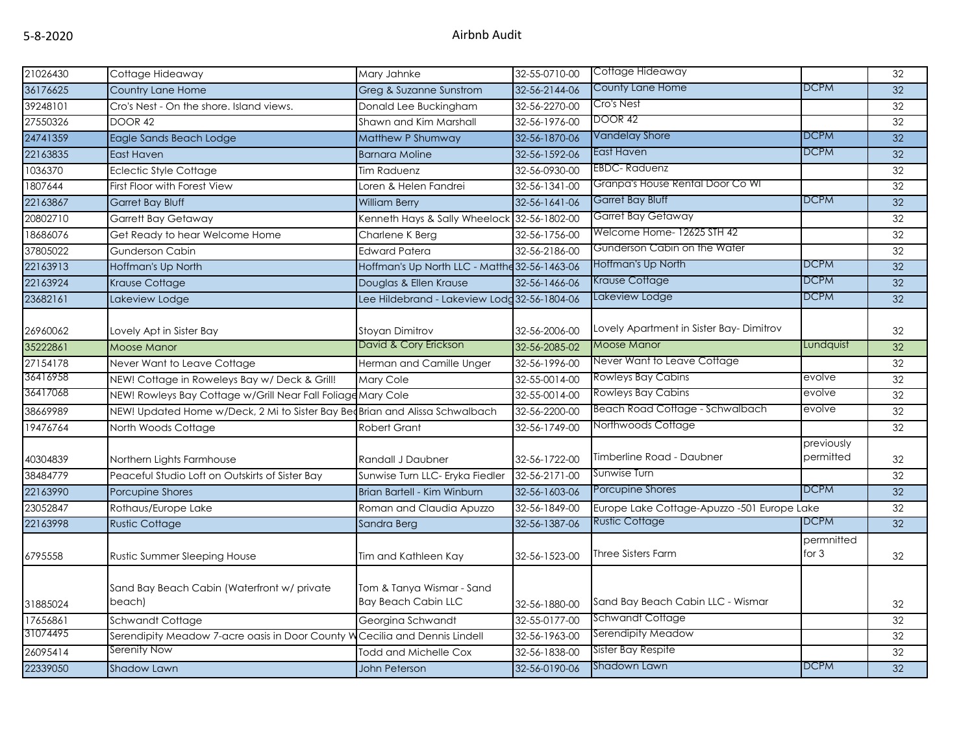| 21026430 | Cottage Hideaway                                                            | Mary Jahnke                                             | 32-55-0710-00 | Cottage Hideaway                            |                         | 32              |
|----------|-----------------------------------------------------------------------------|---------------------------------------------------------|---------------|---------------------------------------------|-------------------------|-----------------|
| 36176625 | Country Lane Home                                                           | Greg & Suzanne Sunstrom                                 | 32-56-2144-06 | County Lane Home                            | <b>DCPM</b>             | 32              |
| 39248101 | Cro's Nest - On the shore. Island views.                                    | Donald Lee Buckingham                                   | 32-56-2270-00 | Cro's Nest                                  |                         | 32              |
| 27550326 | <b>DOOR 42</b>                                                              | Shawn and Kim Marshall                                  | 32-56-1976-00 | <b>DOOR 42</b>                              |                         | 32              |
| 24741359 | Eagle Sands Beach Lodge                                                     | Matthew P Shumway                                       | 32-56-1870-06 | <b>Vandelay Shore</b>                       | <b>DCPM</b>             | 32              |
| 22163835 | East Haven                                                                  | <b>Barnara Moline</b>                                   | 32-56-1592-06 | East Haven                                  | <b>DCPM</b>             | 32              |
| 1036370  | <b>Eclectic Style Cottage</b>                                               | Tim Raduenz                                             | 32-56-0930-00 | <b>EBDC-Raduenz</b>                         |                         | 32              |
| 1807644  | First Floor with Forest View                                                | Loren & Helen Fandrei                                   | 32-56-1341-00 | Granpa's House Rental Door Co WI            |                         | 32              |
| 22163867 | <b>Garret Bay Bluff</b>                                                     | <b>William Berry</b>                                    | 32-56-1641-06 | Garret Bay Bluff                            | <b>DCPM</b>             | 32              |
| 20802710 | <b>Garrett Bay Getaway</b>                                                  | Kenneth Hays & Sally Wheelock 32-56-1802-00             |               | Garret Bay Getaway                          |                         | 32              |
| 18686076 | Get Ready to hear Welcome Home                                              | Charlene K Berg                                         | 32-56-1756-00 | Welcome Home- 12625 STH 42                  |                         | 32              |
| 37805022 | <b>Gunderson Cabin</b>                                                      | <b>Edward Patera</b>                                    | 32-56-2186-00 | Gunderson Cabin on the Water                |                         | 32              |
| 22163913 | Hoffman's Up North                                                          | Hoffman's Up North LLC - Matthe 32-56-1463-06           |               | Hoffman's Up North                          | <b>DCPM</b>             | 32              |
| 22163924 | <b>Krause Cottage</b>                                                       | Douglas & Ellen Krause                                  | 32-56-1466-06 | Krause Cottage                              | <b>DCPM</b>             | $\overline{32}$ |
| 23682161 | Lakeview Lodge                                                              | Lee Hildebrand - Lakeview Lodd 32-56-1804-06            |               | Lakeview Lodge                              | <b>DCPM</b>             | 32              |
|          |                                                                             |                                                         |               |                                             |                         |                 |
| 26960062 | Lovely Apt in Sister Bay                                                    | Stoyan Dimitrov                                         | 32-56-2006-00 | Lovely Apartment in Sister Bay-Dimitrov     |                         | 32              |
| 35222861 | <b>Moose Manor</b>                                                          | David & Cory Erickson                                   | 32-56-2085-02 | Moose Manor                                 | Lundquist               | 32              |
| 27154178 | Never Want to Leave Cottage                                                 | Herman and Camille Unger                                | 32-56-1996-00 | Never Want to Leave Cottage                 |                         | 32              |
| 36416958 | NEW! Cottage in Roweleys Bay w/ Deck & Grill!                               | Mary Cole                                               | 32-55-0014-00 | Rowleys Bay Cabins                          | evolve                  | 32              |
| 36417068 | NEW! Rowleys Bay Cottage w/Grill Near Fall Foliage Mary Cole                |                                                         | 32-55-0014-00 | Rowleys Bay Cabins                          | evolve                  | 32              |
| 38669989 | NEW! Updated Home w/Deck, 2 Mi to Sister Bay BeqBrian and Alissa Schwalbach |                                                         | 32-56-2200-00 | Beach Road Cottage - Schwalbach             | evolve                  | 32              |
| 19476764 | North Woods Cottage                                                         | <b>Robert Grant</b>                                     | 32-56-1749-00 | Northwoods Cottage                          |                         | 32              |
| 40304839 | Northern Lights Farmhouse                                                   | Randall J Daubner                                       | 32-56-1722-00 | Timberline Road - Daubner                   | previously<br>permitted | 32              |
| 38484779 | Peaceful Studio Loft on Outskirts of Sister Bay                             | Sunwise Turn LLC- Eryka Fiedler                         | 32-56-2171-00 | Sunwise Turn                                |                         | 32              |
| 22163990 | Porcupine Shores                                                            | Brian Bartell - Kim Winburn                             | 32-56-1603-06 | Porcupine Shores                            | <b>DCPM</b>             | $\overline{32}$ |
| 23052847 | Rothaus/Europe Lake                                                         | Roman and Claudia Apuzzo                                | 32-56-1849-00 | Europe Lake Cottage-Apuzzo -501 Europe Lake |                         | 32              |
| 22163998 | <b>Rustic Cottage</b>                                                       | Sandra Berg                                             | 32-56-1387-06 | <b>Rustic Cottage</b>                       | <b>DCPM</b>             | 32              |
| 6795558  | Rustic Summer Sleeping House                                                | Tim and Kathleen Kay                                    | 32-56-1523-00 | <b>Three Sisters Farm</b>                   | permnitted<br>for $3$   | 32              |
| 31885024 | Sand Bay Beach Cabin (Waterfront w/ private<br>beach)                       | Tom & Tanya Wismar - Sand<br><b>Bay Beach Cabin LLC</b> | 32-56-1880-00 | Sand Bay Beach Cabin LLC - Wismar           |                         | 32              |
| 17656861 | Schwandt Cottage                                                            | Georgina Schwandt                                       | 32-55-0177-00 | Schwandt Cottage                            |                         | 32              |
| 31074495 | Serendipity Meadow 7-acre oasis in Door County W                            | Cecilia and Dennis Lindell                              | 32-56-1963-00 | Serendipity Meadow                          |                         | 32              |
| 26095414 | Serenity Now                                                                | <b>Todd and Michelle Cox</b>                            | 32-56-1838-00 | Sister Bay Respite                          |                         | 32              |
| 22339050 | <b>Shadow Lawn</b>                                                          | John Peterson                                           | 32-56-0190-06 | Shadown Lawn                                | <b>DCPM</b>             | 32              |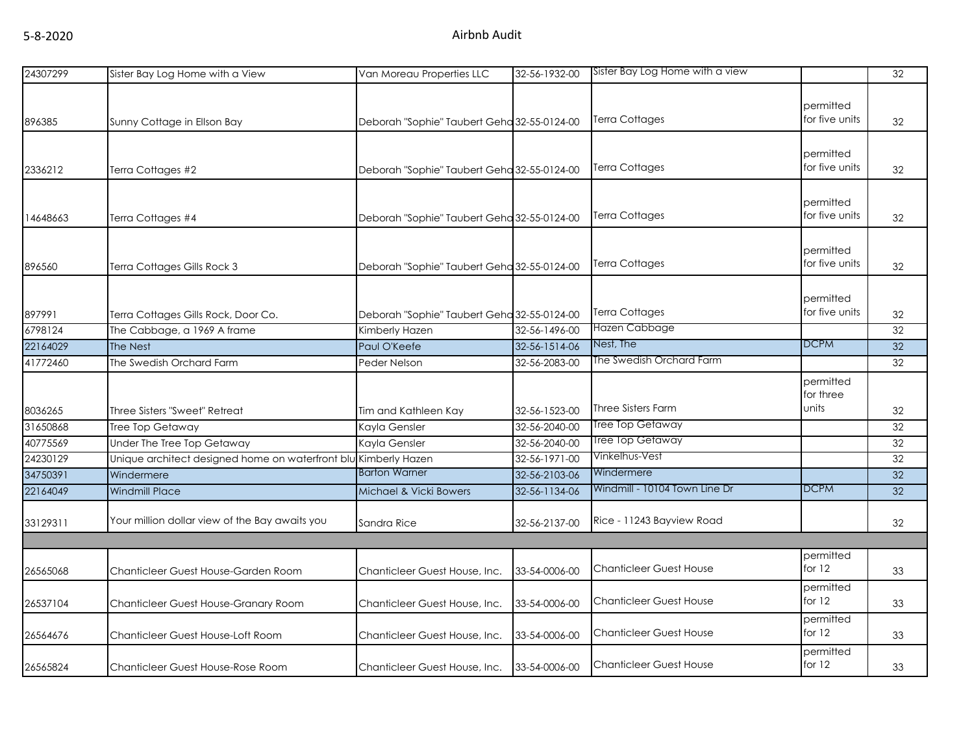| 24307299 | Sister Bay Log Home with a View                                 | Van Moreau Properties LLC                   | 32-56-1932-00 | Sister Bay Log Home with a view |                             | 32 |
|----------|-----------------------------------------------------------------|---------------------------------------------|---------------|---------------------------------|-----------------------------|----|
| 896385   | Sunny Cottage in Ellson Bay                                     | Deborah "Sophie" Taubert Geha 32-55-0124-00 |               | <b>Terra Cottages</b>           | permitted<br>for five units | 32 |
|          |                                                                 |                                             |               |                                 |                             |    |
| 2336212  | Terra Cottages #2                                               | Deborah "Sophie" Taubert Geha 32-55-0124-00 |               | <b>Terra Cottages</b>           | permitted<br>for five units | 32 |
| 14648663 | Terra Cottages #4                                               | Deborah "Sophie" Taubert Geha 32-55-0124-00 |               | <b>Terra Cottages</b>           | permitted<br>for five units | 32 |
| 896560   | Terra Cottages Gills Rock 3                                     | Deborah "Sophie" Taubert Geha 32-55-0124-00 |               | <b>Terra Cottages</b>           | permitted<br>for five units | 32 |
|          |                                                                 |                                             |               |                                 |                             |    |
| 897991   | Terra Cottages Gills Rock, Door Co.                             | Deborah "Sophie" Taubert Geha 32-55-0124-00 |               | <b>Terra Cottages</b>           | permitted<br>for five units | 32 |
| 6798124  | The Cabbage, a 1969 A frame                                     | Kimberly Hazen                              | 32-56-1496-00 | Hazen Cabbage                   |                             | 32 |
| 22164029 | The Nest                                                        | Paul O'Keefe                                | 32-56-1514-06 | Nest, The                       | <b>DCPM</b>                 | 32 |
| 41772460 | The Swedish Orchard Farm                                        | Peder Nelson                                | 32-56-2083-00 | The Swedish Orchard Farm        |                             | 32 |
|          |                                                                 |                                             |               |                                 | permitted<br>for three      |    |
| 8036265  | Three Sisters "Sweet" Retreat                                   | Tim and Kathleen Kay                        | 32-56-1523-00 | <b>Three Sisters Farm</b>       | units                       | 32 |
| 31650868 | Tree Top Getaway                                                | Kayla Gensler                               | 32-56-2040-00 | Tree Top Getaway                |                             | 32 |
| 40775569 | Under The Tree Top Getaway                                      | Kayla Gensler                               | 32-56-2040-00 | Tree Top Getaway                |                             | 32 |
| 24230129 | Unique architect designed home on waterfront blu Kimberly Hazen |                                             | 32-56-1971-00 | Vinkelhus-Vest                  |                             | 32 |
| 34750391 | Windermere                                                      | <b>Barton Warner</b>                        | 32-56-2103-06 | Windermere                      |                             | 32 |
| 22164049 | <b>Windmill Place</b>                                           | Michael & Vicki Bowers                      | 32-56-1134-06 | Windmill - 10104 Town Line Dr   | <b>DCPM</b>                 | 32 |
| 33129311 | Your million dollar view of the Bay awaits you                  | Sandra Rice                                 | 32-56-2137-00 | Rice - 11243 Bayview Road       |                             | 32 |
|          |                                                                 |                                             |               |                                 |                             |    |
| 26565068 | Chanticleer Guest House-Garden Room                             | Chanticleer Guest House, Inc.               | 33-54-0006-00 | <b>Chanticleer Guest House</b>  | permitted<br>for $12$       | 33 |
| 26537104 | Chanticleer Guest House-Granary Room                            | Chanticleer Guest House, Inc.               | 33-54-0006-00 | <b>Chanticleer Guest House</b>  | permitted<br>for $12$       | 33 |
| 26564676 | Chanticleer Guest House-Loft Room                               | Chanticleer Guest House, Inc.               | 33-54-0006-00 | <b>Chanticleer Guest House</b>  | permitted<br>for $12$       | 33 |
| 26565824 | Chanticleer Guest House-Rose Room                               | Chanticleer Guest House, Inc.               | 33-54-0006-00 | <b>Chanticleer Guest House</b>  | permitted<br>for $12$       | 33 |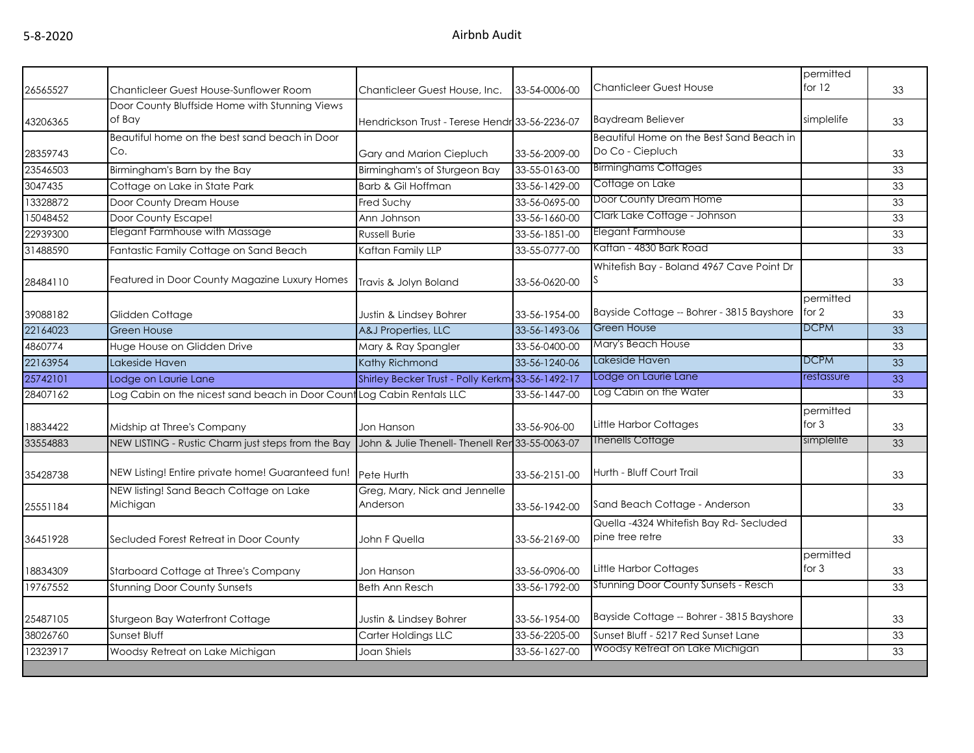| 26565527 | Chanticleer Guest House-Sunflower Room                                 | Chanticleer Guest House, Inc.                    | 33-54-0006-00 | <b>Chanticleer Guest House</b>                               | permitted<br>for $12$ | 33 |
|----------|------------------------------------------------------------------------|--------------------------------------------------|---------------|--------------------------------------------------------------|-----------------------|----|
|          | Door County Bluffside Home with Stunning Views                         |                                                  |               |                                                              |                       |    |
| 43206365 | of Bay                                                                 | Hendrickson Trust - Terese Hendr 33-56-2236-07   |               | <b>Baydream Believer</b>                                     | simplelife            | 33 |
| 28359743 | Beautiful home on the best sand beach in Door<br>Co.                   | Gary and Marion Ciepluch                         | 33-56-2009-00 | Beautiful Home on the Best Sand Beach in<br>Do Co - Ciepluch |                       | 33 |
| 23546503 | Birmingham's Barn by the Bay                                           | Birmingham's of Sturgeon Bay                     | 33-55-0163-00 | <b>Birminghams Cottages</b>                                  |                       | 33 |
| 3047435  | Cottage on Lake in State Park                                          | Barb & Gil Hoffman                               | 33-56-1429-00 | Cottage on Lake                                              |                       | 33 |
| 13328872 | Door County Dream House                                                | Fred Suchy                                       | 33-56-0695-00 | Door County Dream Home                                       |                       | 33 |
| 15048452 | Door County Escape!                                                    | Ann Johnson                                      | 33-56-1660-00 | Clark Lake Cottage - Johnson                                 |                       | 33 |
| 22939300 | Elegant Farmhouse with Massage                                         | <b>Russell Burie</b>                             | 33-56-1851-00 | Elegant Farmhouse                                            |                       | 33 |
| 31488590 | Fantastic Family Cottage on Sand Beach                                 | Kaftan Family LLP                                | 33-55-0777-00 | Kaftan - 4830 Bark Road                                      |                       | 33 |
| 28484110 | Featured in Door County Magazine Luxury Homes                          | Travis & Jolyn Boland                            | 33-56-0620-00 | Whitefish Bay - Boland 4967 Cave Point Dr                    |                       | 33 |
| 39088182 | Glidden Cottage                                                        | Justin & Lindsey Bohrer                          | 33-56-1954-00 | Bayside Cottage -- Bohrer - 3815 Bayshore                    | permitted<br>for $2$  | 33 |
| 22164023 | <b>Green House</b>                                                     | A&J Properties, LLC                              | 33-56-1493-06 | <b>Green House</b>                                           | <b>DCPM</b>           | 33 |
| 4860774  | Huge House on Glidden Drive                                            | Mary & Ray Spangler                              | 33-56-0400-00 | Mary's Beach House                                           |                       | 33 |
| 22163954 | Lakeside Haven                                                         | Kathy Richmond                                   | 33-56-1240-06 | Lakeside Haven                                               | <b>DCPM</b>           | 33 |
| 25742101 | Lodge on Laurie Lane                                                   | Shirley Becker Trust - Polly Kerkm 33-56-1492-17 |               | Lodge on Laurie Lane                                         | restassure            | 33 |
| 28407162 | Log Cabin on the nicest sand beach in Door Count Log Cabin Rentals LLC |                                                  | 33-56-1447-00 | Log Cabin on the Water                                       |                       | 33 |
| 18834422 | Midship at Three's Company                                             | Jon Hanson                                       | 33-56-906-00  | Little Harbor Cottages                                       | permitted<br>for $3$  | 33 |
| 33554883 | NEW LISTING - Rustic Charm just steps from the Bay                     | John & Julie Thenell- Thenell Ren 33-55-0063-07  |               | Thenells Cottage                                             | simplelife            | 33 |
| 35428738 | NEW Listing! Entire private home! Guaranteed fun!                      | Pete Hurth                                       | 33-56-2151-00 | Hurth - Bluff Court Trail                                    |                       | 33 |
| 25551184 | NEW listing! Sand Beach Cottage on Lake<br>Michigan                    | Greg, Mary, Nick and Jennelle<br>Anderson        | 33-56-1942-00 | Sand Beach Cottage - Anderson                                |                       | 33 |
| 36451928 | Secluded Forest Retreat in Door County                                 | John F Quella                                    | 33-56-2169-00 | Quella -4324 Whitefish Bay Rd-Secluded<br>pine tree retre    |                       | 33 |
| 18834309 | Starboard Cottage at Three's Company                                   | Jon Hanson                                       | 33-56-0906-00 | Little Harbor Cottages                                       | permitted<br>for $3$  | 33 |
| 19767552 | <b>Stunning Door County Sunsets</b>                                    | <b>Beth Ann Resch</b>                            | 33-56-1792-00 | Stunning Door County Sunsets - Resch                         |                       | 33 |
| 25487105 | Sturgeon Bay Waterfront Cottage                                        | Justin & Lindsey Bohrer                          | 33-56-1954-00 | Bayside Cottage -- Bohrer - 3815 Bayshore                    |                       | 33 |
| 38026760 | Sunset Bluff                                                           | Carter Holdings LLC                              | 33-56-2205-00 | Sunset Bluff - 5217 Red Sunset Lane                          |                       | 33 |
| 12323917 | Woodsy Retreat on Lake Michigan                                        | Joan Shiels                                      | 33-56-1627-00 | Woodsy Retreat on Lake Michigan                              |                       | 33 |
|          |                                                                        |                                                  |               |                                                              |                       |    |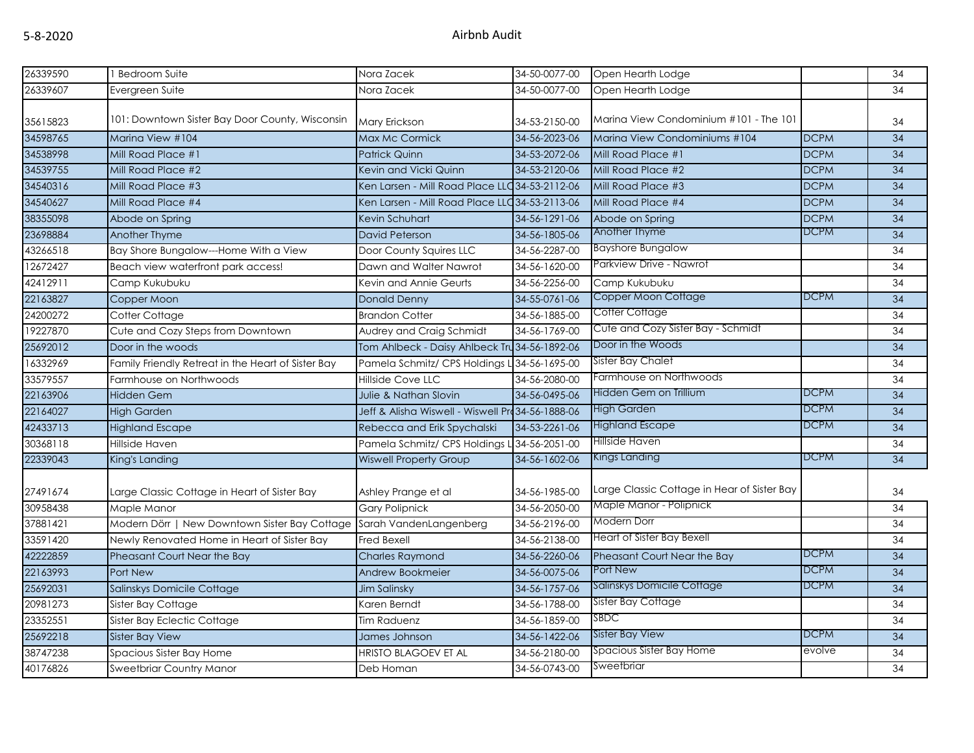| 26339590 | 1 Bedroom Suite                                                      | Nora Zacek                                       | 34-50-0077-00 | Open Hearth Lodge                           |             | 34              |
|----------|----------------------------------------------------------------------|--------------------------------------------------|---------------|---------------------------------------------|-------------|-----------------|
| 26339607 | Evergreen Suite                                                      | Nora Zacek                                       | 34-50-0077-00 | Open Hearth Lodge                           |             | 34              |
|          |                                                                      |                                                  |               |                                             |             |                 |
| 35615823 | 101: Downtown Sister Bay Door County, Wisconsin                      | Mary Erickson                                    | 34-53-2150-00 | Marina View Condominium #101 - The 101      |             | 34              |
| 34598765 | Marina View #104                                                     | Max Mc Cormick                                   | 34-56-2023-06 | Marina View Condominiums #104               | <b>DCPM</b> | 34              |
| 34538998 | Mill Road Place #1                                                   | <b>Patrick Quinn</b>                             | 34-53-2072-06 | Mill Road Place #1                          | <b>DCPM</b> | 34              |
| 34539755 | Mill Road Place #2                                                   | Kevin and Vicki Quinn                            | 34-53-2120-06 | Mill Road Place #2                          | <b>DCPM</b> | 34              |
| 34540316 | Mill Road Place #3                                                   | Ken Larsen - Mill Road Place LLC 34-53-21 12-06  |               | Mill Road Place #3                          | <b>DCPM</b> | 34              |
| 34540627 | Mill Road Place #4                                                   | Ken Larsen - Mill Road Place LLC 34-53-2113-06   |               | Mill Road Place #4                          | <b>DCPM</b> | 34              |
| 38355098 | Abode on Spring                                                      | Kevin Schuhart                                   | 34-56-1291-06 | Abode on Spring                             | <b>DCPM</b> | 34              |
| 23698884 | Another Thyme                                                        | <b>David Peterson</b>                            | 34-56-1805-06 | Another Thyme                               | <b>DCPM</b> | 34              |
| 43266518 | Bay Shore Bungalow---Home With a View                                | Door County Squires LLC                          | 34-56-2287-00 | <b>Bayshore Bungalow</b>                    |             | 34              |
| 12672427 | Beach view waterfront park access!                                   | Dawn and Walter Nawrot                           | 34-56-1620-00 | Parkview Drive - Nawrot                     |             | 34              |
| 42412911 | Camp Kukubuku                                                        | Kevin and Annie Geurts                           | 34-56-2256-00 | Camp Kukubuku                               |             | 34              |
| 22163827 | Copper Moon                                                          | <b>Donald Denny</b>                              | 34-55-0761-06 | Copper Moon Cottage                         | <b>DCPM</b> | $\overline{34}$ |
| 24200272 | Cotter Cottage                                                       | <b>Brandon Cotter</b>                            | 34-56-1885-00 | Cotter Cottage                              |             | 34              |
| 19227870 | Cute and Cozy Steps from Downtown                                    | Audrey and Craig Schmidt                         | 34-56-1769-00 | Cute and Cozy Sister Bay - Schmidt          |             | 34              |
| 25692012 | Door in the woods                                                    | Tom Ahlbeck - Daisy Ahlbeck Tru 34-56-1892-06    |               | Door in the Woods                           |             | 34              |
| 16332969 | Family Friendly Retreat in the Heart of Sister Bay                   | Pamela Schmitz/ CPS Holdings L                   | 34-56-1695-00 | Sister Bay Chalet                           |             | 34              |
| 33579557 | Farmhouse on Northwoods                                              | <b>Hillside Cove LLC</b>                         | 34-56-2080-00 | Farmhouse on Northwoods                     |             | 34              |
| 22163906 | <b>Hidden Gem</b>                                                    | Julie & Nathan Slovin                            | 34-56-0495-06 | Hidden Gem on Trillium                      | <b>DCPM</b> | 34              |
| 22164027 | <b>High Garden</b>                                                   | Jeff & Alisha Wiswell - Wiswell Pro34-56-1888-06 |               | <b>High Garden</b>                          | <b>DCPM</b> | 34              |
| 42433713 | <b>Highland Escape</b>                                               | Rebecca and Erik Spychalski                      | 34-53-2261-06 | <b>Highland Escape</b>                      | <b>DCPM</b> | 34              |
| 30368118 | Hillside Haven                                                       | Pamela Schmitz/ CPS Holdings L                   | 34-56-2051-00 | Hillside Haven                              |             | 34              |
| 22339043 | King's Landing                                                       | <b>Wiswell Property Group</b>                    | 34-56-1602-06 | Kings Landing                               | <b>DCPM</b> | 34              |
|          |                                                                      |                                                  |               |                                             |             |                 |
| 27491674 | Large Classic Cottage in Heart of Sister Bay                         | Ashley Prange et al                              | 34-56-1985-00 | Large Classic Cottage in Hear of Sister Bay |             | 34              |
| 30958438 | Maple Manor                                                          | <b>Gary Polipnick</b>                            | 34-56-2050-00 | Maple Manor - Polipnick                     |             | 34              |
| 37881421 | Modern Dörr   New Downtown Sister Bay Cottage Sarah VandenLangenberg |                                                  | 34-56-2196-00 | Modern Dorr                                 |             | 34              |
| 33591420 | Newly Renovated Home in Heart of Sister Bay                          | <b>Fred Bexell</b>                               | 34-56-2138-00 | Heart of Sister Bay Bexell                  |             | 34              |
| 42222859 | Pheasant Court Near the Bay                                          | <b>Charles Raymond</b>                           | 34-56-2260-06 | Pheasant Court Near the Bay                 | <b>DCPM</b> | 34              |
| 22163993 | <b>Port New</b>                                                      | Andrew Bookmeier                                 | 34-56-0075-06 | Port New                                    | <b>DCPM</b> | 34              |
| 25692031 | Salinskys Domicile Cottage                                           | <b>Jim Salinsky</b>                              | 34-56-1757-06 | Salinskys Domicile Cottage                  | <b>DCPM</b> | 34              |
| 20981273 | Sister Bay Cottage                                                   | Karen Berndt                                     | 34-56-1788-00 | Sister Bay Cottage                          |             | 34              |
| 23352551 | Sister Bay Eclectic Cottage                                          | Tim Raduenz                                      | 34-56-1859-00 | SBDC                                        |             | 34              |
| 25692218 | <b>Sister Bay View</b>                                               | James Johnson                                    | 34-56-1422-06 | Sister Bay View                             | <b>DCPM</b> | 34              |
| 38747238 | Spacious Sister Bay Home                                             | <b>HRISTO BLAGOEV ET AL</b>                      | 34-56-2180-00 | Spacious Sister Bay Home                    | evolve      | 34              |
| 40176826 | <b>Sweetbriar Country Manor</b>                                      | Deb Homan                                        | 34-56-0743-00 | Sweetbriar                                  |             | 34              |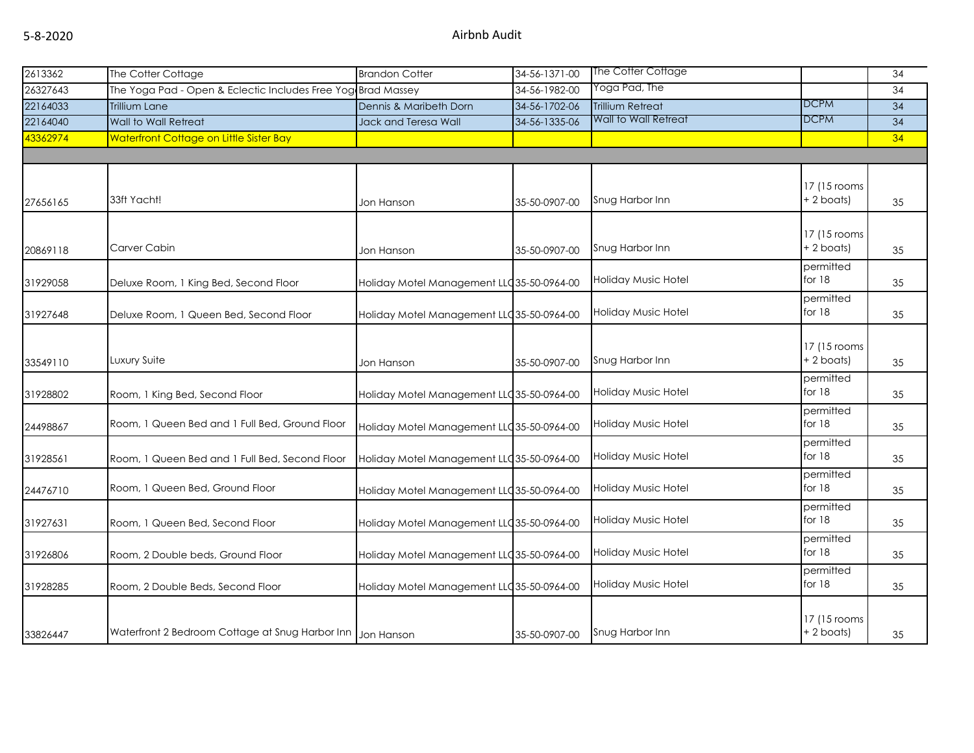| 2613362  | The Cotter Cottage                                           | <b>Brandon Cotter</b>                      | 34-56-1371-00 | The Cotter Cottage         |                            | 34              |
|----------|--------------------------------------------------------------|--------------------------------------------|---------------|----------------------------|----------------------------|-----------------|
| 26327643 | The Yoga Pad - Open & Eclectic Includes Free Yog Brad Massey |                                            | 34-56-1982-00 | Yoga Pad, The              |                            | 34              |
| 22164033 | <b>Trillium Lane</b>                                         | Dennis & Maribeth Dorn                     | 34-56-1702-06 | <b>Trillium Retreat</b>    | <b>DCPM</b>                | $\overline{34}$ |
| 22164040 | Wall to Wall Retreat                                         | Jack and Teresa Wall                       | 34-56-1335-06 | Wall to Wall Retreat       | <b>DCPM</b>                | 34              |
| 43362974 | Waterfront Cottage on Little Sister Bay                      |                                            |               |                            |                            | 34              |
|          |                                                              |                                            |               |                            |                            |                 |
|          |                                                              |                                            |               |                            |                            |                 |
|          | 33ft Yacht!                                                  |                                            |               |                            | 17 (15 rooms<br>+ 2 boats) |                 |
| 27656165 |                                                              | Jon Hanson                                 | 35-50-0907-00 | Snug Harbor Inn            |                            | 35              |
|          |                                                              |                                            |               |                            |                            |                 |
| 20869118 | Carver Cabin                                                 | Jon Hanson                                 | 35-50-0907-00 | Snug Harbor Inn            | 17 (15 rooms<br>+ 2 boats) | 35              |
|          |                                                              |                                            |               |                            | permitted                  |                 |
| 31929058 | Deluxe Room, 1 King Bed, Second Floor                        | Holiday Motel Management LLC 35-50-0964-00 |               | <b>Holiday Music Hotel</b> | for $18$                   | 35              |
|          |                                                              |                                            |               |                            | permitted                  |                 |
| 31927648 | Deluxe Room, 1 Queen Bed, Second Floor                       | Holiday Motel Management LLC 35-50-0964-00 |               | Holiday Music Hotel        | for 18                     | 35              |
|          |                                                              |                                            |               |                            |                            |                 |
|          |                                                              |                                            |               |                            | 17 (15 rooms               |                 |
| 33549110 | Luxury Suite                                                 | Jon Hanson                                 | 35-50-0907-00 | Snug Harbor Inn            | + 2 boats)                 | 35              |
|          |                                                              |                                            |               |                            | permitted                  |                 |
| 31928802 | Room, 1 King Bed, Second Floor                               | Holiday Motel Management LLC 35-50-0964-00 |               | <b>Holiday Music Hotel</b> | for 18                     | 35              |
|          |                                                              |                                            |               |                            | permitted                  |                 |
| 24498867 | Room, 1 Queen Bed and 1 Full Bed, Ground Floor               | Holiday Motel Management LLC 35-50-0964-00 |               | Holiday Music Hotel        | for 18                     | 35              |
|          |                                                              |                                            |               |                            | permitted                  |                 |
| 31928561 | Room, 1 Queen Bed and 1 Full Bed, Second Floor               | Holiday Motel Management LLC 35-50-0964-00 |               | Holiday Music Hotel        | for $18$                   | 35              |
|          | Room, 1 Queen Bed, Ground Floor                              |                                            |               | Holiday Music Hotel        | permitted<br>for $18$      |                 |
| 24476710 |                                                              | Holiday Motel Management LLC 35-50-0964-00 |               |                            |                            | 35              |
| 31927631 | Room, 1 Queen Bed, Second Floor                              | Holiday Motel Management LLC 35-50-0964-00 |               | <b>Holiday Music Hotel</b> | permitted<br>for 18        | 35              |
|          |                                                              |                                            |               |                            | permitted                  |                 |
| 31926806 | Room, 2 Double beds, Ground Floor                            | Holiday Motel Management LLC 35-50-0964-00 |               | Holiday Music Hotel        | for $18$                   | 35              |
|          |                                                              |                                            |               |                            | permitted                  |                 |
| 31928285 | Room, 2 Double Beds, Second Floor                            | Holiday Motel Management LLC 35-50-0964-00 |               | <b>Holiday Music Hotel</b> | for $18$                   | 35              |
|          |                                                              |                                            |               |                            |                            |                 |
|          |                                                              |                                            |               |                            | 17 (15 rooms               |                 |
| 33826447 | Waterfront 2 Bedroom Cottage at Snug Harbor Inn Jon Hanson   |                                            | 35-50-0907-00 | Snug Harbor Inn            | + 2 boats)                 | 35              |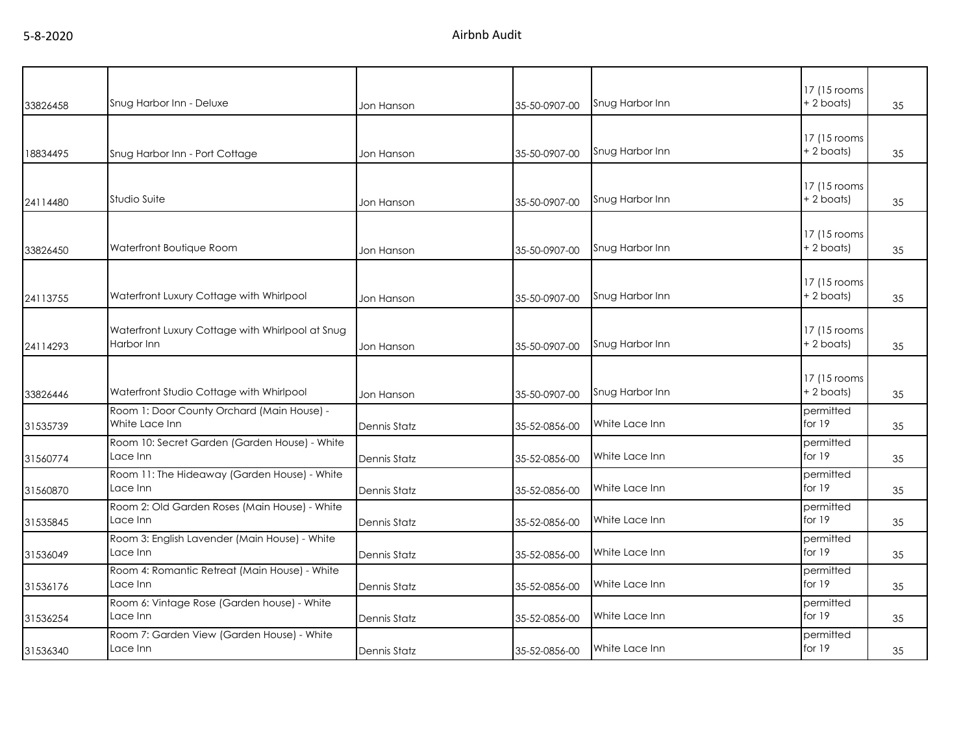| 33826458 | Snug Harbor Inn - Deluxe                                       | Jon Hanson          | 35-50-0907-00 | Snug Harbor Inn | 17 (15 rooms)<br>+ 2 boats)  | 35 |
|----------|----------------------------------------------------------------|---------------------|---------------|-----------------|------------------------------|----|
| 18834495 | Snug Harbor Inn - Port Cottage                                 | Jon Hanson          | 35-50-0907-00 | Snug Harbor Inn | 17 (15 rooms<br>$+ 2$ boats) | 35 |
| 24114480 | Studio Suite                                                   | Jon Hanson          | 35-50-0907-00 | Snug Harbor Inn | 17 (15 rooms<br>+2 boats)    | 35 |
| 33826450 | Waterfront Boutique Room                                       | Jon Hanson          | 35-50-0907-00 | Snug Harbor Inn | 17 (15 rooms<br>$+ 2$ boats) | 35 |
| 24113755 | Waterfront Luxury Cottage with Whirlpool                       | Jon Hanson          | 35-50-0907-00 | Snug Harbor Inn | 17 (15 rooms<br>+2 boats)    | 35 |
| 24114293 | Waterfront Luxury Cottage with Whirlpool at Snug<br>Harbor Inn | Jon Hanson          | 35-50-0907-00 | Snug Harbor Inn | 17 (15 rooms<br>$+2$ boats)  | 35 |
| 33826446 | Waterfront Studio Cottage with Whirlpool                       | Jon Hanson          | 35-50-0907-00 | Snug Harbor Inn | 17 (15 rooms<br>$+ 2$ boats) | 35 |
| 31535739 | Room 1: Door County Orchard (Main House) -<br>White Lace Inn   | Dennis Statz        | 35-52-0856-00 | White Lace Inn  | permitted<br>for 19          | 35 |
| 31560774 | Room 10: Secret Garden (Garden House) - White<br>Lace Inn      | Dennis Statz        | 35-52-0856-00 | White Lace Inn  | permitted<br>for 19          | 35 |
| 31560870 | Room 11: The Hideaway (Garden House) - White<br>Lace Inn       | Dennis Statz        | 35-52-0856-00 | White Lace Inn  | permitted<br>for 19          | 35 |
| 31535845 | Room 2: Old Garden Roses (Main House) - White<br>Lace Inn      | <b>Dennis Statz</b> | 35-52-0856-00 | White Lace Inn  | permitted<br>for $19$        | 35 |
| 31536049 | Room 3: English Lavender (Main House) - White<br>Lace Inn      | Dennis Statz        | 35-52-0856-00 | White Lace Inn  | permitted<br>for 19          | 35 |
| 31536176 | Room 4: Romantic Retreat (Main House) - White<br>Lace Inn      | <b>Dennis Statz</b> | 35-52-0856-00 | White Lace Inn  | permitted<br>for $19$        | 35 |
| 31536254 | Room 6: Vintage Rose (Garden house) - White<br>Lace Inn        | <b>Dennis Statz</b> | 35-52-0856-00 | White Lace Inn  | permitted<br>for $19$        | 35 |
| 31536340 | Room 7: Garden View (Garden House) - White<br>Lace Inn         | <b>Dennis Statz</b> | 35-52-0856-00 | White Lace Inn  | permitted<br>for 19          | 35 |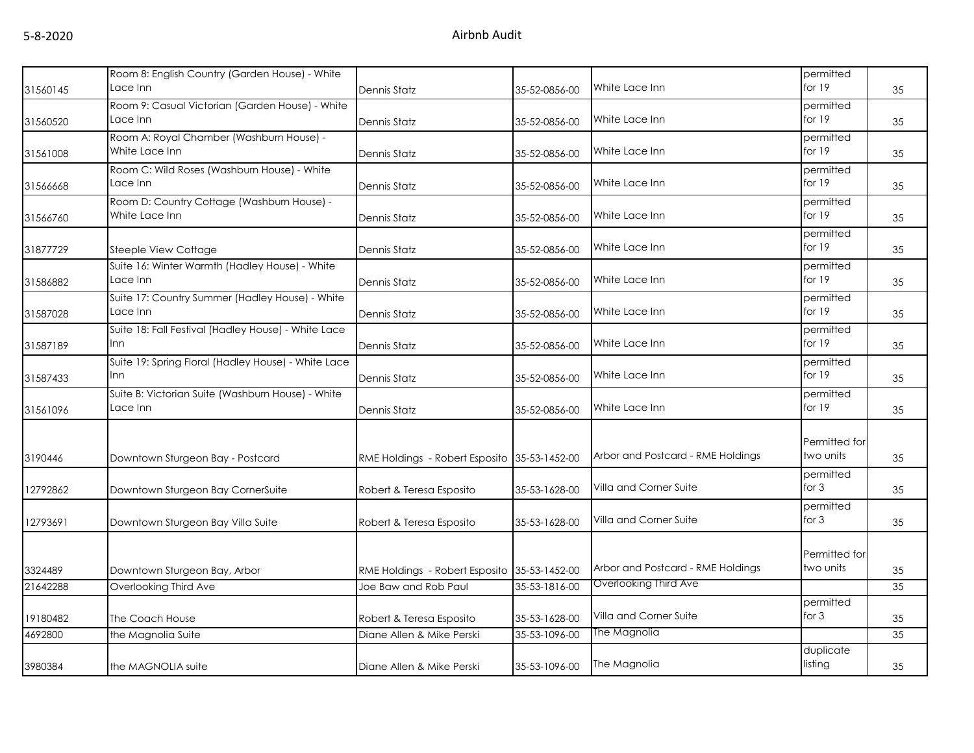| 31560145 | Room 8: English Country (Garden House) - White<br>Lace Inn    | Dennis Statz                                 | 35-52-0856-00 | White Lace Inn                    | permitted<br>for 19        | 35              |
|----------|---------------------------------------------------------------|----------------------------------------------|---------------|-----------------------------------|----------------------------|-----------------|
|          | Room 9: Casual Victorian (Garden House) - White               |                                              |               |                                   | permitted                  |                 |
| 31560520 | Lace Inn                                                      | Dennis Statz                                 | 35-52-0856-00 | White Lace Inn                    | for $19$                   | 35              |
| 31561008 | Room A: Royal Chamber (Washburn House) -<br>White Lace Inn    | Dennis Statz                                 | 35-52-0856-00 | White Lace Inn                    | permitted<br>for 19        | 35              |
| 31566668 | Room C: Wild Roses (Washburn House) - White<br>Lace Inn       | Dennis Statz                                 | 35-52-0856-00 | White Lace Inn                    | permitted<br>for $19$      | 35              |
| 31566760 | Room D: Country Cottage (Washburn House) -<br>White Lace Inn  | Dennis Statz                                 | 35-52-0856-00 | White Lace Inn                    | permitted<br>for 19        | 35              |
| 31877729 | Steeple View Cottage                                          | Dennis Statz                                 | 35-52-0856-00 | White Lace Inn                    | permitted<br>for 19        | 35              |
| 31586882 | Suite 16: Winter Warmth (Hadley House) - White<br>Lace Inn    | Dennis Statz                                 | 35-52-0856-00 | White Lace Inn                    | permitted<br>for $19$      | 35              |
| 31587028 | Suite 17: Country Summer (Hadley House) - White<br>Lace Inn   | Dennis Statz                                 | 35-52-0856-00 | White Lace Inn                    | permitted<br>for 19        | 35              |
| 31587189 | Suite 18: Fall Festival (Hadley House) - White Lace<br>Inn    | Dennis Statz                                 | 35-52-0856-00 | White Lace Inn                    | permitted<br>for 19        | 35              |
| 31587433 | Suite 19: Spring Floral (Hadley House) - White Lace<br>Inn    | Dennis Statz                                 | 35-52-0856-00 | White Lace Inn                    | permitted<br>for 19        | 35              |
| 31561096 | Suite B: Victorian Suite (Washburn House) - White<br>Lace Inn | Dennis Statz                                 | 35-52-0856-00 | White Lace Inn                    | permitted<br>for 19        | 35              |
| 3190446  | Downtown Sturgeon Bay - Postcard                              | RME Holdings - Robert Esposito               | 35-53-1452-00 | Arbor and Postcard - RME Holdings | Permitted for<br>two units | 35              |
| 12792862 | Downtown Sturgeon Bay CornerSuite                             | Robert & Teresa Esposito                     | 35-53-1628-00 | Villa and Corner Suite            | permitted<br>for $3$       | 35              |
| 12793691 | Downtown Sturgeon Bay Villa Suite                             | Robert & Teresa Esposito                     | 35-53-1628-00 | Villa and Corner Suite            | permitted<br>for $3$       | 35              |
| 3324489  | Downtown Sturgeon Bay, Arbor                                  | RME Holdings - Robert Esposito 35-53-1452-00 |               | Arbor and Postcard - RME Holdings | Permitted for<br>two units | 35              |
| 21642288 | Overlooking Third Ave                                         | Joe Baw and Rob Paul                         | 35-53-1816-00 | Overlooking Third Ave             |                            | 35              |
| 19180482 | The Coach House                                               | Robert & Teresa Esposito                     | 35-53-1628-00 | Villa and Corner Suite            | permitted<br>for $3$       | 35              |
| 4692800  | the Magnolia Suite                                            | Diane Allen & Mike Perski                    | 35-53-1096-00 | The Magnolia                      |                            | $\overline{35}$ |
| 3980384  | the MAGNOLIA suite                                            | Diane Allen & Mike Perski                    | 35-53-1096-00 | The Magnolia                      | duplicate<br>listing       | 35              |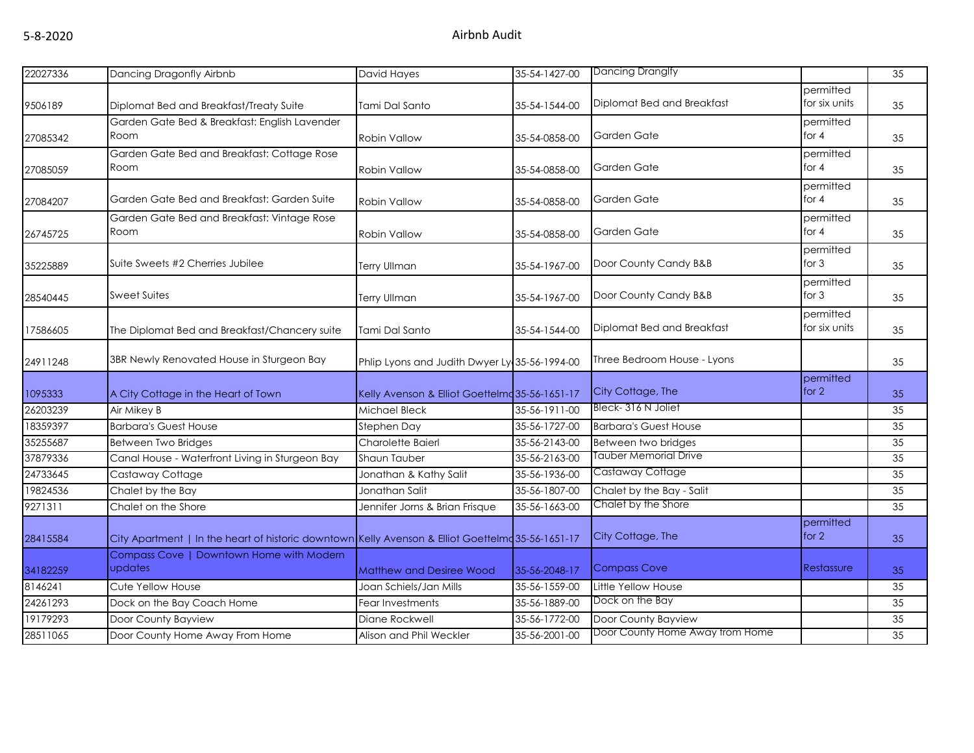| 22027336 | Dancing Dragonfly Airbnb                                                                          | David Hayes                                    | 35-54-1427-00 | Dancing Dranglfy                |                            | 35 |
|----------|---------------------------------------------------------------------------------------------------|------------------------------------------------|---------------|---------------------------------|----------------------------|----|
| 9506189  | Diplomat Bed and Breakfast/Treaty Suite                                                           | Tami Dal Santo                                 | 35-54-1544-00 | Diplomat Bed and Breakfast      | permitted<br>for six units | 35 |
| 27085342 | Garden Gate Bed & Breakfast: English Lavender<br>Room                                             | <b>Robin Vallow</b>                            | 35-54-0858-00 | Garden Gate                     | permitted<br>for $4$       | 35 |
| 27085059 | Garden Gate Bed and Breakfast: Cottage Rose<br>Room                                               | Robin Vallow                                   | 35-54-0858-00 | Garden Gate                     | permitted<br>for $4$       | 35 |
| 27084207 | Garden Gate Bed and Breakfast: Garden Suite                                                       | <b>Robin Vallow</b>                            | 35-54-0858-00 | Garden Gate                     | permitted<br>for $4$       | 35 |
| 26745725 | Garden Gate Bed and Breakfast: Vintage Rose<br>Room                                               | Robin Vallow                                   | 35-54-0858-00 | Garden Gate                     | permitted<br>for $4$       | 35 |
| 35225889 | Suite Sweets #2 Cherries Jubilee                                                                  | <b>Terry Ullman</b>                            | 35-54-1967-00 | Door County Candy B&B           | permitted<br>for $3$       | 35 |
| 28540445 | <b>Sweet Suites</b>                                                                               | Terry Ullman                                   | 35-54-1967-00 | Door County Candy B&B           | permitted<br>for $3$       | 35 |
| 17586605 | The Diplomat Bed and Breakfast/Chancery suite                                                     | Tami Dal Santo                                 | 35-54-1544-00 | Diplomat Bed and Breakfast      | permitted<br>for six units | 35 |
| 24911248 | 3BR Newly Renovated House in Sturgeon Bay                                                         | Phlip Lyons and Judith Dwyer Ly 35-56-1994-00  |               | Three Bedroom House - Lyons     |                            | 35 |
| 1095333  | A City Cottage in the Heart of Town                                                               | Kelly Avenson & Elliot Goettelmd 35-56-1651-17 |               | City Cottage, The               | permitted<br>for $2$       | 35 |
| 26203239 | Air Mikey B                                                                                       | Michael Bleck                                  | 35-56-1911-00 | Bleck-316 N Joliet              |                            | 35 |
| 18359397 | <b>Barbara's Guest House</b>                                                                      | Stephen Day                                    | 35-56-1727-00 | <b>Barbara's Guest House</b>    |                            | 35 |
| 35255687 | Between Two Bridges                                                                               | Charolette Baierl                              | 35-56-2143-00 | Between two bridges             |                            | 35 |
| 37879336 | Canal House - Waterfront Living in Sturgeon Bay                                                   | <b>Shaun Tauber</b>                            | 35-56-2163-00 | Tauber Memorial Drive           |                            | 35 |
| 24733645 | Castaway Cottage                                                                                  | Jonathan & Kathy Salit                         | 35-56-1936-00 | Castaway Cottage                |                            | 35 |
| 19824536 | Chalet by the Bay                                                                                 | Jonathan Salit                                 | 35-56-1807-00 | Chalet by the Bay - Salit       |                            | 35 |
| 9271311  | Chalet on the Shore                                                                               | Jennifer Jorns & Brian Frisque                 | 35-56-1663-00 | Chalet by the Shore             |                            | 35 |
| 28415584 | City Apartment   In the heart of historic downtown Kelly Avenson & Elliot Goettelmq 35-56-1651-17 |                                                |               | City Cottage, The               | permitted<br>for $2$       | 35 |
| 34182259 | Compass Cove   Downtown Home with Modern<br>updates                                               | <b>Matthew and Desiree Wood</b>                | 35-56-2048-17 | Compass Cove                    | Restassure                 | 35 |
| 8146241  | Cute Yellow House                                                                                 | Joan Schiels/Jan Mills                         | 35-56-1559-00 | Little Yellow House             |                            | 35 |
| 24261293 | Dock on the Bay Coach Home                                                                        | Fear Investments                               | 35-56-1889-00 | Dock on the Bay                 |                            | 35 |
| 19179293 | Door County Bayview                                                                               | Diane Rockwell                                 | 35-56-1772-00 | Door County Bayview             |                            | 35 |
| 28511065 | Door County Home Away From Home                                                                   | Alison and Phil Weckler                        | 35-56-2001-00 | Door County Home Away from Home |                            | 35 |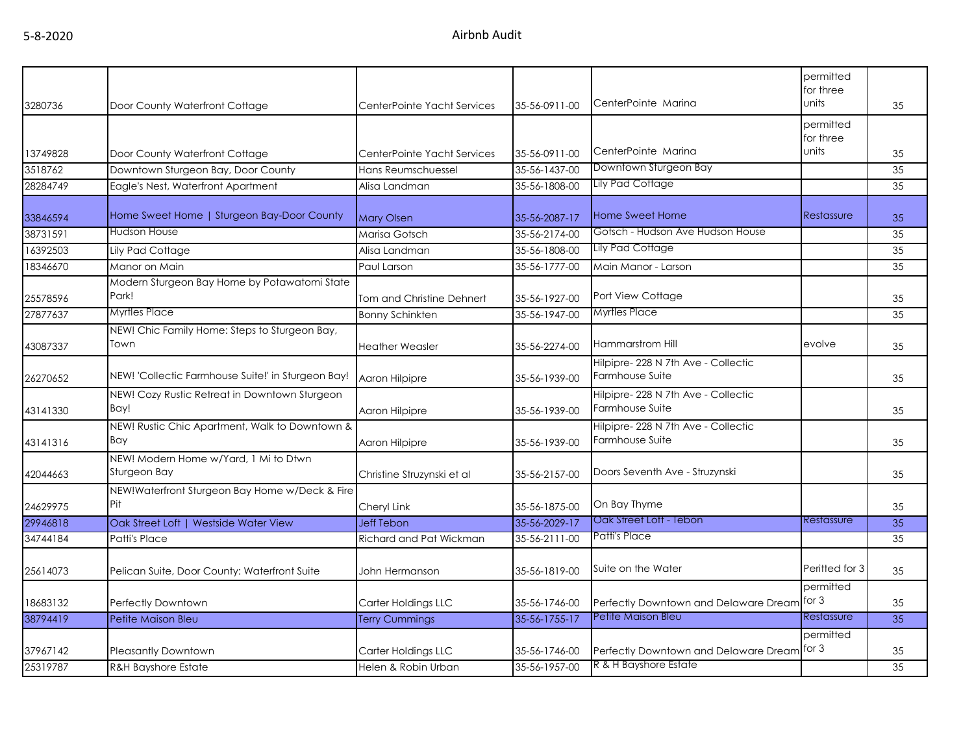|          |                                                       |                             |               |                                                        | permitted<br>for three |    |
|----------|-------------------------------------------------------|-----------------------------|---------------|--------------------------------------------------------|------------------------|----|
| 3280736  | Door County Waterfront Cottage                        | CenterPointe Yacht Services | 35-56-0911-00 | CenterPointe Marina                                    | units                  | 35 |
|          |                                                       |                             |               |                                                        | permitted<br>for three |    |
| 13749828 | Door County Waterfront Cottage                        | CenterPointe Yacht Services | 35-56-0911-00 | CenterPointe Marina                                    | units                  | 35 |
| 3518762  | Downtown Sturgeon Bay, Door County                    | Hans Reumschuessel          | 35-56-1437-00 | Downtown Sturgeon Bay                                  |                        | 35 |
| 28284749 | Eagle's Nest, Waterfront Apartment                    | Alisa Landman               | 35-56-1808-00 | Lily Pad Cottage                                       |                        | 35 |
| 33846594 | Home Sweet Home   Sturgeon Bay-Door County            | <b>Mary Olsen</b>           | 35-56-2087-17 | <b>Home Sweet Home</b>                                 | Restassure             | 35 |
| 38731591 | Hudson House                                          | Marisa Gotsch               | 35-56-2174-00 | Gotsch - Hudson Ave Hudson House                       |                        | 35 |
| 16392503 | Lily Pad Cottage                                      | Alisa Landman               | 35-56-1808-00 | Lily Pad Cottage                                       |                        | 35 |
| 18346670 | Manor on Main                                         | Paul Larson                 | 35-56-1777-00 | Main Manor - Larson                                    |                        | 35 |
| 25578596 | Modern Sturgeon Bay Home by Potawatomi State<br>Park! | Tom and Christine Dehnert   | 35-56-1927-00 | Port View Cottage                                      |                        | 35 |
| 27877637 | Myrtles Place                                         | <b>Bonny Schinkten</b>      | 35-56-1947-00 | Myrtles Place                                          |                        | 35 |
| 43087337 | NEW! Chic Family Home: Steps to Sturgeon Bay,<br>Town | <b>Heather Weasler</b>      | 35-56-2274-00 | Hammarstrom Hill                                       | evolve                 | 35 |
| 26270652 | NEW! 'Collectic Farmhouse Suite!' in Sturgeon Bay!    | Aaron Hilpipre              | 35-56-1939-00 | Hilpipre- 228 N 7th Ave - Collectic<br>Farmhouse Suite |                        | 35 |
| 43141330 | NEW! Cozy Rustic Retreat in Downtown Sturgeon<br>Bay! | Aaron Hilpipre              | 35-56-1939-00 | Hilpipre-228 N 7th Ave - Collectic<br>Farmhouse Suite  |                        | 35 |
| 43141316 | NEW! Rustic Chic Apartment, Walk to Downtown &<br>Bay | Aaron Hilpipre              | 35-56-1939-00 | Hilpipre- 228 N 7th Ave - Collectic<br>Farmhouse Suite |                        | 35 |
| 42044663 | NEW! Modern Home w/Yard, 1 Mi to Dtwn<br>Sturgeon Bay | Christine Struzynski et al  | 35-56-2157-00 | Doors Seventh Ave - Struzynski                         |                        | 35 |
| 24629975 | NEW!Waterfront Sturgeon Bay Home w/Deck & Fire<br>Pit | Cheryl Link                 | 35-56-1875-00 | On Bay Thyme                                           |                        | 35 |
| 29946818 | Oak Street Loft   Westside Water View                 | <b>Jeff Tebon</b>           | 35-56-2029-17 | Oak Street Loft - Tebon                                | Restassure             | 35 |
| 34744184 | Patti's Place                                         | Richard and Pat Wickman     | 35-56-2111-00 | Patti's Place                                          |                        | 35 |
| 25614073 | Pelican Suite, Door County: Waterfront Suite          | John Hermanson              | 35-56-1819-00 | Suite on the Water                                     | Peritted for 3         | 35 |
| 18683132 | Perfectly Downtown                                    | Carter Holdings LLC         | 35-56-1746-00 | Perfectly Downtown and Delaware Dream                  | permitted<br>for $3$   | 35 |
| 38794419 | Petite Maison Bleu                                    | <b>Terry Cummings</b>       | 35-56-1755-17 | Petite Maison Bleu                                     | Restassure             | 35 |
| 37967142 | <b>Pleasantly Downtown</b>                            | Carter Holdings LLC         | 35-56-1746-00 | Perfectly Downtown and Delaware Dream                  | permitted<br>for 3     | 35 |
| 25319787 | <b>R&amp;H Bayshore Estate</b>                        | Helen & Robin Urban         | 35-56-1957-00 | R & H Bayshore Estate                                  |                        | 35 |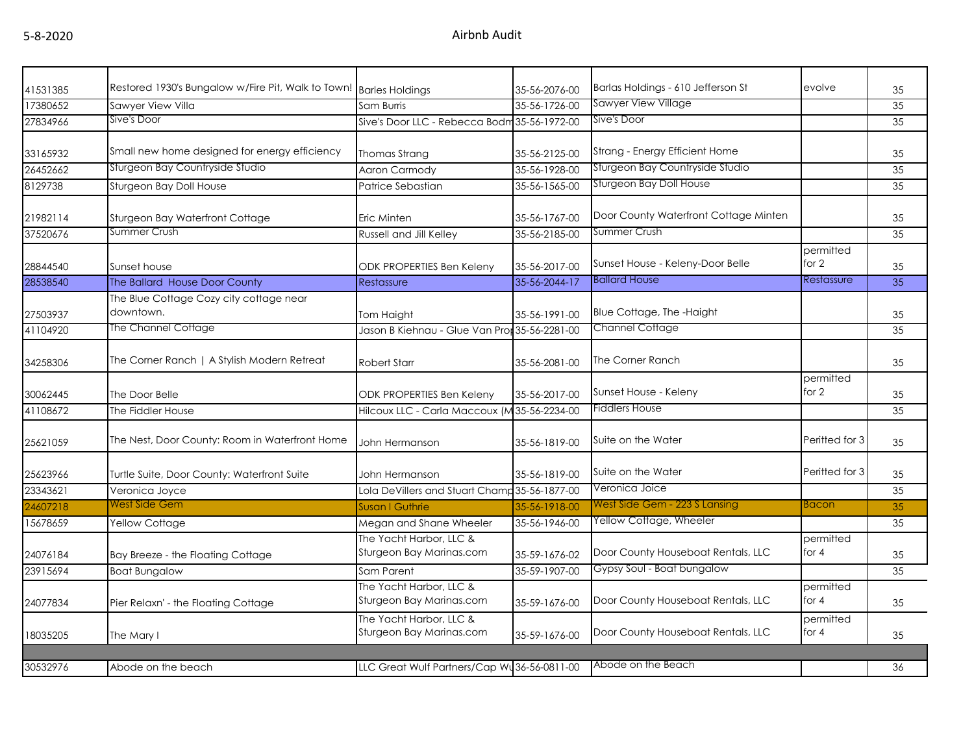| 41531385 | Restored 1930's Bungalow w/Fire Pit, Walk to Town! Barles Holdings |                                                     | 35-56-2076-00 | Barlas Holdings - 610 Jefferson St    | evolve               | 35 |
|----------|--------------------------------------------------------------------|-----------------------------------------------------|---------------|---------------------------------------|----------------------|----|
| 17380652 | Sawyer View Villa                                                  | Sam Burris                                          | 35-56-1726-00 | <b>Sawyer View Village</b>            |                      | 35 |
| 27834966 | Sive's Door                                                        | Sive's Door LLC - Rebecca Bodm 35-56-1972-00        |               | Sive's Door                           |                      | 35 |
| 33165932 | Small new home designed for energy efficiency                      | Thomas Strang                                       | 35-56-2125-00 | Strang - Energy Efficient Home        |                      | 35 |
| 26452662 | Sturgeon Bay Countryside Studio                                    | <b>Aaron Carmody</b>                                | 35-56-1928-00 | Sturgeon Bay Countryside Studio       |                      | 35 |
| 8129738  | Sturgeon Bay Doll House                                            | Patrice Sebastian                                   | 35-56-1565-00 | Sturgeon Bay Doll House               |                      | 35 |
| 21982114 | Sturgeon Bay Waterfront Cottage                                    | Eric Minten                                         | 35-56-1767-00 | Door County Waterfront Cottage Minten |                      | 35 |
| 37520676 | Summer Crush                                                       | <b>Russell and Jill Kelley</b>                      | 35-56-2185-00 | Summer Crush                          |                      | 35 |
| 28844540 | Sunset house                                                       | ODK PROPERTIES Ben Keleny                           | 35-56-2017-00 | Sunset House - Keleny-Door Belle      | permitted<br>for 2   | 35 |
| 28538540 | The Ballard House Door County                                      | Restassure                                          | 35-56-2044-17 | <b>Ballard House</b>                  | Restassure           | 35 |
| 27503937 | The Blue Cottage Cozy city cottage near<br>downtown.               | Tom Haight                                          | 35-56-1991-00 | Blue Cottage, The -Haight             |                      | 35 |
| 41104920 | The Channel Cottage                                                | Jason B Kiehnau - Glue Van Pror 35-56-2281-00       |               | <b>Channel Cottage</b>                |                      | 35 |
| 34258306 | The Corner Ranch   A Stylish Modern Retreat                        | <b>Robert Starr</b>                                 | 35-56-2081-00 | The Corner Ranch                      |                      | 35 |
| 30062445 | The Door Belle                                                     | <b>ODK PROPERTIES Ben Keleny</b>                    | 35-56-2017-00 | Sunset House - Keleny                 | permitted<br>for $2$ | 35 |
| 41108672 | The Fiddler House                                                  | Hilcoux LLC - Carla Maccoux (M35-56-2234-00         |               | Fiddlers House                        |                      | 35 |
| 25621059 | The Nest, Door County: Room in Waterfront Home                     | John Hermanson                                      | 35-56-1819-00 | Suite on the Water                    | Peritted for 3       | 35 |
| 25623966 | Turtle Suite, Door County: Waterfront Suite                        | John Hermanson                                      | 35-56-1819-00 | Suite on the Water                    | Peritted for 3       | 35 |
| 23343621 | Veronica Joyce                                                     | Lola DeVillers and Stuart Champ 35-56-1877-00       |               | Veronica Joice                        |                      | 35 |
| 24607218 | West Side Gem                                                      | Susan I Guthrie                                     | 35-56-1918-00 | West Side Gem - 223 S Lansing         | <b>Bacon</b>         | 35 |
| 15678659 | Yellow Cottage                                                     | Megan and Shane Wheeler                             | 35-56-1946-00 | Yellow Cottage, Wheeler               |                      | 35 |
| 24076184 | Bay Breeze - the Floating Cottage                                  | The Yacht Harbor, LLC &<br>Sturgeon Bay Marinas.com | 35-59-1676-02 | Door County Houseboat Rentals, LLC    | permitted<br>for $4$ | 35 |
| 23915694 | <b>Boat Bungalow</b>                                               | Sam Parent                                          | 35-59-1907-00 | Gypsy Soul - Boat bungalow            |                      | 35 |
| 24077834 | Pier Relaxn' - the Floating Cottage                                | The Yacht Harbor, LLC &<br>Sturgeon Bay Marinas.com | 35-59-1676-00 | Door County Houseboat Rentals, LLC    | permitted<br>for $4$ | 35 |
| 18035205 | The Mary I                                                         | The Yacht Harbor, LLC &<br>Sturgeon Bay Marinas.com | 35-59-1676-00 | Door County Houseboat Rentals, LLC    | permitted<br>for $4$ | 35 |
|          |                                                                    |                                                     |               |                                       |                      |    |
| 30532976 | Abode on the beach                                                 | LLC Great Wulf Partners/Cap Wu36-56-0811-00         |               | Abode on the Beach                    |                      | 36 |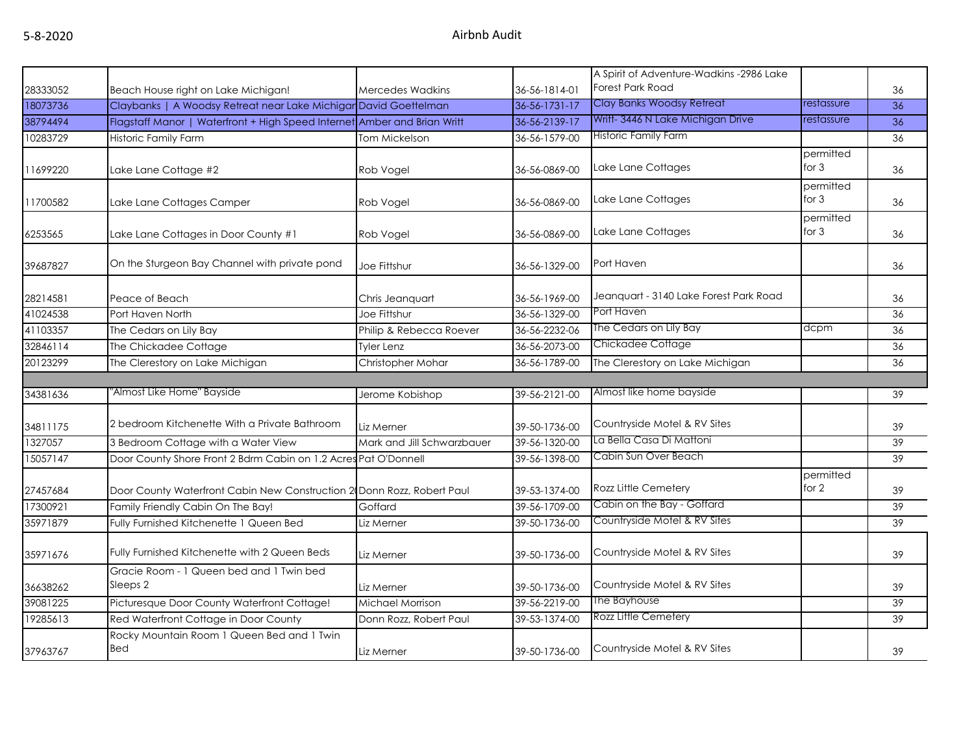|          |                                                                          |                            |               | A Spirit of Adventure-Wadkins -2986 Lake |                      |    |
|----------|--------------------------------------------------------------------------|----------------------------|---------------|------------------------------------------|----------------------|----|
| 28333052 | Beach House right on Lake Michigan!                                      | <b>Mercedes Wadkins</b>    | 36-56-1814-01 | Forest Park Road                         |                      | 36 |
| 18073736 | Claybanks   A Woodsy Retreat near Lake Michigar David Goettelman         |                            | 36-56-1731-17 | Clay Banks Woodsy Retreat                | restassure           | 36 |
| 38794494 | Flagstaff Manor   Waterfront + High Speed Internet Amber and Brian Writt |                            | 36-56-2139-17 | Writt- 3446 N Lake Michigan Drive        | restassure           | 36 |
| 10283729 | <b>Historic Family Farm</b>                                              | Tom Mickelson              | 36-56-1579-00 | Historic Family Farm                     |                      | 36 |
|          |                                                                          |                            |               |                                          | permitted            |    |
| 11699220 | Lake Lane Cottage #2                                                     | Rob Vogel                  | 36-56-0869-00 | Lake Lane Cottages                       | for 3                | 36 |
| 11700582 | Lake Lane Cottages Camper                                                | Rob Vogel                  | 36-56-0869-00 | Lake Lane Cottages                       | permitted<br>for 3   | 36 |
| 6253565  | Lake Lane Cottages in Door County #1                                     | Rob Vogel                  | 36-56-0869-00 | Lake Lane Cottages                       | permitted<br>for $3$ | 36 |
| 39687827 | On the Sturgeon Bay Channel with private pond                            | Joe Fittshur               | 36-56-1329-00 | Port Haven                               |                      | 36 |
| 28214581 | Peace of Beach                                                           | Chris Jeanquart            | 36-56-1969-00 | Jeanquart - 3140 Lake Forest Park Road   |                      | 36 |
| 41024538 | Port Haven North                                                         | Joe Fittshur               | 36-56-1329-00 | Port Haven                               |                      | 36 |
| 41103357 | The Cedars on Lily Bay                                                   | Philip & Rebecca Roever    | 36-56-2232-06 | The Cedars on Lily Bay                   | dcpm                 | 36 |
| 32846114 | The Chickadee Cottage                                                    | <b>Tyler Lenz</b>          | 36-56-2073-00 | Chickadee Cottage                        |                      | 36 |
| 20123299 | The Clerestory on Lake Michigan                                          | Christopher Mohar          | 36-56-1789-00 | The Clerestory on Lake Michigan          |                      | 36 |
|          |                                                                          |                            |               |                                          |                      |    |
| 34381636 | "Almost Like Home" Bayside                                               | Jerome Kobishop            | 39-56-2121-00 | Almost like home bayside                 |                      | 39 |
| 34811175 | 2 bedroom Kitchenette With a Private Bathroom                            | Liz Merner                 | 39-50-1736-00 | Countryside Motel & RV Sites             |                      | 39 |
| 1327057  | 3 Bedroom Cottage with a Water View                                      | Mark and Jill Schwarzbauer | 39-56-1320-00 | La Bella Casa Di Mattoni                 |                      | 39 |
| 15057147 | Door County Shore Front 2 Bdrm Cabin on 1.2 Acres Pat O'Donnell          |                            | 39-56-1398-00 | Cabin Sun Over Beach                     |                      | 39 |
| 27457684 | Door County Waterfront Cabin New Construction 2 Donn Rozz, Robert Paul   |                            | 39-53-1374-00 | Rozz Little Cemetery                     | permitted<br>for 2   | 39 |
| 17300921 | Family Friendly Cabin On The Bay!                                        | Goffard                    | 39-56-1709-00 | Cabin on the Bay - Goffard               |                      | 39 |
| 35971879 | Fully Furnished Kitchenette 1 Queen Bed                                  | Liz Merner                 | 39-50-1736-00 | Countryside Motel & RV Sites             |                      | 39 |
| 35971676 | Fully Furnished Kitchenette with 2 Queen Beds                            | Liz Merner                 | 39-50-1736-00 | Countryside Motel & RV Sites             |                      | 39 |
| 36638262 | Gracie Room - 1 Queen bed and 1 Twin bed<br>Sleeps 2                     | Liz Merner                 | 39-50-1736-00 | Countryside Motel & RV Sites             |                      | 39 |
| 39081225 | Picturesque Door County Waterfront Cottage!                              | Michael Morrison           | 39-56-2219-00 | The Bayhouse                             |                      | 39 |
| 19285613 | Red Waterfront Cottage in Door County                                    | Donn Rozz, Robert Paul     | 39-53-1374-00 | Rozz Little Cemetery                     |                      | 39 |
| 37963767 | Rocky Mountain Room 1 Queen Bed and 1 Twin<br><b>Bed</b>                 | Liz Merner                 | 39-50-1736-00 | Countryside Motel & RV Sites             |                      | 39 |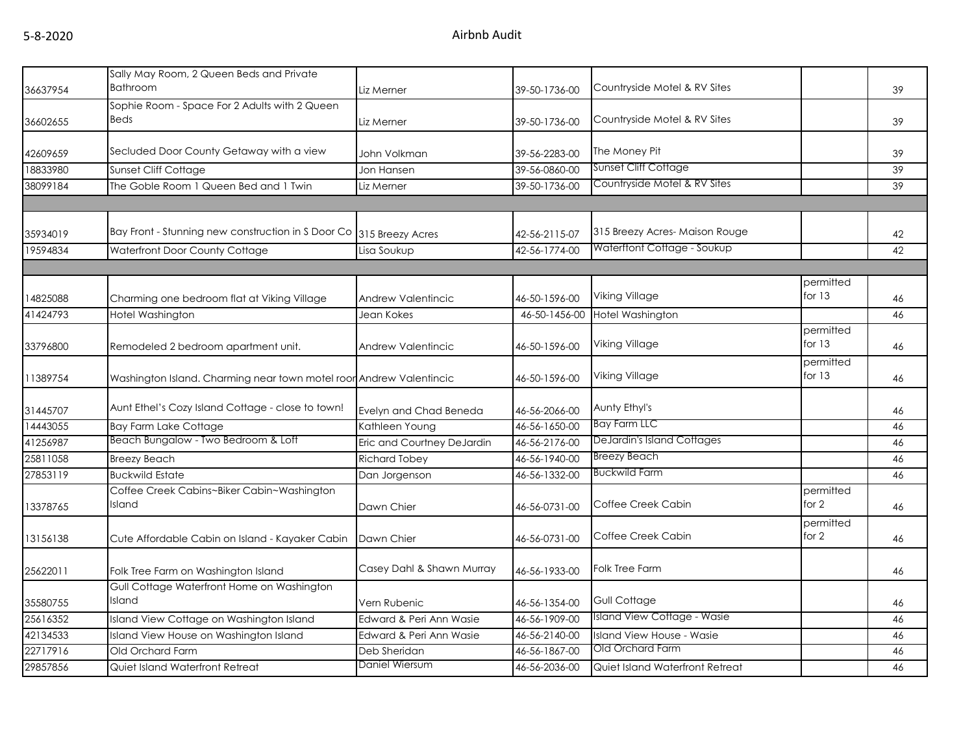| 36637954 | Sally May Room, 2 Queen Beds and Private<br><b>Bathroom</b>         | Liz Merner                 | 39-50-1736-00 | Countryside Motel & RV Sites    |                       | 39 |
|----------|---------------------------------------------------------------------|----------------------------|---------------|---------------------------------|-----------------------|----|
|          | Sophie Room - Space For 2 Adults with 2 Queen                       |                            |               |                                 |                       |    |
| 36602655 | <b>Beds</b>                                                         | Liz Merner                 | 39-50-1736-00 | Countryside Motel & RV Sites    |                       | 39 |
| 42609659 | Secluded Door County Getaway with a view                            | John Volkman               | 39-56-2283-00 | The Money Pit                   |                       | 39 |
| 18833980 | Sunset Cliff Cottage                                                | Jon Hansen                 | 39-56-0860-00 | Sunset Cliff Cottage            |                       | 39 |
| 38099184 | The Goble Room 1 Queen Bed and 1 Twin                               | Liz Merner                 | 39-50-1736-00 | Countryside Motel & RV Sites    |                       | 39 |
|          |                                                                     |                            |               |                                 |                       |    |
|          |                                                                     |                            |               |                                 |                       |    |
| 35934019 | Bay Front - Stunning new construction in S Door Co 315 Breezy Acres |                            | 42-56-2115-07 | 315 Breezy Acres-Maison Rouge   |                       | 42 |
| 19594834 | Waterfront Door County Cottage                                      | Lisa Soukup                | 42-56-1774-00 | Waterftont Cottage - Soukup     |                       | 42 |
|          |                                                                     |                            |               |                                 |                       |    |
|          |                                                                     |                            |               |                                 | permitted             |    |
| 14825088 | Charming one bedroom flat at Viking Village                         | Andrew Valentincic         | 46-50-1596-00 | <b>Viking Village</b>           | for 13                | 46 |
| 41424793 | Hotel Washington                                                    | Jean Kokes                 | 46-50-1456-00 | Hotel Washington                |                       | 46 |
| 33796800 | Remodeled 2 bedroom apartment unit.                                 | <b>Andrew Valentincic</b>  | 46-50-1596-00 | <b>Viking Village</b>           | permitted<br>for $13$ | 46 |
|          |                                                                     |                            |               |                                 | permitted             |    |
| 11389754 | Washington Island. Charming near town motel roor Andrew Valentincic |                            | 46-50-1596-00 | Viking Village                  | for $13$              | 46 |
| 31445707 | Aunt Ethel's Cozy Island Cottage - close to town!                   | Evelyn and Chad Beneda     | 46-56-2066-00 | Aunty Ethyl's                   |                       | 46 |
| 14443055 | <b>Bay Farm Lake Cottage</b>                                        | Kathleen Young             | 46-56-1650-00 | <b>Bay Farm LLC</b>             |                       | 46 |
| 41256987 | Beach Bungalow - Two Bedroom & Loff                                 | Eric and Courtney DeJardin | 46-56-2176-00 | DeJardin's Island Cottages      |                       | 46 |
| 25811058 | <b>Breezy Beach</b>                                                 | <b>Richard Tobey</b>       | 46-56-1940-00 | <b>Breezy Beach</b>             |                       | 46 |
| 27853119 | <b>Buckwild Estate</b>                                              | Dan Jorgenson              | 46-56-1332-00 | <b>Buckwild Farm</b>            |                       | 46 |
| 13378765 | Coffee Creek Cabins~Biker Cabin~Washington<br>Island                | Dawn Chier                 | 46-56-0731-00 | Coffee Creek Cabin              | permitted<br>for $2$  | 46 |
| 13156138 | Cute Affordable Cabin on Island - Kayaker Cabin                     | Dawn Chier                 | 46-56-0731-00 | Coffee Creek Cabin              | permitted<br>for 2    | 46 |
| 25622011 | Folk Tree Farm on Washington Island                                 | Casey Dahl & Shawn Murray  | 46-56-1933-00 | <b>Folk Tree Farm</b>           |                       | 46 |
| 35580755 | Gull Cottage Waterfront Home on Washington<br>Island                | Vern Rubenic               | 46-56-1354-00 | <b>Gull Cottage</b>             |                       | 46 |
| 25616352 | Island View Cottage on Washington Island                            | Edward & Peri Ann Wasie    | 46-56-1909-00 | Island View Cottage - Wasie     |                       | 46 |
| 42134533 | Island View House on Washington Island                              | Edward & Peri Ann Wasie    | 46-56-2140-00 | Island View House - Wasie       |                       | 46 |
| 22717916 | Old Orchard Farm                                                    | Deb Sheridan               | 46-56-1867-00 | Old Orchard Farm                |                       | 46 |
| 29857856 | Quiet Island Waterfront Retreat                                     | Daniel Wiersum             | 46-56-2036-00 | Quiet Island Waterfront Retreat |                       | 46 |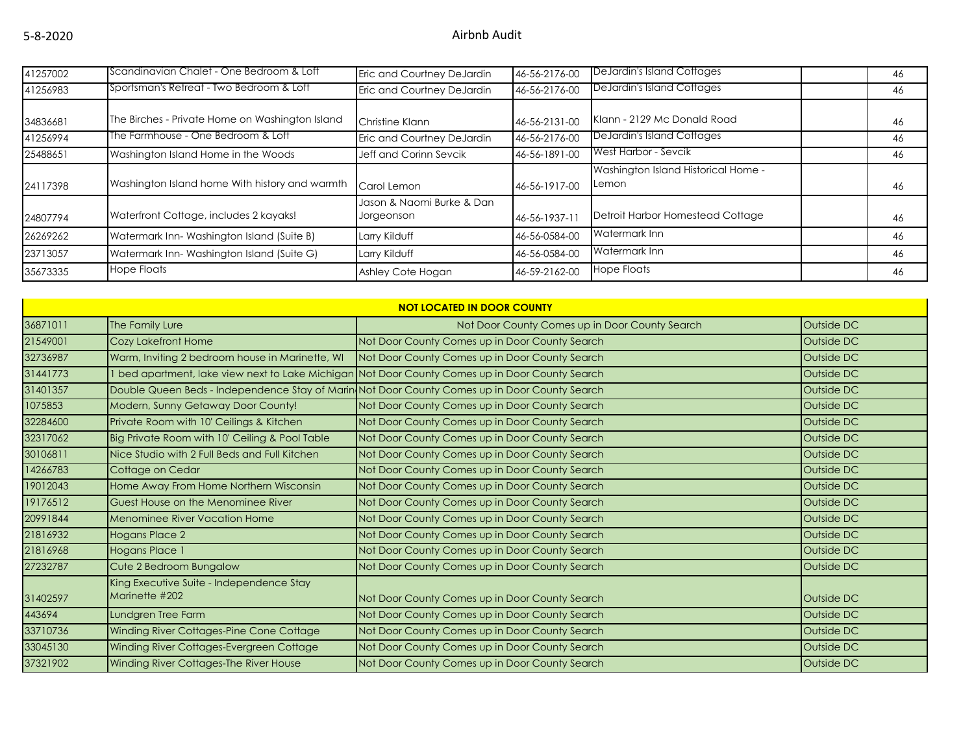| 41257002 | IScandinavian Chalet - One Bedroom & Loft       | Eric and Courtney DeJardin              | 46-56-2176-00 | DeJardin's Island Cottages                   | 46 |
|----------|-------------------------------------------------|-----------------------------------------|---------------|----------------------------------------------|----|
| 41256983 | TSportsman's Retreat - Two Bedroom & Loft       | Eric and Courtney DeJardin              | 46-56-2176-00 | DeJardin's Island Cottages                   | 46 |
| 34836681 | The Birches - Private Home on Washington Island | Christine Klann                         | 46-56-2131-00 | Klann - 2129 Mc Donald Road                  | 46 |
| 41256994 | The Farmhouse - One Bedroom & Loft              | Eric and Courtney DeJardin              | 46-56-2176-00 | DeJardin's Island Cottages                   | 46 |
| 25488651 | Washington Island Home in the Woods             | Jeff and Corinn Sevcik                  | 46-56-1891-00 | West Harbor - Sevcik                         | 46 |
| 24117398 | Washington Island home With history and warmth  | Carol Lemon                             | 46-56-1917-00 | Washington Island Historical Home -<br>Lemon | 46 |
| 24807794 | Waterfront Cottage, includes 2 kayaks!          | Jason & Naomi Burke & Dan<br>Jorgeonson | 46-56-1937-11 | Detroit Harbor Homestead Cottage             | 46 |
| 26269262 | Watermark Inn-Washington Island (Suite B)       | Larry Kilduff                           | 46-56-0584-00 | Watermark Inn                                | 46 |
| 23713057 | Watermark Inn-Washington Island (Suite G)       | Larry Kilduff                           | 46-56-0584-00 | Watermark Inn                                | 46 |
| 35673335 | <b>Hope Floats</b>                              | Ashley Cote Hogan                       | 46-59-2162-00 | <b>Hope Floats</b>                           | 46 |

| <b>NOT LOCATED IN DOOR COUNTY</b> |                                                            |                                                                                               |            |  |  |
|-----------------------------------|------------------------------------------------------------|-----------------------------------------------------------------------------------------------|------------|--|--|
| 36871011                          | The Family Lure                                            | Not Door County Comes up in Door County Search                                                | Outside DC |  |  |
| 21549001                          | Cozy Lakefront Home                                        | Not Door County Comes up in Door County Search                                                | Outside DC |  |  |
| 32736987                          | Warm, Inviting 2 bedroom house in Marinette, WI            | Not Door County Comes up in Door County Search                                                | Outside DC |  |  |
| 31441773                          |                                                            | bed apartment, lake view next to Lake Michigan Not Door County Comes up in Door County Search | Outside DC |  |  |
| 31401357                          |                                                            | Double Queen Beds - Independence Stay of Marin Not Door County Comes up in Door County Search | Outside DC |  |  |
| 1075853                           | Modern, Sunny Getaway Door County!                         | Not Door County Comes up in Door County Search                                                | Outside DC |  |  |
| 32284600                          | Private Room with 10' Ceilings & Kitchen                   | Not Door County Comes up in Door County Search                                                | Outside DC |  |  |
| 32317062                          | Big Private Room with 10' Ceiling & Pool Table             | Not Door County Comes up in Door County Search                                                | Outside DC |  |  |
| 30106811                          | Nice Studio with 2 Full Beds and Full Kitchen              | Not Door County Comes up in Door County Search                                                | Outside DC |  |  |
| 14266783                          | Cottage on Cedar                                           | Not Door County Comes up in Door County Search                                                | Outside DC |  |  |
| 19012043                          | Home Away From Home Northern Wisconsin                     | Not Door County Comes up in Door County Search                                                | Outside DC |  |  |
| 19176512                          | Guest House on the Menominee River                         | Not Door County Comes up in Door County Search                                                | Outside DC |  |  |
| 20991844                          | <b>Menominee River Vacation Home</b>                       | Not Door County Comes up in Door County Search                                                | Outside DC |  |  |
| 21816932                          | Hogans Place 2                                             | Not Door County Comes up in Door County Search                                                | Outside DC |  |  |
| 21816968                          | Hogans Place 1                                             | Not Door County Comes up in Door County Search                                                | Outside DC |  |  |
| 27232787                          | Cute 2 Bedroom Bungalow                                    | Not Door County Comes up in Door County Search                                                | Outside DC |  |  |
| 31402597                          | King Executive Suite - Independence Stay<br>Marinette #202 | Not Door County Comes up in Door County Search                                                | Outside DC |  |  |
| 443694                            | Lundgren Tree Farm                                         | Not Door County Comes up in Door County Search                                                | Outside DC |  |  |
| 33710736                          | Winding River Cottages-Pine Cone Cottage                   | Not Door County Comes up in Door County Search                                                | Outside DC |  |  |
| 33045130                          | Winding River Cottages-Evergreen Cottage                   | Not Door County Comes up in Door County Search                                                | Outside DC |  |  |
| 37321902                          | Winding River Cottages-The River House                     | Not Door County Comes up in Door County Search                                                | Outside DC |  |  |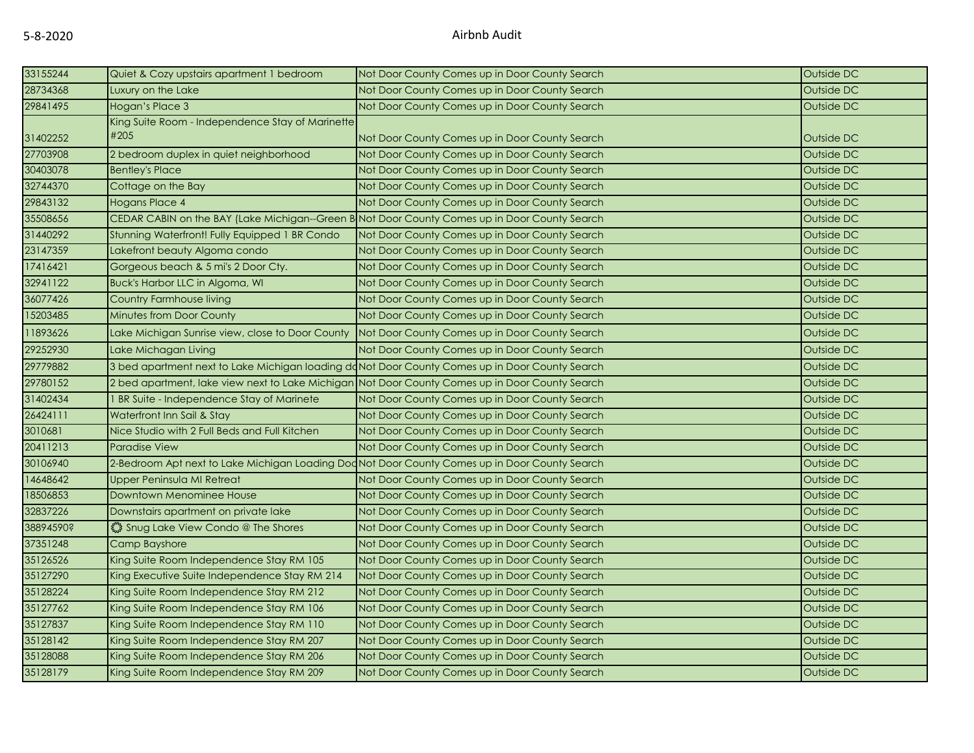| 33155244  | Quiet & Cozy upstairs apartment 1 bedroom                                                       | Not Door County Comes up in Door County Search                                                 | Outside DC |
|-----------|-------------------------------------------------------------------------------------------------|------------------------------------------------------------------------------------------------|------------|
| 28734368  | Luxury on the Lake                                                                              | Not Door County Comes up in Door County Search                                                 | Outside DC |
| 29841495  | Hogan's Place 3                                                                                 | Not Door County Comes up in Door County Search                                                 | Outside DC |
| 31402252  | King Suite Room - Independence Stay of Marinette<br>#205                                        | Not Door County Comes up in Door County Search                                                 | Outside DC |
| 27703908  | 2 bedroom duplex in quiet neighborhood                                                          | Not Door County Comes up in Door County Search                                                 | Outside DC |
| 30403078  | <b>Bentley's Place</b>                                                                          | Not Door County Comes up in Door County Search                                                 | Outside DC |
| 32744370  | Cottage on the Bay                                                                              | Not Door County Comes up in Door County Search                                                 | Outside DC |
| 29843132  | Hogans Place 4                                                                                  | Not Door County Comes up in Door County Search                                                 | Outside DC |
| 35508656  |                                                                                                 | CEDAR CABIN on the BAY (Lake Michigan--Green B Not Door County Comes up in Door County Search  | Outside DC |
| 31440292  | Stunning Waterfront! Fully Equipped 1 BR Condo                                                  | Not Door County Comes up in Door County Search                                                 | Outside DC |
| 23147359  | Lakefront beauty Algoma condo                                                                   | Not Door County Comes up in Door County Search                                                 | Outside DC |
| 17416421  | Gorgeous beach & 5 mi's 2 Door Cty.                                                             | Not Door County Comes up in Door County Search                                                 | Outside DC |
| 32941122  | Buck's Harbor LLC in Algoma, WI                                                                 | Not Door County Comes up in Door County Search                                                 | Outside DC |
| 36077426  | Country Farmhouse living                                                                        | Not Door County Comes up in Door County Search                                                 | Outside DC |
| 15203485  | <b>Minutes from Door County</b>                                                                 | Not Door County Comes up in Door County Search                                                 | Outside DC |
| 11893626  | Lake Michigan Sunrise view, close to Door County                                                | Not Door County Comes up in Door County Search                                                 | Outside DC |
| 29252930  | Lake Michagan Living                                                                            | Not Door County Comes up in Door County Search                                                 | Outside DC |
| 29779882  | 3 bed apartment next to Lake Michigan loading do Not Door County Comes up in Door County Search |                                                                                                | Outside DC |
| 29780152  | 2 bed apartment, lake view next to Lake Michigan Not Door County Comes up in Door County Search |                                                                                                | Outside DC |
| 31402434  | I BR Suite - Independence Stay of Marinete                                                      | Not Door County Comes up in Door County Search                                                 | Outside DC |
| 26424111  | Waterfront Inn Sail & Stay                                                                      | Not Door County Comes up in Door County Search                                                 | Outside DC |
| 3010681   | Nice Studio with 2 Full Beds and Full Kitchen                                                   | Not Door County Comes up in Door County Search                                                 | Outside DC |
| 20411213  | <b>Paradise View</b>                                                                            | Not Door County Comes up in Door County Search                                                 | Outside DC |
| 30106940  |                                                                                                 | 2-Bedroom Apt next to Lake Michigan Loading Dod Not Door County Comes up in Door County Search | Outside DC |
| 14648642  | Upper Peninsula MI Retreat                                                                      | Not Door County Comes up in Door County Search                                                 | Outside DC |
| 18506853  | Downtown Menominee House                                                                        | Not Door County Comes up in Door County Search                                                 | Outside DC |
| 32837226  | Downstairs apartment on private lake                                                            | Not Door County Comes up in Door County Search                                                 | Outside DC |
| 38894590? | Shug Lake View Condo @ The Shores                                                               | Not Door County Comes up in Door County Search                                                 | Outside DC |
| 37351248  | Camp Bayshore                                                                                   | Not Door County Comes up in Door County Search                                                 | Outside DC |
| 35126526  | King Suite Room Independence Stay RM 105                                                        | Not Door County Comes up in Door County Search                                                 | Outside DC |
| 35127290  | King Executive Suite Independence Stay RM 214                                                   | Not Door County Comes up in Door County Search                                                 | Outside DC |
| 35128224  | King Suite Room Independence Stay RM 212                                                        | Not Door County Comes up in Door County Search                                                 | Outside DC |
| 35127762  | King Suite Room Independence Stay RM 106                                                        | Not Door County Comes up in Door County Search                                                 | Outside DC |
| 35127837  | King Suite Room Independence Stay RM 110                                                        | Not Door County Comes up in Door County Search                                                 | Outside DC |
| 35128142  | King Suite Room Independence Stay RM 207                                                        | Not Door County Comes up in Door County Search                                                 | Outside DC |
| 35128088  | King Suite Room Independence Stay RM 206                                                        | Not Door County Comes up in Door County Search                                                 | Outside DC |
| 35128179  | King Suite Room Independence Stay RM 209                                                        | Not Door County Comes up in Door County Search                                                 | Outside DC |